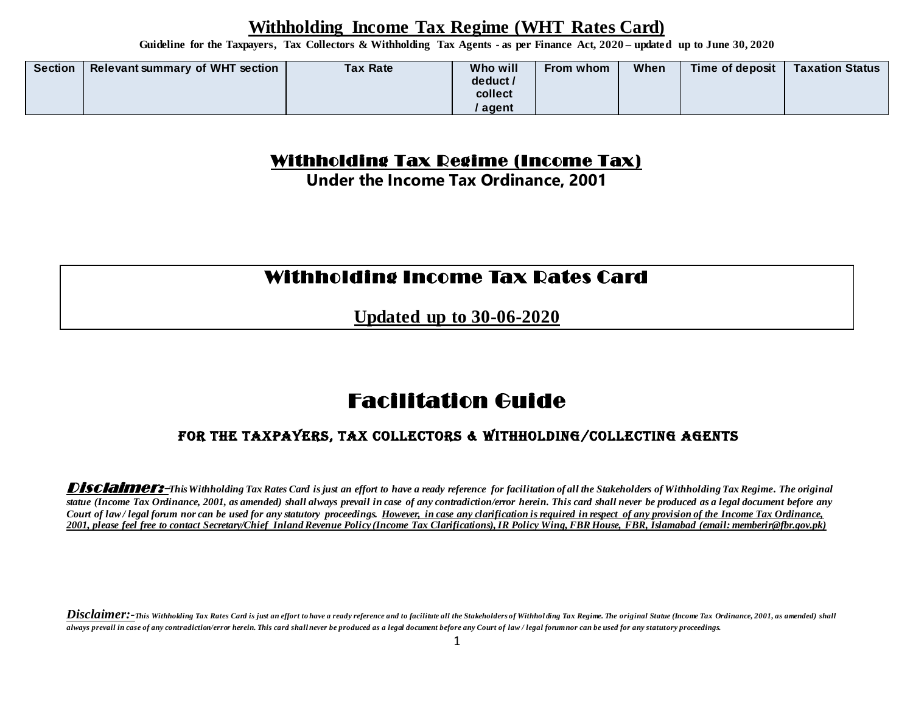**Guideline for the Taxpayers, Tax Collectors & Withholding Tax Agents - as per Finance Act, 2020 – updated up to June 30, 2020**

| <b>Relevant summary of WHT section</b><br><b>Tax Rate</b><br><b>Section</b> | Who will<br>When<br>Time of deposit<br><b>Taxation Status</b><br>From whom<br>deduct /<br>collect<br>agent |
|-----------------------------------------------------------------------------|------------------------------------------------------------------------------------------------------------|
|-----------------------------------------------------------------------------|------------------------------------------------------------------------------------------------------------|

#### Withholding Tax Regime (Income Tax)

**Under the Income Tax Ordinance, 2001**

## Withholding Income Tax Rates Card

**Updated up to 30-06-2020**

# Facilitation Guide

#### For the Taxpayers, Tax Collectors & Withholding/Collecting Agents

Disclaimer:-This Withholding Tax Rates Card is just an effort to have a ready reference for facilitation of all the Stakeholders of Withholding Tax Regime. The original *statue (Income Tax Ordinance, 2001, as amended) shall always prevail in case of any contradiction/error herein. This card shall never be produced as a legal document before any Court of law / legal forum nor can be used for any statutory proceedings. However, in case any clarification is required in respect of any provision of the Income Tax Ordinance, 2001, please feel free to contact Secretary/Chief Inland Revenue Policy (Income Tax Clarifications), IR Policy Wing, FBR House, FBR, Islamabad (email: memberir@fbr.gov.pk)*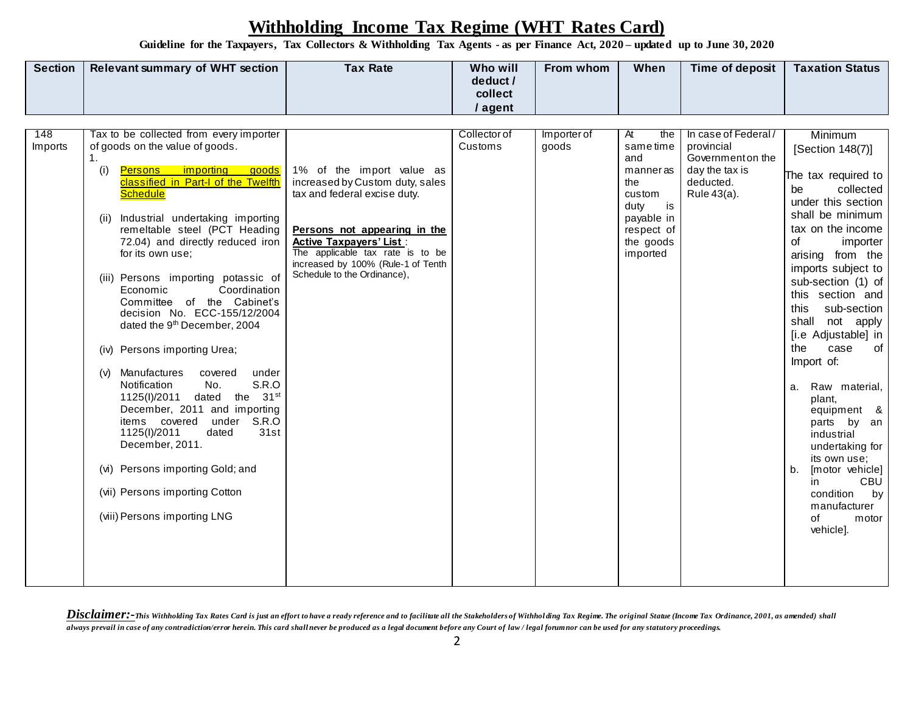**Guideline for the Taxpayers, Tax Collectors & Withholding Tax Agents - as per Finance Act, 2020 – updated up to June 30, 2020**

| <b>Section</b> | <b>Relevant summary of WHT section</b> | <b>Tax Rate</b> | Who will<br>deduct /<br>collect | <b>From whom</b> | <b>When</b> | Time of deposit | <b>Taxation Status</b> |
|----------------|----------------------------------------|-----------------|---------------------------------|------------------|-------------|-----------------|------------------------|
|                |                                        |                 | agent                           |                  |             |                 |                        |

| 148     | Tax to be collected from every importer                                  |                                    | Collector of | Importer of | At<br>the                | In case of Federal/ | Minimum                               |
|---------|--------------------------------------------------------------------------|------------------------------------|--------------|-------------|--------------------------|---------------------|---------------------------------------|
| Imports | of goods on the value of goods.                                          |                                    | Customs      | goods       | sametime                 | provincial          | [Section 148(7)]                      |
|         | 1.                                                                       |                                    |              |             | and                      | Government on the   |                                       |
|         | (i)<br><b>Persons</b> importing goods                                    | 1% of the import value as          |              |             | manneras                 | day the tax is      | The tax required to                   |
|         | classified in Part-I of the Twelfth                                      | increased by Custom duty, sales    |              |             | the                      | deducted.           | collected<br>be                       |
|         | <b>Schedule</b>                                                          | tax and federal excise duty.       |              |             | custom                   | Rule 43(a).         | under this section                    |
|         | Industrial undertaking importing<br>(ii)                                 |                                    |              |             | duty<br>is<br>payable in |                     | shall be minimum                      |
|         | remeltable steel (PCT Heading                                            | Persons not appearing in the       |              |             | respect of               |                     | tax on the income                     |
|         | 72.04) and directly reduced iron                                         | <b>Active Taxpayers' List:</b>     |              |             | the goods                |                     | of<br>importer                        |
|         | for its own use:                                                         | The applicable tax rate is to be   |              |             | imported                 |                     | arising from the                      |
|         |                                                                          | increased by 100% (Rule-1 of Tenth |              |             |                          |                     | imports subject to                    |
|         | (iii) Persons importing potassic of                                      | Schedule to the Ordinance),        |              |             |                          |                     | sub-section (1) of                    |
|         | Coordination<br>Economic                                                 |                                    |              |             |                          |                     | this section and                      |
|         | Committee of the Cabinet's                                               |                                    |              |             |                          |                     | this<br>sub-section                   |
|         | decision No. ECC-155/12/2004<br>dated the 9 <sup>th</sup> December, 2004 |                                    |              |             |                          |                     | shall not apply                       |
|         |                                                                          |                                    |              |             |                          |                     | [i.e Adjustable] in                   |
|         | (iv) Persons importing Urea;                                             |                                    |              |             |                          |                     | the<br>case<br>of                     |
|         |                                                                          |                                    |              |             |                          |                     | Import of:                            |
|         | Manufactures<br>covered<br>(v)<br>under                                  |                                    |              |             |                          |                     |                                       |
|         | S.R.O<br>Notification<br>No.                                             |                                    |              |             |                          |                     | Raw material,<br>a.                   |
|         | the 31 <sup>st</sup><br>1125(I)/2011<br>dated                            |                                    |              |             |                          |                     | plant,                                |
|         | December, 2011 and importing                                             |                                    |              |             |                          |                     | equipment &                           |
|         | under S.R.O<br>items covered                                             |                                    |              |             |                          |                     | parts<br>by an                        |
|         | 1125(I)/2011<br>31st<br>dated<br>December, 2011.                         |                                    |              |             |                          |                     | industrial                            |
|         |                                                                          |                                    |              |             |                          |                     | undertaking for                       |
|         | (vi) Persons importing Gold; and                                         |                                    |              |             |                          |                     | its own use;<br>b.<br>[motor vehicle] |
|         |                                                                          |                                    |              |             |                          |                     | CBU<br>in                             |
|         | (vii) Persons importing Cotton                                           |                                    |              |             |                          |                     | condition<br>by                       |
|         |                                                                          |                                    |              |             |                          |                     | manufacturer                          |
|         | (viii) Persons importing LNG                                             |                                    |              |             |                          |                     | of<br>motor                           |
|         |                                                                          |                                    |              |             |                          |                     | vehicle].                             |
|         |                                                                          |                                    |              |             |                          |                     |                                       |
|         |                                                                          |                                    |              |             |                          |                     |                                       |
|         |                                                                          |                                    |              |             |                          |                     |                                       |
|         |                                                                          |                                    |              |             |                          |                     |                                       |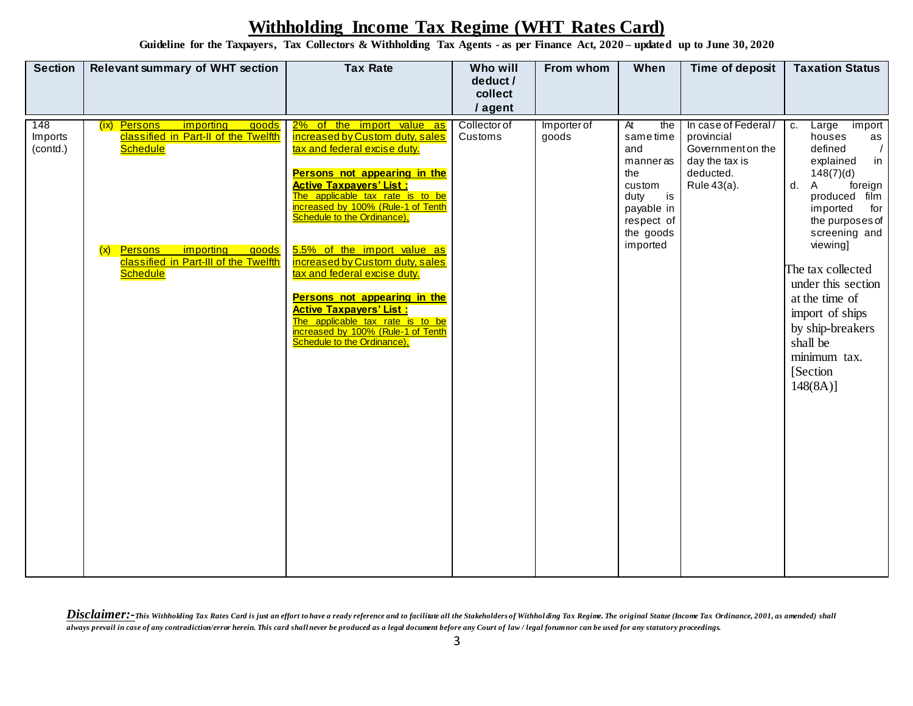**Guideline for the Taxpayers, Tax Collectors & Withholding Tax Agents - as per Finance Act, 2020 – updated up to June 30, 2020**

| <b>Section</b>             | <b>Relevant summary of WHT section</b>                                                                                                                                                                                 | <b>Tax Rate</b>                                                                                                                                                                                                                                                                                                                                                                                                                                                                                                                                      | Who will<br>deduct /<br>collect    | From whom            | When                                                                                                                                       | Time of deposit                                                                                      | <b>Taxation Status</b>                                                                                                                                                                                                                                                                                                                                               |
|----------------------------|------------------------------------------------------------------------------------------------------------------------------------------------------------------------------------------------------------------------|------------------------------------------------------------------------------------------------------------------------------------------------------------------------------------------------------------------------------------------------------------------------------------------------------------------------------------------------------------------------------------------------------------------------------------------------------------------------------------------------------------------------------------------------------|------------------------------------|----------------------|--------------------------------------------------------------------------------------------------------------------------------------------|------------------------------------------------------------------------------------------------------|----------------------------------------------------------------------------------------------------------------------------------------------------------------------------------------------------------------------------------------------------------------------------------------------------------------------------------------------------------------------|
| 148<br>Imports<br>(contd.) | importing<br>goods<br>(ix) Persons<br>classified in Part-II of the Twelfth<br><b>Schedule</b><br>importing<br><b>Persons</b><br><u>goods</u><br>(x)<br><b>classified in Part-III of the Twelfth</b><br><b>Schedule</b> | 2% of the import value as<br>increased by Custom duty, sales<br>tax and federal excise duty.<br>Persons not appearing in the<br><b>Active Taxpayers' List:</b><br>The applicable tax rate is to be<br>increased by 100% (Rule-1 of Tenth<br>Schedule to the Ordinance),<br>5.5% of the import value as<br>increased by Custom duty, sales<br>tax and federal excise duty.<br>Persons not appearing in the<br><b>Active Taxpayers' List:</b><br>The applicable tax rate is to be<br>increased by 100% (Rule-1 of Tenth<br>Schedule to the Ordinance), | / agent<br>Collector of<br>Customs | Importer of<br>goods | $\overline{At}$<br>the<br>same time<br>and<br>manneras<br>the<br>custom<br>is<br>duty<br>payable in<br>respect of<br>the goods<br>imported | In case of Federal/<br>provincial<br>Government on the<br>day the tax is<br>deducted.<br>Rule 43(a). | Large<br>import<br>c.<br>houses<br>as<br>defined<br>$\sqrt{2}$<br>in<br>explained<br>148(7)(d)<br>d.<br>Α<br>foreign<br>produced film<br>imported<br>for<br>the purposes of<br>screening and<br>viewing]<br>The tax collected<br>under this section<br>at the time of<br>import of ships<br>by ship-breakers<br>shall be<br>minimum tax.<br>[Section]<br>$148(8A)$ ] |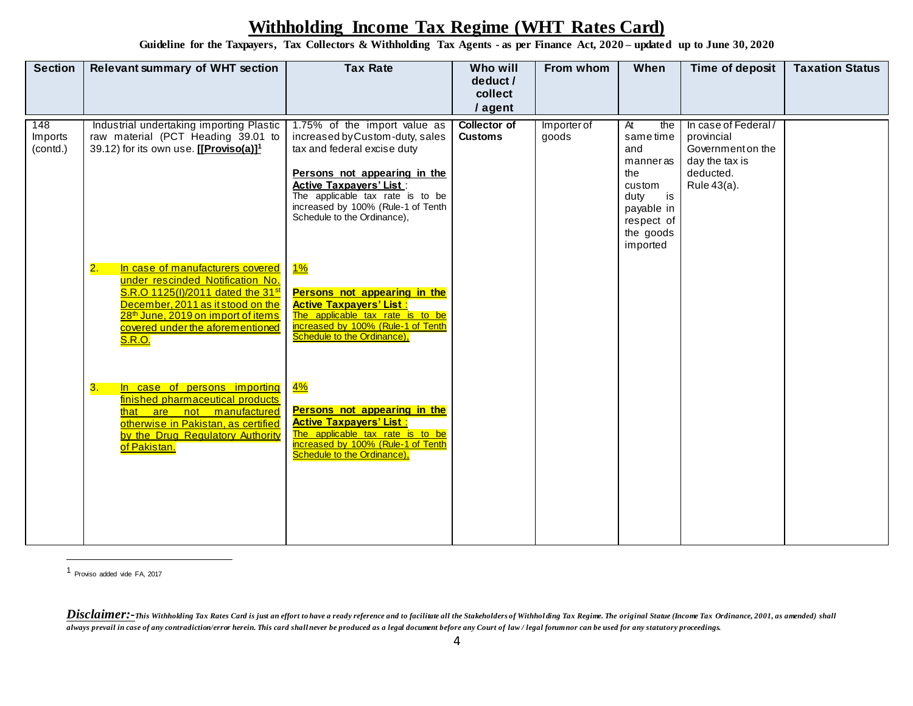**Guideline for the Taxpayers, Tax Collectors & Withholding Tax Agents - as per Finance Act, 2020 – updated up to June 30, 2020**

| <b>Section</b>             | <b>Relevant summary of WHT section</b>                                                                                                                                                                                                                                  | <b>Tax Rate</b>                                                                                                                                                                                                                                                           | Who will                              | From whom            | When                                                                                                                         | Time of deposit                                                                                      | <b>Taxation Status</b> |
|----------------------------|-------------------------------------------------------------------------------------------------------------------------------------------------------------------------------------------------------------------------------------------------------------------------|---------------------------------------------------------------------------------------------------------------------------------------------------------------------------------------------------------------------------------------------------------------------------|---------------------------------------|----------------------|------------------------------------------------------------------------------------------------------------------------------|------------------------------------------------------------------------------------------------------|------------------------|
|                            |                                                                                                                                                                                                                                                                         |                                                                                                                                                                                                                                                                           | deduct /<br>collect                   |                      |                                                                                                                              |                                                                                                      |                        |
|                            |                                                                                                                                                                                                                                                                         |                                                                                                                                                                                                                                                                           | / agent                               |                      |                                                                                                                              |                                                                                                      |                        |
| 148<br>Imports<br>(contd.) | Industrial undertaking importing Plastic<br>raw material (PCT Heading 39.01 to<br>39.12) for its own use. [[Proviso(a)] <sup>1</sup>                                                                                                                                    | 1.75% of the import value as<br>increased by Custom-duty, sales<br>tax and federal excise duty<br>Persons not appearing in the<br><b>Active Taxpayers' List:</b><br>The applicable tax rate is to be<br>increased by 100% (Rule-1 of Tenth<br>Schedule to the Ordinance), | <b>Collector of</b><br><b>Customs</b> | Importer of<br>goods | At<br>the<br>sametime<br>and<br>manneras<br>the<br>custom<br>is<br>duty<br>payable in<br>respect of<br>the goods<br>imported | In case of Federal/<br>provincial<br>Government on the<br>day the tax is<br>deducted.<br>Rule 43(a). |                        |
|                            | In case of manufacturers covered<br>2.<br>under rescinded Notification No.<br>S.R.O 1125(I)/2011 dated the 31 <sup>st</sup><br>December, 2011 as it stood on the<br>28 <sup>th</sup> June, 2019 on import of items<br>covered under the aforementioned<br><b>S.R.O.</b> | $1\%$<br>Persons not appearing in the<br><b>Active Taxpayers' List:</b><br>The applicable tax rate is to be<br>increased by 100% (Rule-1 of Tenth<br>Schedule to the Ordinance),                                                                                          |                                       |                      |                                                                                                                              |                                                                                                      |                        |
|                            | In case of persons importing<br>3.<br>finished pharmaceutical products<br>that are not manufactured<br>otherwise in Pakistan, as certified<br>by the Drug Regulatory Authority<br>of Pakistan.                                                                          | $4\%$<br>Persons not appearing in the<br><b>Active Taxpayers' List:</b><br>The applicable tax rate is to be<br>increased by 100% (Rule-1 of Tenth<br>Schedule to the Ordinance),                                                                                          |                                       |                      |                                                                                                                              |                                                                                                      |                        |

1 Proviso added vide FA, 2017

Disclaimer:-This Withholding Tax Rates Card is just an effort to have a ready reference and to facilitate all the Stakeholders of Withholding Tax Regime. The original Statue (Income Tax Ordinance, 2001, as amended) shall *always prevail in case of any contradiction/error herein. This card shall never be produced as a legal document before any Court of law / legal forum nor can be used for any statutory proceedings.*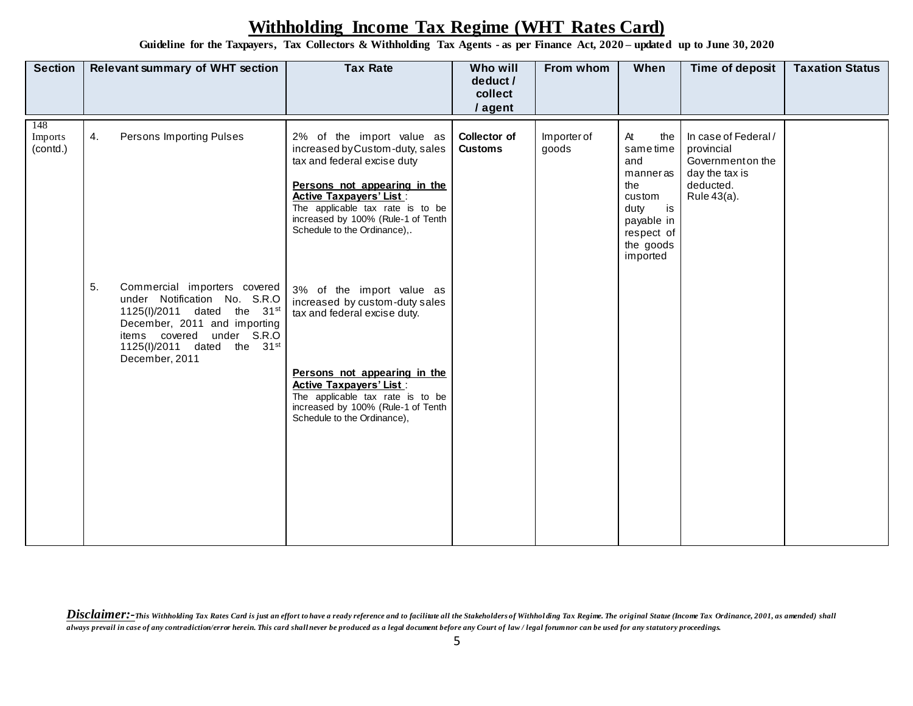**Guideline for the Taxpayers, Tax Collectors & Withholding Tax Agents - as per Finance Act, 2020 – updated up to June 30, 2020**

| <b>Section</b>             | <b>Relevant summary of WHT section</b>                                                                                                                                                                                      | <b>Tax Rate</b>                                                                                                                                                                                                                                                         | Who will<br>deduct /<br>collect<br>/ agent | From whom            | When                                                                                                                         | Time of deposit                                                                                       | <b>Taxation Status</b> |
|----------------------------|-----------------------------------------------------------------------------------------------------------------------------------------------------------------------------------------------------------------------------|-------------------------------------------------------------------------------------------------------------------------------------------------------------------------------------------------------------------------------------------------------------------------|--------------------------------------------|----------------------|------------------------------------------------------------------------------------------------------------------------------|-------------------------------------------------------------------------------------------------------|------------------------|
| 148<br>Imports<br>(contd.) | Persons Importing Pulses<br>4.                                                                                                                                                                                              | 2% of the import value as<br>increased by Custom-duty, sales<br>tax and federal excise duty<br>Persons not appearing in the<br><b>Active Taxpayers' List:</b><br>The applicable tax rate is to be<br>increased by 100% (Rule-1 of Tenth<br>Schedule to the Ordinance),. | Collector of<br><b>Customs</b>             | Importer of<br>goods | At<br>the<br>sametime<br>and<br>manneras<br>the<br>custom<br>is<br>duty<br>payable in<br>respect of<br>the goods<br>imported | In case of Federal /<br>provincial<br>Government on the<br>day the tax is<br>deducted.<br>Rule 43(a). |                        |
|                            | 5.<br>Commercial importers covered<br>under Notification No. S.R.O<br>1125(I)/2011 dated the 31st<br>December, 2011 and importing<br>items covered under S.R.O<br>1125(I)/2011 dated the 31 <sup>st</sup><br>December, 2011 | 3% of the import value as<br>increased by custom-duty sales<br>tax and federal excise duty.                                                                                                                                                                             |                                            |                      |                                                                                                                              |                                                                                                       |                        |
|                            |                                                                                                                                                                                                                             | Persons not appearing in the<br><b>Active Taxpayers' List:</b><br>The applicable tax rate is to be<br>increased by 100% (Rule-1 of Tenth<br>Schedule to the Ordinance),                                                                                                 |                                            |                      |                                                                                                                              |                                                                                                       |                        |
|                            |                                                                                                                                                                                                                             |                                                                                                                                                                                                                                                                         |                                            |                      |                                                                                                                              |                                                                                                       |                        |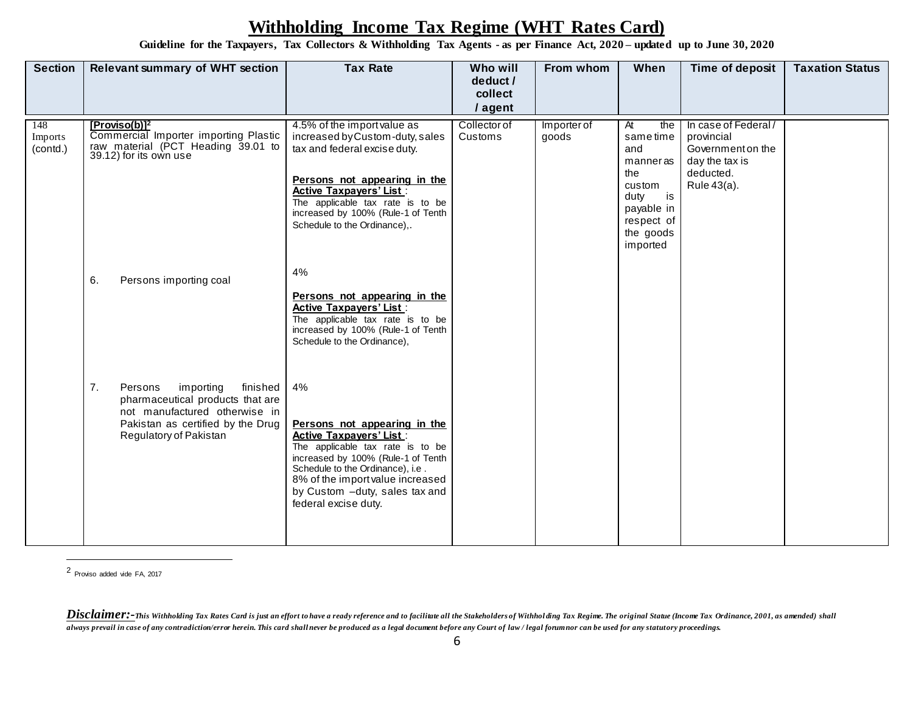**Guideline for the Taxpayers, Tax Collectors & Withholding Tax Agents - as per Finance Act, 2020 – updated up to June 30, 2020**

| At<br>the                | In case of Federal/                 |                                           |
|--------------------------|-------------------------------------|-------------------------------------------|
| and<br>manneras          | Government on the<br>day the tax is |                                           |
| custom                   | Rule 43(a).                         |                                           |
| payable in<br>respect of |                                     |                                           |
| the goods<br>imported    |                                     |                                           |
|                          |                                     |                                           |
|                          |                                     |                                           |
|                          |                                     |                                           |
|                          |                                     |                                           |
|                          |                                     |                                           |
|                          |                                     |                                           |
|                          |                                     |                                           |
|                          |                                     |                                           |
|                          |                                     |                                           |
|                          | the<br>duty                         | provincial<br>sametime<br>deducted.<br>is |

2 Proviso added vide FA, 2017

Disclaimer:-This Withholding Tax Rates Card is just an effort to have a ready reference and to facilitate all the Stakeholders of Withholding Tax Regime. The original Statue (Income Tax Ordinance, 2001, as amended) shall *always prevail in case of any contradiction/error herein. This card shall never be produced as a legal document before any Court of law / legal forum nor can be used for any statutory proceedings.*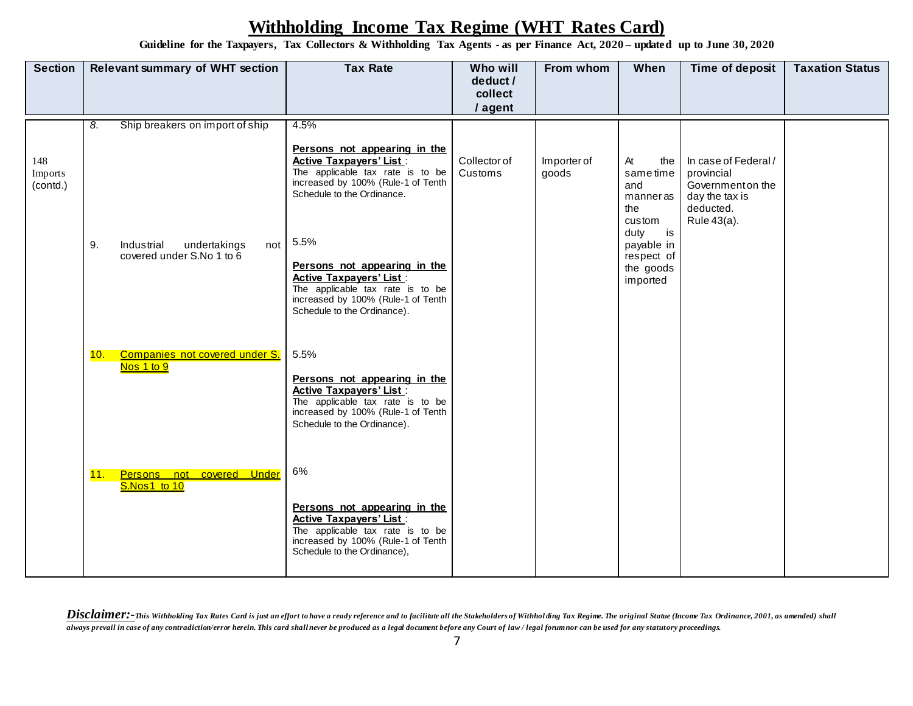**Guideline for the Taxpayers, Tax Collectors & Withholding Tax Agents - as per Finance Act, 2020 – updated up to June 30, 2020**

| <b>Section</b>             | <b>Relevant summary of WHT section</b>                               | <b>Tax Rate</b>                                                                                                                                                                                                                                                                                                                                           | Who will<br>deduct /    | From whom            | When                                                                                                                         | Time of deposit                                                                                       | <b>Taxation Status</b> |
|----------------------------|----------------------------------------------------------------------|-----------------------------------------------------------------------------------------------------------------------------------------------------------------------------------------------------------------------------------------------------------------------------------------------------------------------------------------------------------|-------------------------|----------------------|------------------------------------------------------------------------------------------------------------------------------|-------------------------------------------------------------------------------------------------------|------------------------|
|                            |                                                                      |                                                                                                                                                                                                                                                                                                                                                           | collect                 |                      |                                                                                                                              |                                                                                                       |                        |
|                            | Ship breakers on import of ship<br>8.                                | 4.5%                                                                                                                                                                                                                                                                                                                                                      | / agent                 |                      |                                                                                                                              |                                                                                                       |                        |
| 148<br>Imports<br>(contd.) | 9.<br>Industrial<br>undertakings<br>not<br>covered under S.No 1 to 6 | Persons not appearing in the<br><b>Active Taxpayers' List:</b><br>The applicable tax rate is to be<br>increased by 100% (Rule-1 of Tenth<br>Schedule to the Ordinance.<br>5.5%<br>Persons not appearing in the<br><b>Active Taxpayers' List:</b><br>The applicable tax rate is to be<br>increased by 100% (Rule-1 of Tenth<br>Schedule to the Ordinance). | Collector of<br>Customs | Importer of<br>goods | At<br>the<br>sametime<br>and<br>manneras<br>the<br>custom<br>is<br>duty<br>payable in<br>respect of<br>the goods<br>imported | In case of Federal /<br>provincial<br>Government on the<br>day the tax is<br>deducted.<br>Rule 43(a). |                        |
|                            | Companies not covered under S.<br>10.<br>Nos 1 to 9                  | 5.5%<br>Persons not appearing in the<br><b>Active Taxpayers' List:</b><br>The applicable tax rate is to be<br>increased by 100% (Rule-1 of Tenth<br>Schedule to the Ordinance).                                                                                                                                                                           |                         |                      |                                                                                                                              |                                                                                                       |                        |
|                            | 11.<br>Persons not<br>covered Under<br>S.Nos1 to 10                  | 6%<br>Persons not appearing in the<br><b>Active Taxpayers' List:</b><br>The applicable tax rate is to be<br>increased by 100% (Rule-1 of Tenth<br>Schedule to the Ordinance),                                                                                                                                                                             |                         |                      |                                                                                                                              |                                                                                                       |                        |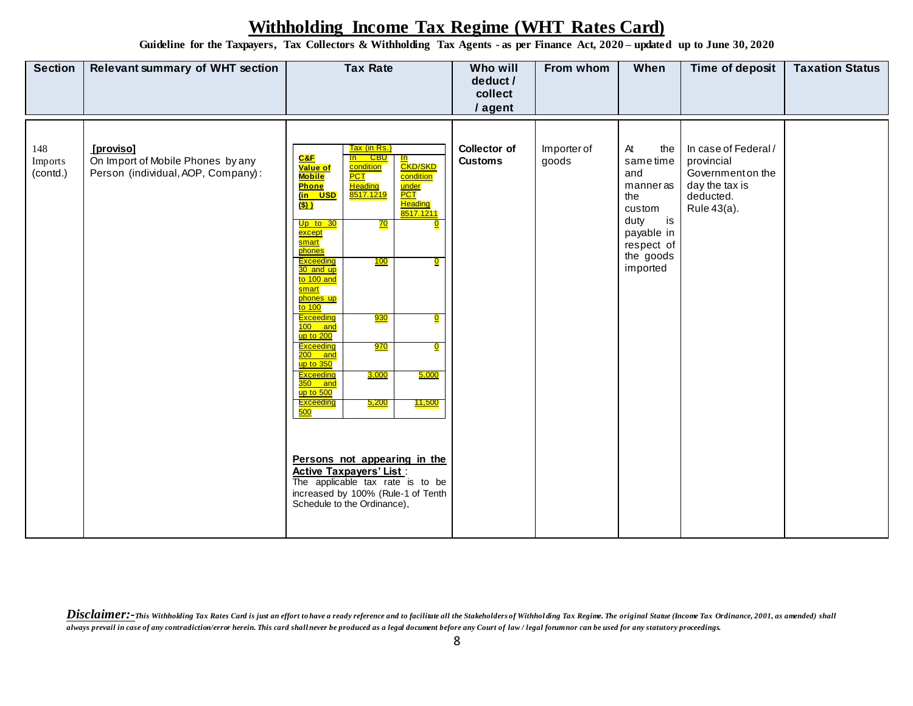**Guideline for the Taxpayers, Tax Collectors & Withholding Tax Agents - as per Finance Act, 2020 – updated up to June 30, 2020**

| <b>Section</b>             | <b>Relevant summary of WHT section</b>                                               | <b>Tax Rate</b>                                                                                                                                                                                                                                                                                                                                                                                                                                                                                                                                                                                                                                                                                                                                                                                                                                                                                                                                                            | Who will<br>deduct /<br>collect<br>/ agent | From whom            | When                                                                                                                            | Time of deposit                                                                                       | <b>Taxation Status</b> |
|----------------------------|--------------------------------------------------------------------------------------|----------------------------------------------------------------------------------------------------------------------------------------------------------------------------------------------------------------------------------------------------------------------------------------------------------------------------------------------------------------------------------------------------------------------------------------------------------------------------------------------------------------------------------------------------------------------------------------------------------------------------------------------------------------------------------------------------------------------------------------------------------------------------------------------------------------------------------------------------------------------------------------------------------------------------------------------------------------------------|--------------------------------------------|----------------------|---------------------------------------------------------------------------------------------------------------------------------|-------------------------------------------------------------------------------------------------------|------------------------|
| 148<br>Imports<br>(contd.) | [proviso]<br>On Import of Mobile Phones by any<br>Person (individual, AOP, Company): | <u>Tax (in Rs.)</u><br>$C$ &F<br><mark>In CBU</mark><br><mark>In</mark><br><mark>CKD/SKD</mark><br>condition<br>Value of<br><b>PCT</b><br><b>Mobile</b><br>condition<br><mark>Heading</mark><br>8517.1219<br><b>Phone</b><br><mark>under</mark><br><mark>PCT</mark><br><mark>(in USD</mark><br><b>Heading</b><br>(S)<br>8517.1211<br>Up to $30$<br><u>70</u><br>except<br>smart<br>phones<br><b>Exceeding</b><br>100<br>$\overline{\mathbf{Q}}$<br>30 and up<br>to 100 and<br>smart<br>phones up<br>$\frac{1}{10}$ 100<br>Exceeding<br><u>930</u><br>0<br>100 and<br>up to 200<br>Exceeding<br>970<br>$\mathbf{0}$<br>$200$ and<br>$\frac{\text{up to }350}{\text{up to }350}$<br>Exceeding<br>3,000<br>5,000<br>$350$ and<br>$up$ to 500<br><u> 11,500</u><br>Exceeding<br><u>5,200</u><br>500<br>Persons not appearing in the<br><b>Active Taxpayers' List:</b><br>The applicable tax rate is to be<br>increased by 100% (Rule-1 of Tenth<br>Schedule to the Ordinance), | Collector of<br><b>Customs</b>             | Importer of<br>goods | At<br>the<br>sametime<br>and<br>manneras<br>the<br>custom<br>duty<br>$i$ s<br>payable in<br>respect of<br>the goods<br>imported | In case of Federal /<br>provincial<br>Government on the<br>day the tax is<br>deducted.<br>Rule 43(a). |                        |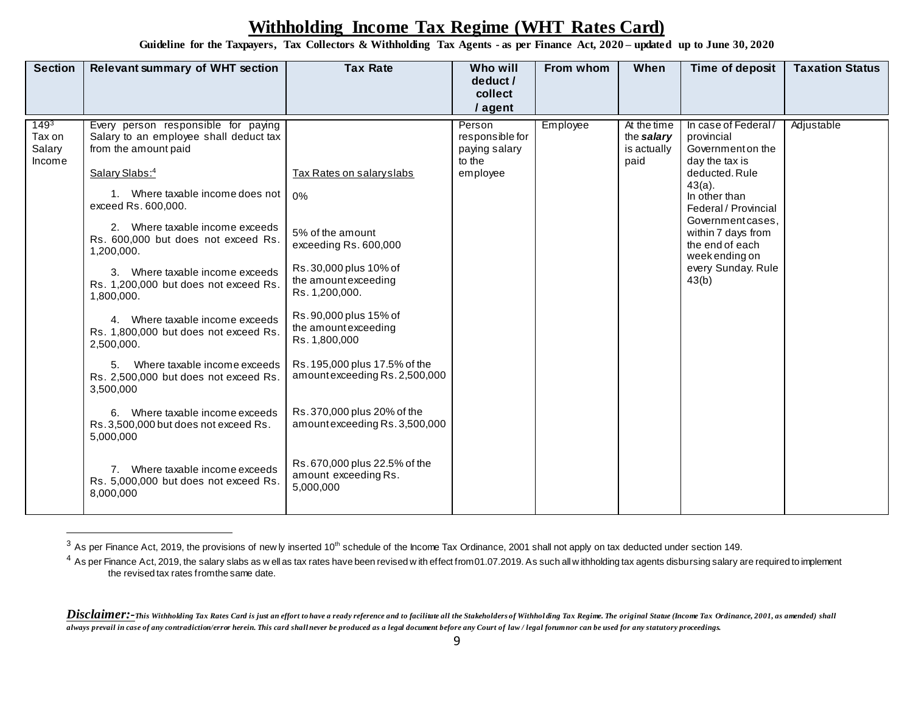**Guideline for the Taxpayers, Tax Collectors & Withholding Tax Agents - as per Finance Act, 2020 – updated up to June 30, 2020**

| <b>Section</b><br><b>Tax Rate</b><br><b>Relevant summary of WHT section</b><br>Who will<br>From whom<br>When<br>Time of deposit<br>deduct /<br>collect<br>/ agent                                                                                                                                                                                                                                                                                                                                                                                                                                                                                                                                                                                                                                                                                                                                                                                                                                                                                                                                                                                                                                                                                                                                                                                                                                                                                                                                                                                                                                                          | <b>Taxation Status</b> |
|----------------------------------------------------------------------------------------------------------------------------------------------------------------------------------------------------------------------------------------------------------------------------------------------------------------------------------------------------------------------------------------------------------------------------------------------------------------------------------------------------------------------------------------------------------------------------------------------------------------------------------------------------------------------------------------------------------------------------------------------------------------------------------------------------------------------------------------------------------------------------------------------------------------------------------------------------------------------------------------------------------------------------------------------------------------------------------------------------------------------------------------------------------------------------------------------------------------------------------------------------------------------------------------------------------------------------------------------------------------------------------------------------------------------------------------------------------------------------------------------------------------------------------------------------------------------------------------------------------------------------|------------------------|
| $149^{3}$<br>Every person responsible for paying<br>At the time<br>In case of Federal/<br>Person<br>Employee<br>responsible for<br>Tax on<br>Salary to an employee shall deduct tax<br>the salary<br>provincial<br>Salary<br>from the amount paid<br>is actually<br>Government on the<br>paying salary<br>to the<br>Income<br>paid<br>day the tax is<br>Salary Slabs:4<br>Tax Rates on salary slabs<br>deducted, Rule<br>employee<br>$43(a)$ .<br>1. Where taxable income does not<br>0%<br>In other than<br>exceed Rs. 600,000.<br>Federal / Provincial<br>Government cases.<br>2. Where taxable income exceeds<br>5% of the amount<br>within 7 days from<br>Rs. 600,000 but does not exceed Rs.<br>the end of each<br>exceeding Rs. 600,000<br>1,200,000.<br>week ending on<br>Rs.30,000 plus 10% of<br>every Sunday. Rule<br>3. Where taxable income exceeds<br>the amount exceeding<br>43(b)<br>Rs. 1,200,000 but does not exceed Rs.<br>Rs. 1,200,000.<br>1,800,000.<br>Rs. 90,000 plus 15% of<br>4. Where taxable income exceeds<br>the amount exceeding<br>Rs. 1,800,000 but does not exceed Rs.<br>Rs. 1,800,000<br>2,500,000.<br>Rs. 195,000 plus 17.5% of the<br>Where taxable income exceeds<br>5.<br>amountexceeding Rs. 2,500,000<br>Rs. 2,500,000 but does not exceed Rs.<br>3,500,000<br>Rs.370,000 plus 20% of the<br>6. Where taxable income exceeds<br>amountexceeding Rs. 3,500,000<br>Rs. 3,500,000 but does not exceed Rs.<br>5,000,000<br>Rs.670,000 plus 22.5% of the<br>7. Where taxable income exceeds<br>amount exceeding Rs.<br>Rs. 5,000,000 but does not exceed Rs.<br>5,000,000<br>8,000,000 | Adjustable             |

 $3$  As per Finance Act, 2019, the provisions of new ly inserted 10<sup>th</sup> schedule of the Income Tax Ordinance, 2001 shall not apply on tax deducted under section 149.

 $\overline{a}$ 

 $4$  As per Finance Act, 2019, the salary slabs as w ell as tax rates have been revised w ith effect from 01.07.2019. As such all w ithholding tax agents disbursing salary are required to implement the revised tax rates from the same date.

Disclaimer:-This Withholding Tax Rates Card is just an effort to have a ready reference and to facilitate all the Stakeholders of Withholding Tax Regime. The original Statue (Income Tax Ordinance, 2001, as amended) shall *always prevail in case of any contradiction/error herein. This card shall never be produced as a legal document before any Court of law / legal forum nor can be used for any statutory proceedings.*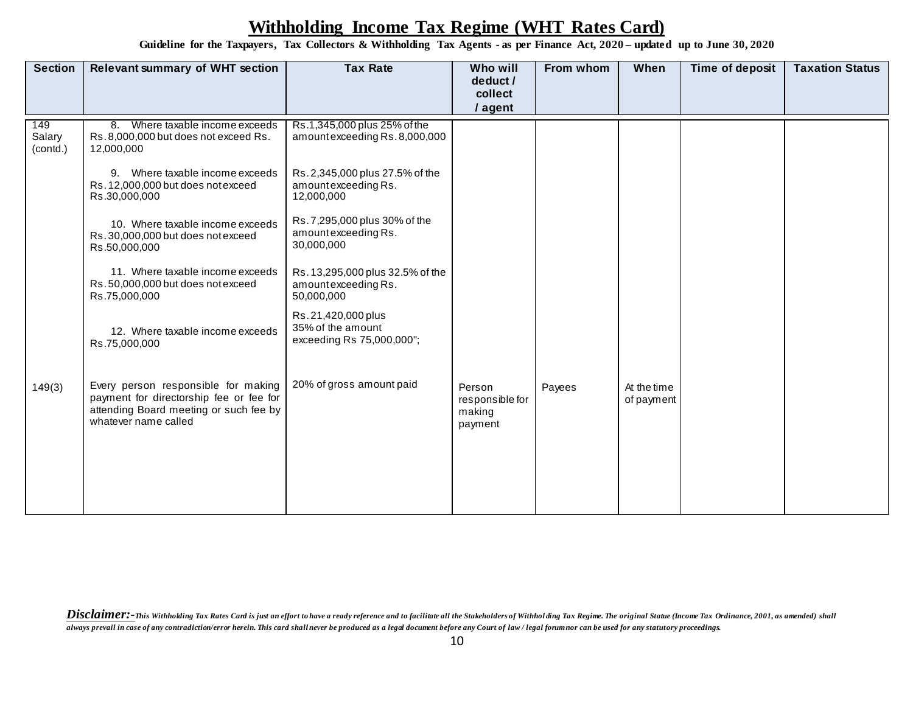**Guideline for the Taxpayers, Tax Collectors & Withholding Tax Agents - as per Finance Act, 2020 – updated up to June 30, 2020**

| <b>Section</b>            | <b>Relevant summary of WHT section</b>                                                                                                           | <b>Tax Rate</b>                                                       | Who will<br>deduct /<br>collect<br>/ agent     | From whom | When                      | Time of deposit | <b>Taxation Status</b> |
|---------------------------|--------------------------------------------------------------------------------------------------------------------------------------------------|-----------------------------------------------------------------------|------------------------------------------------|-----------|---------------------------|-----------------|------------------------|
| 149<br>Salary<br>(contd.) | 8. Where taxable income exceeds<br>Rs.8,000,000 but does not exceed Rs.<br>12,000,000                                                            | Rs.1,345,000 plus 25% of the<br>amountexceeding Rs. 8,000,000         |                                                |           |                           |                 |                        |
|                           | 9. Where taxable income exceeds<br>Rs. 12,000,000 but does not exceed<br>Rs.30,000,000                                                           | Rs. 2,345,000 plus 27.5% of the<br>amountexceeding Rs.<br>12,000,000  |                                                |           |                           |                 |                        |
|                           | 10. Where taxable income exceeds<br>Rs.30,000,000 but does not exceed<br>Rs.50,000,000                                                           | Rs.7,295,000 plus 30% of the<br>amountexceeding Rs.<br>30,000,000     |                                                |           |                           |                 |                        |
|                           | 11. Where taxable income exceeds<br>Rs.50,000,000 but does not exceed<br>Rs.75,000,000                                                           | Rs. 13,295,000 plus 32.5% of the<br>amountexceeding Rs.<br>50,000,000 |                                                |           |                           |                 |                        |
|                           | 12. Where taxable income exceeds<br>Rs.75,000,000                                                                                                | Rs.21,420,000 plus<br>35% of the amount<br>exceeding Rs 75,000,000";  |                                                |           |                           |                 |                        |
| 149(3)                    | Every person responsible for making<br>payment for directorship fee or fee for<br>attending Board meeting or such fee by<br>whatever name called | 20% of gross amount paid                                              | Person<br>responsible for<br>making<br>payment | Payees    | At the time<br>of payment |                 |                        |
|                           |                                                                                                                                                  |                                                                       |                                                |           |                           |                 |                        |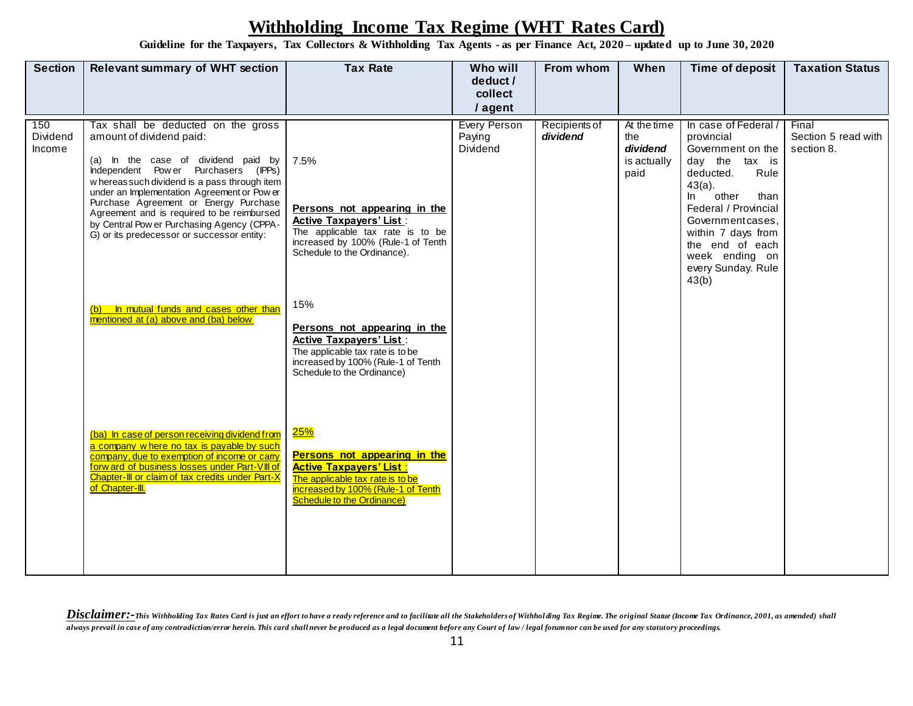**Guideline for the Taxpayers, Tax Collectors & Withholding Tax Agents - as per Finance Act, 2020 – updated up to June 30, 2020**

| <b>Section</b>            | <b>Relevant summary of WHT section</b>                                                                                                                                                                                                                                                                                                                                                                                                                                      | <b>Tax Rate</b>                                                                                                                                                                                                                                                                                                                                                | Who will<br>deduct /                      | From whom                 | When                                                  | Time of deposit                                                                                                                                                                                                                                                            | <b>Taxation Status</b>                     |
|---------------------------|-----------------------------------------------------------------------------------------------------------------------------------------------------------------------------------------------------------------------------------------------------------------------------------------------------------------------------------------------------------------------------------------------------------------------------------------------------------------------------|----------------------------------------------------------------------------------------------------------------------------------------------------------------------------------------------------------------------------------------------------------------------------------------------------------------------------------------------------------------|-------------------------------------------|---------------------------|-------------------------------------------------------|----------------------------------------------------------------------------------------------------------------------------------------------------------------------------------------------------------------------------------------------------------------------------|--------------------------------------------|
|                           |                                                                                                                                                                                                                                                                                                                                                                                                                                                                             |                                                                                                                                                                                                                                                                                                                                                                | collect<br>/ agent                        |                           |                                                       |                                                                                                                                                                                                                                                                            |                                            |
| 150<br>Dividend<br>Income | Tax shall be deducted on the gross<br>amount of dividend paid:<br>(a) In the case of dividend paid by<br>Independent Power Purchasers (IPPs)<br>w hereas such dividend is a pass through item<br>under an Implementation Agreement or Pow er<br>Purchase Agreement or Energy Purchase<br>Agreement and is required to be reimbursed<br>by Central Pow er Purchasing Agency (CPPA-<br>G) or its predecessor or successor entity:<br>(b) In mutual funds and cases other than | 7.5%<br>Persons not appearing in the<br><b>Active Taxpayers' List:</b><br>The applicable tax rate is to be<br>increased by 100% (Rule-1 of Tenth<br>Schedule to the Ordinance).<br>15%                                                                                                                                                                         | <b>Every Person</b><br>Paying<br>Dividend | Recipients of<br>dividend | At the time<br>the<br>dividend<br>is actually<br>paid | In case of Federal /<br>provincial<br>Government on the<br>day the tax is<br>deducted.<br>Rule<br>$43(a)$ .<br>other<br>In.<br>than<br>Federal / Provincial<br>Government cases,<br>within 7 days from<br>the end of each<br>week ending on<br>every Sunday. Rule<br>43(b) | Final<br>Section 5 read with<br>section 8. |
|                           | mentioned at (a) above and (ba) below<br>(ba) In case of person receiving dividend from<br>a company w here no tax is payable by such<br>company, due to exemption of income or carry<br>forw ard of business losses under Part-VIII of<br>Chapter-III or claim of tax credits under Part-X<br>of Chapter-III.                                                                                                                                                              | Persons not appearing in the<br><b>Active Taxpayers' List:</b><br>The applicable tax rate is to be<br>increased by 100% (Rule-1 of Tenth<br>Schedule to the Ordinance)<br>25%<br>Persons not appearing in the<br><b>Active Taxpayers' List:</b><br>The applicable tax rate is to be<br>increased by 100% (Rule-1 of Tenth<br><b>Schedule to the Ordinance)</b> |                                           |                           |                                                       |                                                                                                                                                                                                                                                                            |                                            |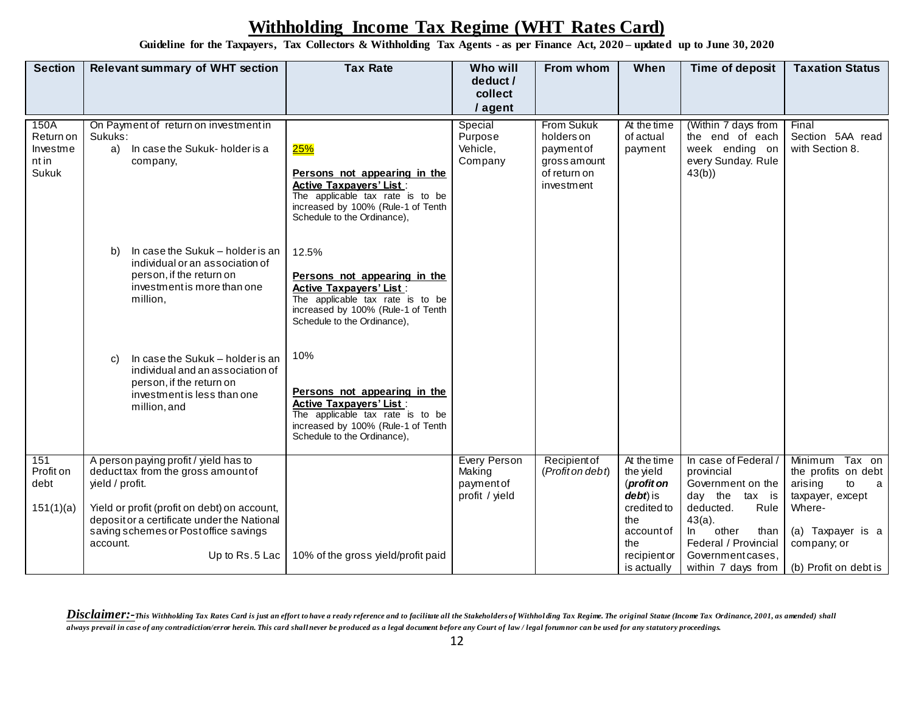**Guideline for the Taxpayers, Tax Collectors & Withholding Tax Agents - as per Finance Act, 2020 – updated up to June 30, 2020**

| <b>Section</b>                                  | <b>Relevant summary of WHT section</b>                                                                                                                                                                                                                               | <b>Tax Rate</b>                                                                                                                                                                  | Who will                                                     | From whom                                                                                  | When                                                                                                                         | Time of deposit                                                                                                                                                                                         | <b>Taxation Status</b>                                                                                                                                           |
|-------------------------------------------------|----------------------------------------------------------------------------------------------------------------------------------------------------------------------------------------------------------------------------------------------------------------------|----------------------------------------------------------------------------------------------------------------------------------------------------------------------------------|--------------------------------------------------------------|--------------------------------------------------------------------------------------------|------------------------------------------------------------------------------------------------------------------------------|---------------------------------------------------------------------------------------------------------------------------------------------------------------------------------------------------------|------------------------------------------------------------------------------------------------------------------------------------------------------------------|
|                                                 |                                                                                                                                                                                                                                                                      |                                                                                                                                                                                  | deduct /<br>collect                                          |                                                                                            |                                                                                                                              |                                                                                                                                                                                                         |                                                                                                                                                                  |
|                                                 |                                                                                                                                                                                                                                                                      |                                                                                                                                                                                  | / agent                                                      |                                                                                            |                                                                                                                              |                                                                                                                                                                                                         |                                                                                                                                                                  |
| 150A<br>Return on<br>Investme<br>nt in<br>Sukuk | On Payment of return on investment in<br>Sukuks:<br>a) In case the Sukuk-holder is a<br>company,                                                                                                                                                                     | 25%<br>Persons not appearing in the<br><b>Active Taxpavers' List:</b><br>The applicable tax rate is to be<br>increased by 100% (Rule-1 of Tenth<br>Schedule to the Ordinance),   | Special<br>Purpose<br>Vehicle,<br>Company                    | <b>From Sukuk</b><br>holders on<br>paymentof<br>gross amount<br>of return on<br>investment | At the time<br>of actual<br>payment                                                                                          | (Within 7 days from<br>the end of each<br>week ending on<br>every Sunday. Rule<br>43(b)                                                                                                                 | Final<br>Section 5AA read<br>with Section 8.                                                                                                                     |
|                                                 | In case the Sukuk - holder is an<br>b)<br>individual or an association of<br>person, if the return on<br>investment is more than one<br>million,                                                                                                                     | 12.5%<br>Persons not appearing in the<br><b>Active Taxpayers' List:</b><br>The applicable tax rate is to be<br>increased by 100% (Rule-1 of Tenth<br>Schedule to the Ordinance), |                                                              |                                                                                            |                                                                                                                              |                                                                                                                                                                                                         |                                                                                                                                                                  |
|                                                 | In case the Sukuk - holder is an<br>$\mathbf{C}$<br>individual and an association of<br>person, if the return on<br>investment is less than one<br>million, and                                                                                                      | 10%<br>Persons not appearing in the<br><b>Active Taxpayers' List:</b><br>The applicable tax rate is to be<br>increased by 100% (Rule-1 of Tenth<br>Schedule to the Ordinance),   |                                                              |                                                                                            |                                                                                                                              |                                                                                                                                                                                                         |                                                                                                                                                                  |
| 151<br>Profit on<br>debt<br>151(1)(a)           | A person paying profit / yield has to<br>deduct tax from the gross amount of<br>yield / profit.<br>Yield or profit (profit on debt) on account,<br>depositor a certificate under the National<br>saving schemes or Post office savings<br>account.<br>Up to Rs.5 Lac | 10% of the gross yield/profit paid                                                                                                                                               | <b>Every Person</b><br>Making<br>paymentof<br>profit / yield | Recipient of<br>(Profit on debt)                                                           | At the time<br>the yield<br>(profit on<br>debt) is<br>credited to<br>the<br>account of<br>the<br>recipient or<br>is actually | In case of Federal,<br>provincial<br>Government on the<br>day the tax is<br>Rule<br>deducted.<br>$43(a)$ .<br>$\ln$<br>other<br>than<br>Federal / Provincial<br>Government cases,<br>within 7 days from | <b>Minimum</b><br>Tax on<br>the profits on debt<br>arising<br>to<br>a<br>taxpayer, except<br>Where-<br>(a) Taxpayer is a<br>company; or<br>(b) Profit on debt is |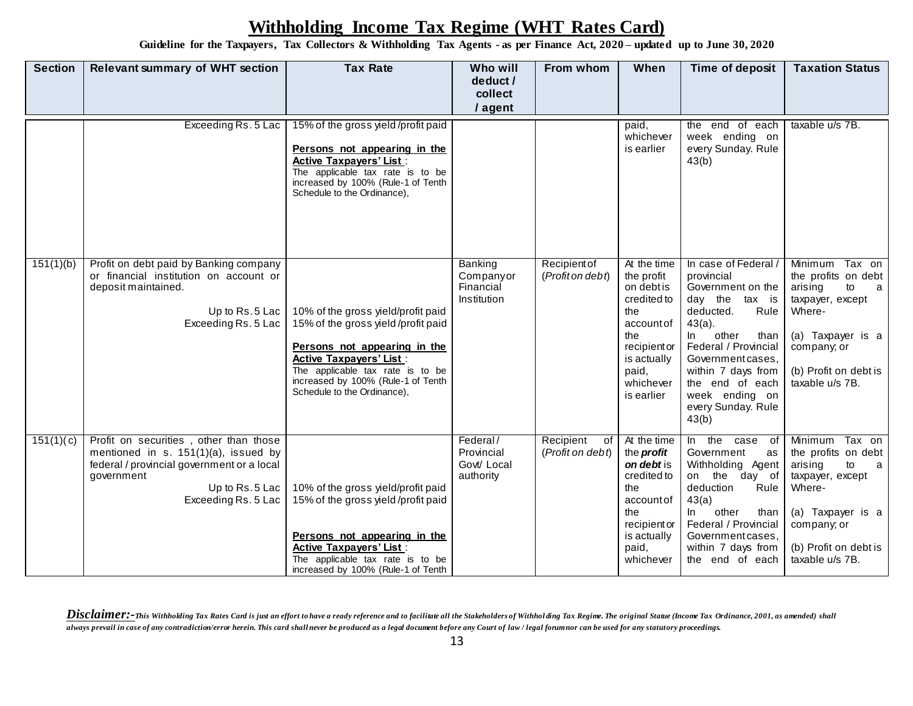**Guideline for the Taxpayers, Tax Collectors & Withholding Tax Agents - as per Finance Act, 2020 – updated up to June 30, 2020**

| <b>Section</b> | <b>Relevant summary of WHT section</b>                                                                                                                                              | <b>Tax Rate</b>                                                                                                                                                                                                                                     | Who will                                           | From whom                           | When                                                                                                                                                  | Time of deposit                                                                                                                                                                                                                                                               | <b>Taxation Status</b>                                                                                                                                                       |
|----------------|-------------------------------------------------------------------------------------------------------------------------------------------------------------------------------------|-----------------------------------------------------------------------------------------------------------------------------------------------------------------------------------------------------------------------------------------------------|----------------------------------------------------|-------------------------------------|-------------------------------------------------------------------------------------------------------------------------------------------------------|-------------------------------------------------------------------------------------------------------------------------------------------------------------------------------------------------------------------------------------------------------------------------------|------------------------------------------------------------------------------------------------------------------------------------------------------------------------------|
|                |                                                                                                                                                                                     |                                                                                                                                                                                                                                                     | deduct /<br>collect                                |                                     |                                                                                                                                                       |                                                                                                                                                                                                                                                                               |                                                                                                                                                                              |
|                |                                                                                                                                                                                     |                                                                                                                                                                                                                                                     | / agent                                            |                                     |                                                                                                                                                       |                                                                                                                                                                                                                                                                               |                                                                                                                                                                              |
|                | Exceeding Rs. 5 Lac                                                                                                                                                                 | 15% of the gross yield/profit paid<br>Persons not appearing in the<br><b>Active Taxpayers' List:</b><br>The applicable tax rate is to be<br>increased by 100% (Rule-1 of Tenth<br>Schedule to the Ordinance),                                       |                                                    |                                     | paid,<br>whichever<br>is earlier                                                                                                                      | the end of each<br>week ending on<br>every Sunday. Rule<br>43(b)                                                                                                                                                                                                              | taxable u/s 7B.                                                                                                                                                              |
| 151(1)(b)      | Profit on debt paid by Banking company<br>or financial institution on account or<br>deposit maintained.<br>Up to Rs.5 Lac<br>Exceeding Rs. 5 Lac                                    | 10% of the gross yield/profit paid<br>15% of the gross yield/profit paid<br>Persons not appearing in the<br><b>Active Taxpayers' List:</b><br>The applicable tax rate is to be<br>increased by 100% (Rule-1 of Tenth<br>Schedule to the Ordinance), | Banking<br>Companyor<br>Financial<br>Institution   | Recipient of<br>(Profit on debt)    | At the time<br>the profit<br>on debt is<br>credited to<br>the<br>account of<br>the<br>recipient or<br>is actually<br>paid,<br>whichever<br>is earlier | In case of Federal /<br>provincial<br>Government on the<br>day the<br>tax is<br>deducted.<br>Rule<br>$43(a)$ .<br>other<br>In.<br>than<br>Federal / Provincial<br>Government cases,<br>within 7 days from<br>the end of each<br>week ending on<br>every Sunday. Rule<br>43(b) | Minimum<br>Tax on<br>the profits on debt<br>arising<br>to<br>a<br>taxpayer, except<br>Where-<br>(a) Taxpayer is a<br>company; or<br>(b) Profit on debt is<br>taxable u/s 7B. |
| 151(1)(c)      | Profit on securities, other than those<br>mentioned in s. 151(1)(a), issued by<br>federal / provincial government or a local<br>government<br>Up to Rs.5 Lac<br>Exceeding Rs. 5 Lac | 10% of the gross yield/profit paid<br>15% of the gross yield/profit paid<br>Persons not appearing in the<br><b>Active Taxpayers' List:</b><br>The applicable tax rate is to be<br>increased by 100% (Rule-1 of Tenth                                | Federal/<br>Provincial<br>Govt/ Local<br>authority | Recipient<br>of<br>(Profit on debt) | At the time<br>the <i>profit</i><br>on debt is<br>credited to<br>the<br>account of<br>the<br>recipient or<br>is actually<br>paid,<br>whichever        | In the case<br>of<br>Government<br>as<br>Withholding Agent<br>the day of<br>on<br>deduction<br>Rule<br>43(a)<br>ln<br>other<br>than<br>Federal / Provincial<br>Government cases,<br>within 7 days from<br>the end of each                                                     | Minimum<br>Tax on<br>the profits on debt<br>arising<br>to<br>a<br>taxpayer, except<br>Where-<br>(a) Taxpayer is a<br>company; or<br>(b) Profit on debt is<br>taxable u/s 7B. |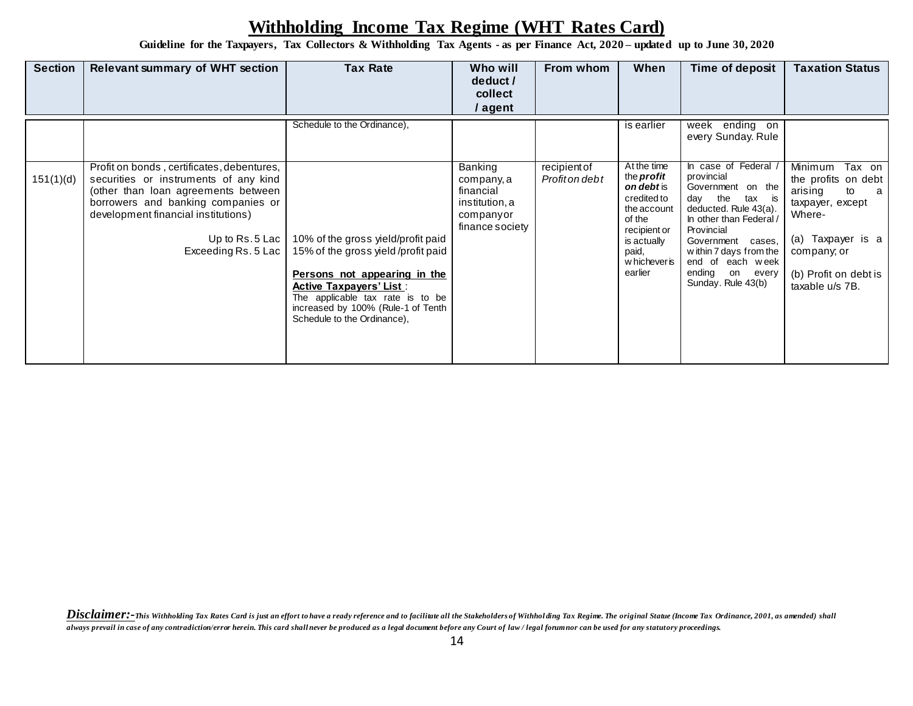**Guideline for the Taxpayers, Tax Collectors & Withholding Tax Agents - as per Finance Act, 2020 – updated up to June 30, 2020**

| <b>Section</b> | <b>Relevant summary of WHT section</b>                                                                                     | <b>Tax Rate</b>                                                                                                                                                                                                                                     | Who will<br>deduct /<br>collect<br>/ agent     | From whom                      | When                                                                                                     | Time of deposit                                                                                                                                                                                    | <b>Taxation Status</b>                                                                                     |
|----------------|----------------------------------------------------------------------------------------------------------------------------|-----------------------------------------------------------------------------------------------------------------------------------------------------------------------------------------------------------------------------------------------------|------------------------------------------------|--------------------------------|----------------------------------------------------------------------------------------------------------|----------------------------------------------------------------------------------------------------------------------------------------------------------------------------------------------------|------------------------------------------------------------------------------------------------------------|
| 151(1)(d)      | Profit on bonds, certificates, debentures,<br>securities or instruments of any kind<br>(other than loan agreements between | Schedule to the Ordinance),                                                                                                                                                                                                                         | Banking<br>company, a<br>financial             | recipient of<br>Profit on debt | is earlier<br>At the time<br>the <i>profit</i><br><b>on debt</b> is                                      | ending on<br>week<br>every Sunday. Rule<br>In case of Federal<br>provincial<br>Government on the                                                                                                   | <b>Minimum</b><br>Tax on<br>the profits on debt<br>arising<br>to<br>a                                      |
|                | borrowers and banking companies or<br>development financial institutions)<br>Up to Rs.5 Lac<br>Exceeding Rs. 5 Lac         | 10% of the gross yield/profit paid<br>15% of the gross yield/profit paid<br>Persons not appearing in the<br><b>Active Taxpayers' List:</b><br>The applicable tax rate is to be<br>increased by 100% (Rule-1 of Tenth<br>Schedule to the Ordinance), | institution, a<br>companyor<br>finance society |                                | credited to<br>the account<br>of the<br>recipient or<br>is actually<br>paid,<br>w hichever is<br>earlier | day the tax is<br>deducted. Rule 43(a).<br>In other than Federal /<br>Provincial<br>Government cases,<br>within 7 days from the<br>end of each week<br>ending<br>on<br>every<br>Sunday. Rule 43(b) | taxpayer, except<br>Where-<br>(a) Taxpayer is a<br>company; or<br>(b) Profit on debt is<br>taxable u/s 7B. |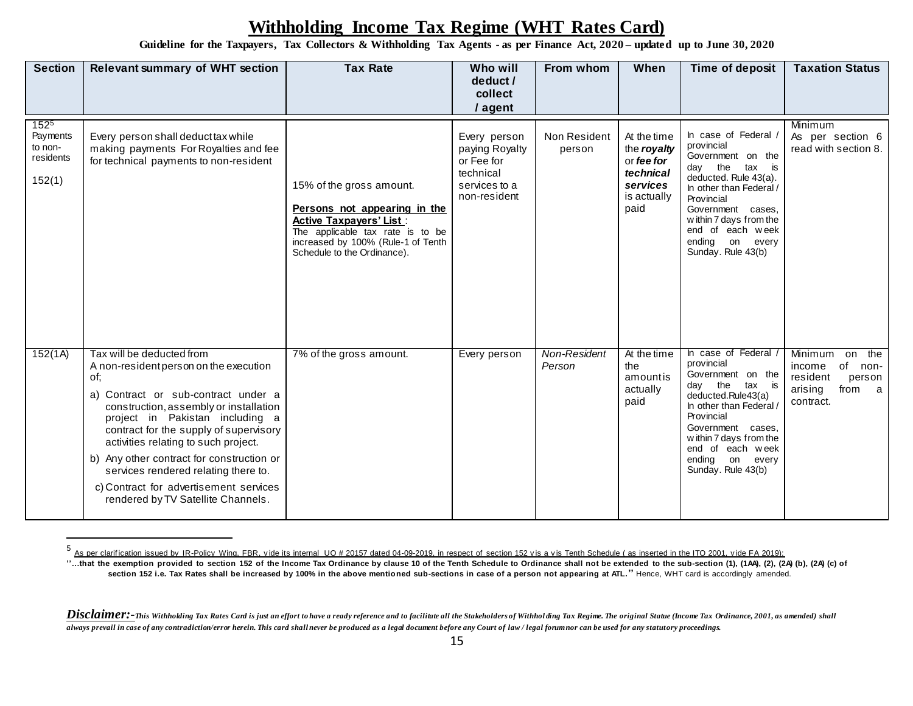**Guideline for the Taxpayers, Tax Collectors & Withholding Tax Agents - as per Finance Act, 2020 – updated up to June 30, 2020**

| <b>Section</b>                                          | <b>Relevant summary of WHT section</b>                                                                                                                                                                                                                                                                                                                                                                                                                | <b>Tax Rate</b>                                                                                                                                                                                     | Who will<br>deduct /<br>collect<br>/ agent                                                 | From whom              | When                                                                                     | Time of deposit                                                                                                                                                                                                                                            | <b>Taxation Status</b>                                                                                      |
|---------------------------------------------------------|-------------------------------------------------------------------------------------------------------------------------------------------------------------------------------------------------------------------------------------------------------------------------------------------------------------------------------------------------------------------------------------------------------------------------------------------------------|-----------------------------------------------------------------------------------------------------------------------------------------------------------------------------------------------------|--------------------------------------------------------------------------------------------|------------------------|------------------------------------------------------------------------------------------|------------------------------------------------------------------------------------------------------------------------------------------------------------------------------------------------------------------------------------------------------------|-------------------------------------------------------------------------------------------------------------|
| $152^{5}$<br>Payments<br>to non-<br>residents<br>152(1) | Every person shall deduct tax while<br>making payments For Royalties and fee<br>for technical payments to non-resident                                                                                                                                                                                                                                                                                                                                | 15% of the gross amount.<br>Persons not appearing in the<br><b>Active Taxpayers' List:</b><br>The applicable tax rate is to be<br>increased by 100% (Rule-1 of Tenth<br>Schedule to the Ordinance). | Every person<br>paying Royalty<br>or Fee for<br>technical<br>services to a<br>non-resident | Non Resident<br>person | At the time<br>the royalty<br>or fee for<br>technical<br>services<br>is actually<br>paid | In case of Federal /<br>provincial<br>Government on the<br>tax is<br>day the<br>deducted. Rule 43(a).<br>In other than Federal /<br>Provincial<br>Government cases,<br>within 7 days from the<br>end of each week<br>ending on every<br>Sunday. Rule 43(b) | Minimum<br>As per section 6<br>read with section 8.                                                         |
| 152(1A)                                                 | Tax will be deducted from<br>A non-resident person on the execution<br>of:<br>a) Contract or sub-contract under a<br>construction, assembly or installation<br>project in Pakistan including a<br>contract for the supply of supervisory<br>activities relating to such project.<br>b) Any other contract for construction or<br>services rendered relating there to.<br>c) Contract for advertisement services<br>rendered by TV Satellite Channels. | 7% of the gross amount.                                                                                                                                                                             | Every person                                                                               | Non-Resident<br>Person | At the time<br>the<br>amountis<br>actually<br>paid                                       | In case of Federal<br>provincial<br>Government on the<br>day the<br>tax is<br>deducted.Rule43(a)<br>In other than Federal /<br>Provincial<br>Government cases,<br>within 7 days from the<br>end of each week<br>ending on every<br>Sunday. Rule 43(b)      | Minimum<br>on the<br>of<br>income<br>non-<br>resident<br>person<br>from<br>arising<br>$\alpha$<br>contract. |

<sup>&</sup>lt;sup>5</sup> As per clarification issued by IR-Policy Wing, FBR, vide its internal UO # 20157 dated 04-09-2019, in respect of section 152 vis a vis Tenth Schedule ( as inserted in the ITO 2001, vide FA 2019):

**<sup>&#</sup>x27;'…that the exemption provided to section 152 of the Income Tax Ordinance by clause 10 of the Tenth Schedule to Ordinance shall not be extended to the sub-section (1), (1AA), (2), (2A) (b), (2A) (c) of section 152 i.e. Tax Rates shall be increased by 100% in the above mentioned sub-sections in case of a person not appearing at ATL.''** Hence, WHT card is accordingly amended.

Disclaimer:-This Withholding Tax Rates Card is just an effort to have a ready reference and to facilitate all the Stakeholders of Withholding Tax Regime. The original Statue (Income Tax Ordinance, 2001, as amended) shall *always prevail in case of any contradiction/error herein. This card shall never be produced as a legal document before any Court of law / legal forum nor can be used for any statutory proceedings.*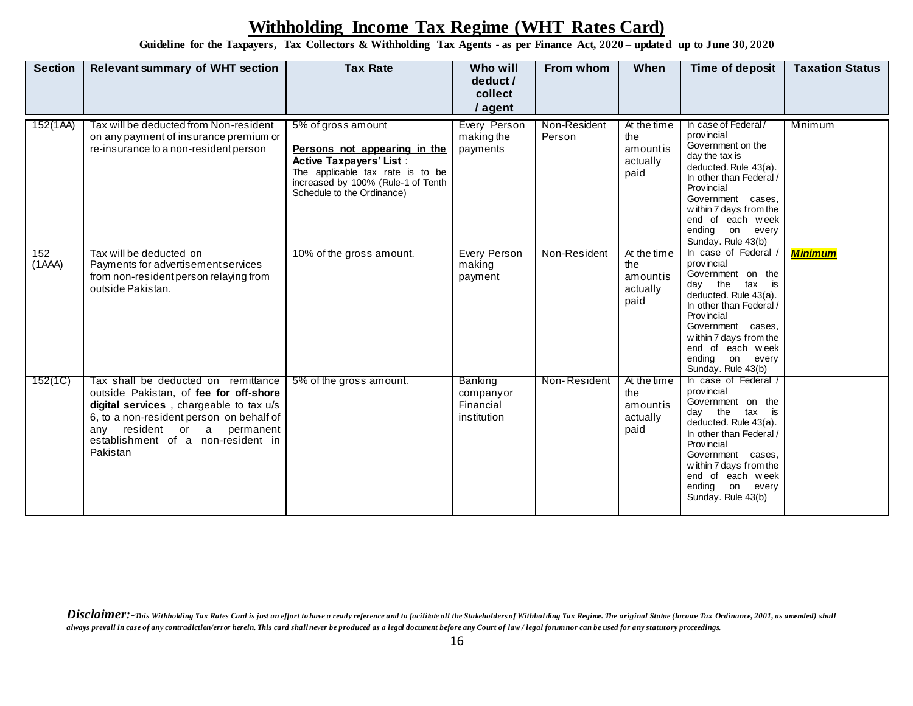**Guideline for the Taxpayers, Tax Collectors & Withholding Tax Agents - as per Finance Act, 2020 – updated up to June 30, 2020**

| <b>Section</b> | <b>Relevant summary of WHT section</b>                                                                                                                                                                                                                | <b>Tax Rate</b>                                                                                                                                                                              | Who will<br>deduct /<br>collect<br>/ agent       | From whom              | When                                               | Time of deposit                                                                                                                                                                                                                                            | <b>Taxation Status</b> |
|----------------|-------------------------------------------------------------------------------------------------------------------------------------------------------------------------------------------------------------------------------------------------------|----------------------------------------------------------------------------------------------------------------------------------------------------------------------------------------------|--------------------------------------------------|------------------------|----------------------------------------------------|------------------------------------------------------------------------------------------------------------------------------------------------------------------------------------------------------------------------------------------------------------|------------------------|
| 152(1AA)       | Tax will be deducted from Non-resident<br>on any payment of insurance premium or<br>re-insurance to a non-resident person                                                                                                                             | 5% of gross amount<br>Persons not appearing in the<br><b>Active Taxpayers' List:</b><br>The applicable tax rate is to be<br>increased by 100% (Rule-1 of Tenth<br>Schedule to the Ordinance) | Every Person<br>making the<br>payments           | Non-Resident<br>Person | At the time<br>the<br>amountis<br>actually<br>paid | In case of Federal/<br>provincial<br>Government on the<br>day the tax is<br>deducted. Rule 43(a).<br>In other than Federal /<br>Provincial<br>Government cases.<br>within 7 days from the<br>end of each week<br>ending on every<br>Sunday. Rule 43(b)     | Minimum                |
| 152<br>(AAA)   | Tax will be deducted on<br>Payments for advertisement services<br>from non-resident person relaying from<br>outside Pakistan.                                                                                                                         | 10% of the gross amount.                                                                                                                                                                     | <b>Every Person</b><br>making<br>payment         | Non-Resident           | At the time<br>the<br>amountis<br>actually<br>paid | In case of Federal /<br>provincial<br>Government on the<br>day the<br>tax is<br>deducted. Rule 43(a).<br>In other than Federal /<br>Provincial<br>Government cases,<br>within 7 days from the<br>end of each week<br>ending on every<br>Sunday. Rule 43(b) | <b>Minimum</b>         |
| 152(1C)        | Tax shall be deducted on remittance<br>outside Pakistan, of fee for off-shore<br>digital services, chargeable to tax u/s<br>6, to a non-resident person on behalf of<br>any resident or a permanent<br>establishment of a non-resident in<br>Pakistan | 5% of the gross amount.                                                                                                                                                                      | Banking<br>companyor<br>Financial<br>institution | Non-Resident           | At the time<br>the<br>amountis<br>actually<br>paid | In case of Federal /<br>provincial<br>Government on the<br>tax is<br>day the<br>deducted. Rule 43(a).<br>In other than Federal /<br>Provincial<br>Government cases,<br>within 7 days from the<br>end of each week<br>ending on every<br>Sunday. Rule 43(b) |                        |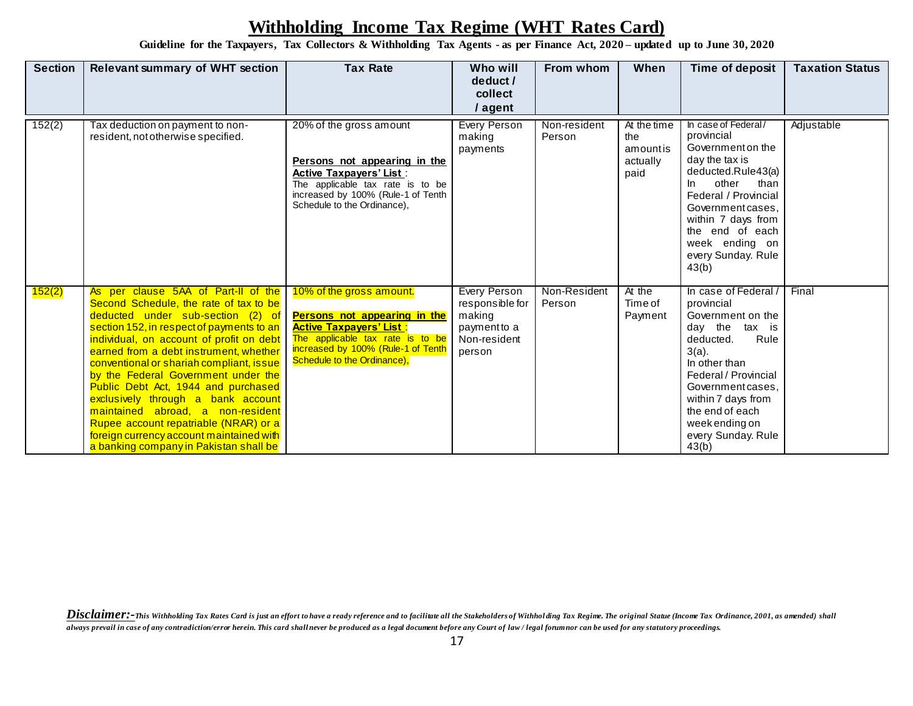**Guideline for the Taxpayers, Tax Collectors & Withholding Tax Agents - as per Finance Act, 2020 – updated up to June 30, 2020**

| <b>Section</b> | <b>Relevant summary of WHT section</b>                                                                                                                                                                                                                                                                                                                                                                                                                                                                                                                                                    | <b>Tax Rate</b>                                                                                                                                                                                     | Who will<br>deduct /<br>collect<br>/ agent                                          | From whom              | When                                               | Time of deposit                                                                                                                                                                                                                                                  | <b>Taxation Status</b> |
|----------------|-------------------------------------------------------------------------------------------------------------------------------------------------------------------------------------------------------------------------------------------------------------------------------------------------------------------------------------------------------------------------------------------------------------------------------------------------------------------------------------------------------------------------------------------------------------------------------------------|-----------------------------------------------------------------------------------------------------------------------------------------------------------------------------------------------------|-------------------------------------------------------------------------------------|------------------------|----------------------------------------------------|------------------------------------------------------------------------------------------------------------------------------------------------------------------------------------------------------------------------------------------------------------------|------------------------|
| 152(2)         | Tax deduction on payment to non-<br>resident, not otherwise specified.                                                                                                                                                                                                                                                                                                                                                                                                                                                                                                                    | 20% of the gross amount<br>Persons not appearing in the<br><b>Active Taxpayers' List:</b><br>The applicable tax rate is to be<br>increased by 100% (Rule-1 of Tenth<br>Schedule to the Ordinance),  | Every Person<br>making<br>payments                                                  | Non-resident<br>Person | At the time<br>the<br>amountis<br>actually<br>paid | In case of Federal/<br>provincial<br>Government on the<br>day the tax is<br>deducted.Rule43(a)<br>other<br>than<br>In.<br>Federal / Provincial<br>Government cases.<br>within 7 days from<br>the end of each<br>week ending on<br>every Sunday. Rule<br>43(b)    | Adjustable             |
| 152(2)         | As per clause 5AA of Part-II of the<br>Second Schedule, the rate of tax to be<br>deducted under sub-section (2) of<br>section 152, in respect of payments to an<br>individual, on account of profit on debt<br>earned from a debt instrument, whether<br>conventional or shariah compliant, issue<br>by the Federal Government under the<br>Public Debt Act, 1944 and purchased<br>exclusively through a bank account<br>maintained abroad, a non-resident<br>Rupee account repatriable (NRAR) or a<br>foreign currency account maintained with<br>a banking company in Pakistan shall be | 10% of the gross amount.<br>Persons not appearing in the<br><b>Active Taxpayers' List:</b><br>The applicable tax rate is to be<br>increased by 100% (Rule-1 of Tenth<br>Schedule to the Ordinance), | Every Person<br>responsible for<br>making<br>payment to a<br>Non-resident<br>person | Non-Resident<br>Person | At the<br>Time of<br>Payment                       | In case of Federal<br>provincial<br>Government on the<br>day the tax is<br>Rule<br>deducted.<br>$3(a)$ .<br>In other than<br>Federal / Provincial<br>Government cases,<br>within 7 days from<br>the end of each<br>week ending on<br>every Sunday. Rule<br>43(b) | Final                  |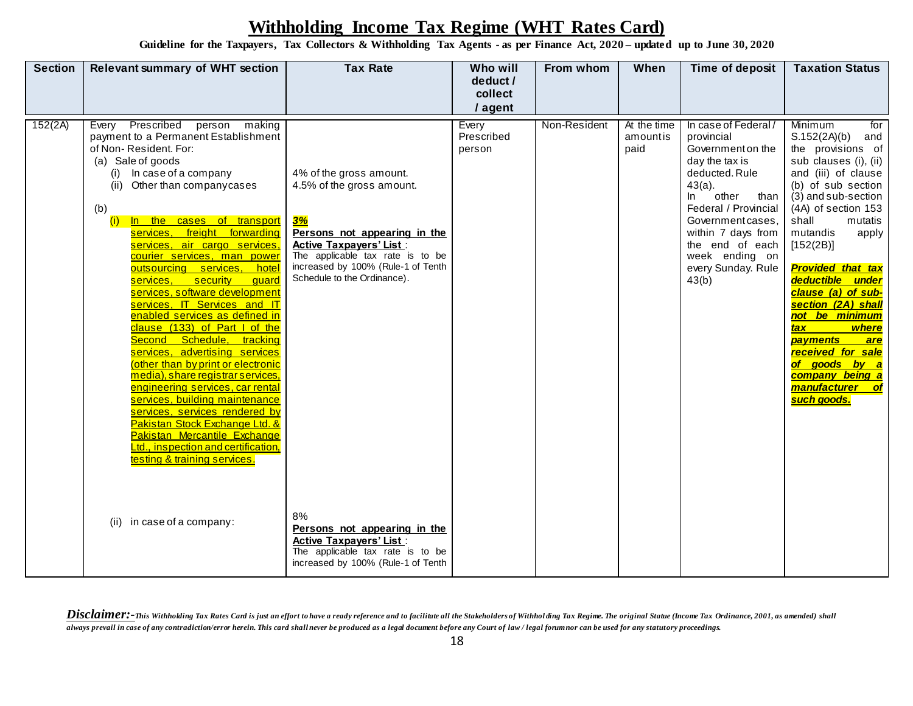**Guideline for the Taxpayers, Tax Collectors & Withholding Tax Agents - as per Finance Act, 2020 – updated up to June 30, 2020**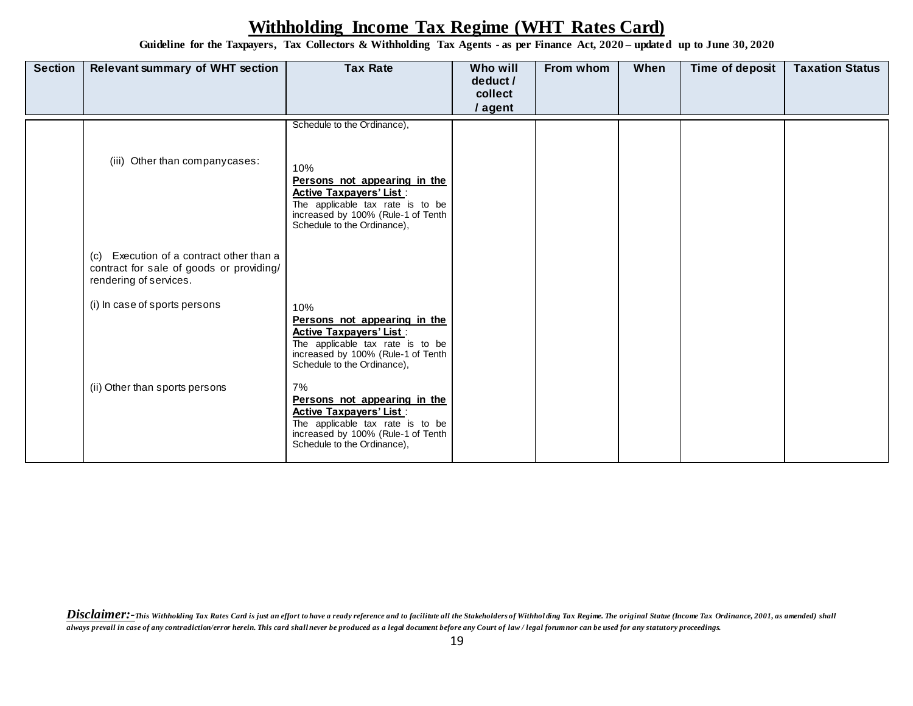**Guideline for the Taxpayers, Tax Collectors & Withholding Tax Agents - as per Finance Act, 2020 – updated up to June 30, 2020**

| <b>Section</b> | <b>Relevant summary of WHT section</b>                                                                         | <b>Tax Rate</b>                                                                                                                                                                | Who will<br>deduct /<br>collect<br>/ agent | From whom | When | Time of deposit | <b>Taxation Status</b> |
|----------------|----------------------------------------------------------------------------------------------------------------|--------------------------------------------------------------------------------------------------------------------------------------------------------------------------------|--------------------------------------------|-----------|------|-----------------|------------------------|
|                |                                                                                                                | Schedule to the Ordinance),                                                                                                                                                    |                                            |           |      |                 |                        |
|                | (iii) Other than company cases:                                                                                | 10%<br>Persons not appearing in the<br><b>Active Taxpayers' List:</b><br>The applicable tax rate is to be<br>increased by 100% (Rule-1 of Tenth<br>Schedule to the Ordinance), |                                            |           |      |                 |                        |
|                | (c) Execution of a contract other than a<br>contract for sale of goods or providing/<br>rendering of services. |                                                                                                                                                                                |                                            |           |      |                 |                        |
|                | (i) In case of sports persons                                                                                  | 10%<br>Persons not appearing in the<br><b>Active Taxpayers' List:</b><br>The applicable tax rate is to be<br>increased by 100% (Rule-1 of Tenth<br>Schedule to the Ordinance), |                                            |           |      |                 |                        |
|                | (ii) Other than sports persons                                                                                 | 7%<br>Persons not appearing in the<br><b>Active Taxpayers' List:</b><br>The applicable tax rate is to be<br>increased by 100% (Rule-1 of Tenth<br>Schedule to the Ordinance),  |                                            |           |      |                 |                        |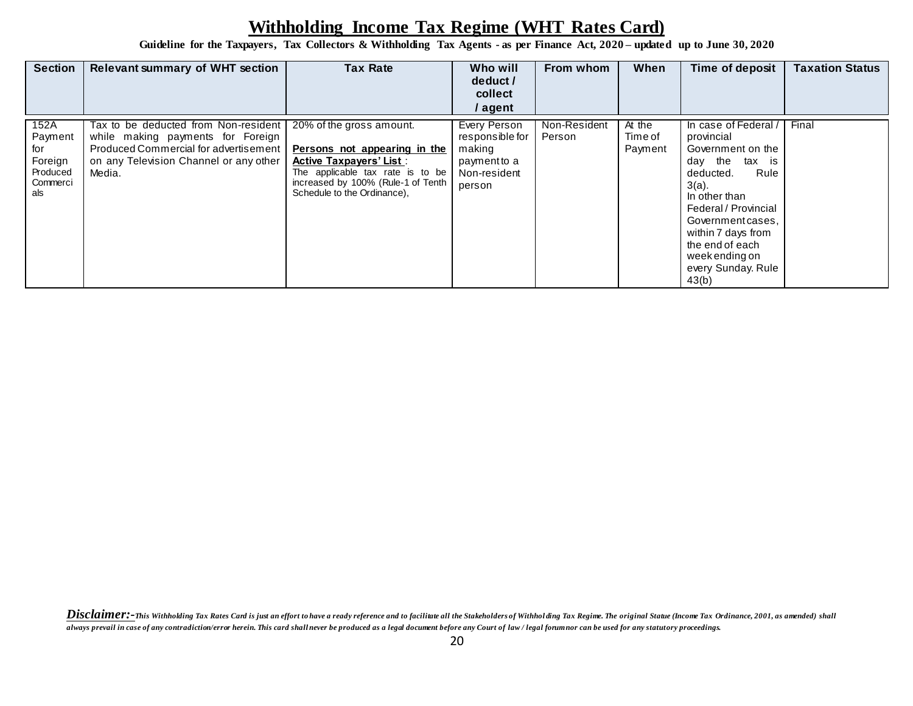**Guideline for the Taxpayers, Tax Collectors & Withholding Tax Agents - as per Finance Act, 2020 – updated up to June 30, 2020**

| <b>Section</b>                                                   | <b>Relevant summary of WHT section</b>                                                                                                                                 | <b>Tax Rate</b>                                                                                                                                                                                     | Who will<br>deduct /<br>collect<br>/ agent                                          | From whom              | When                         | Time of deposit                                                                                                                                                                                                                                                     | <b>Taxation Status</b> |
|------------------------------------------------------------------|------------------------------------------------------------------------------------------------------------------------------------------------------------------------|-----------------------------------------------------------------------------------------------------------------------------------------------------------------------------------------------------|-------------------------------------------------------------------------------------|------------------------|------------------------------|---------------------------------------------------------------------------------------------------------------------------------------------------------------------------------------------------------------------------------------------------------------------|------------------------|
| 152A<br>Payment<br>for<br>Foreign<br>Produced<br>Commerci<br>als | Tax to be deducted from Non-resident<br>while making payments for Foreign<br>Produced Commercial for advertisement<br>on any Television Channel or any other<br>Media. | 20% of the gross amount.<br>Persons not appearing in the<br><b>Active Taxpayers' List:</b><br>The applicable tax rate is to be<br>increased by 100% (Rule-1 of Tenth<br>Schedule to the Ordinance), | Every Person<br>responsible for<br>making<br>payment to a<br>Non-resident<br>person | Non-Resident<br>Person | At the<br>Time of<br>Payment | In case of Federal<br>provincial<br>Government on the<br>day the<br>tax is<br>Rule<br>deducted.<br>$3(a)$ .<br>In other than<br>Federal / Provincial<br>Government cases,<br>within 7 days from<br>the end of each<br>week ending on<br>every Sunday. Rule<br>43(b) | Final                  |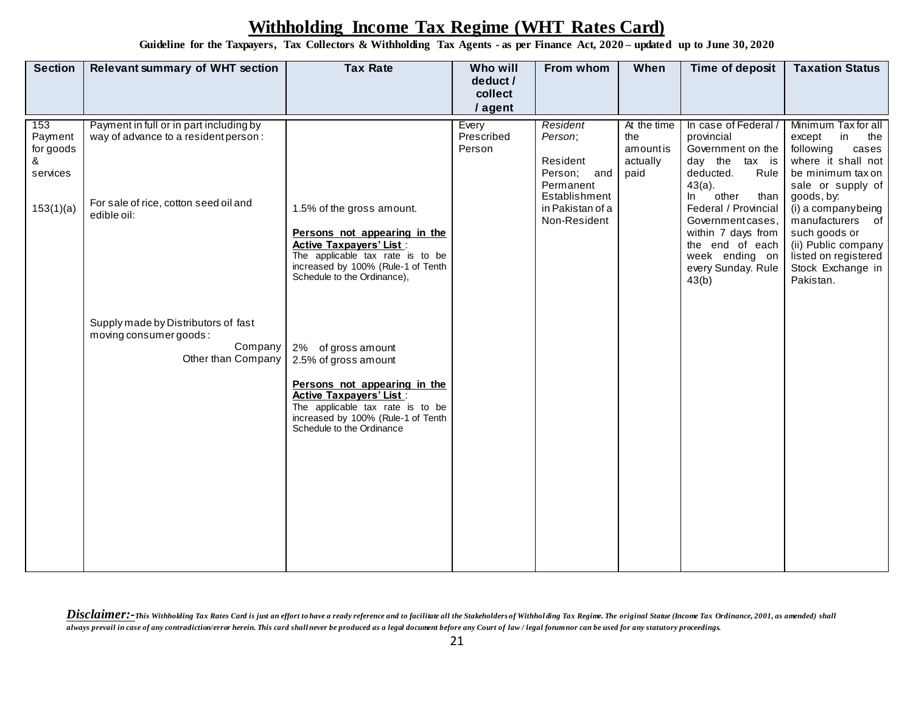**Guideline for the Taxpayers, Tax Collectors & Withholding Tax Agents - as per Finance Act, 2020 – updated up to June 30, 2020**

| <b>Section</b>                                | <b>Relevant summary of WHT section</b>                                                         | <b>Tax Rate</b>                                                                                                                                                                                                     | Who will                      | From whom                                                   | When                                               | Time of deposit                                                                                                                                            | <b>Taxation Status</b>                                                                                                                                 |
|-----------------------------------------------|------------------------------------------------------------------------------------------------|---------------------------------------------------------------------------------------------------------------------------------------------------------------------------------------------------------------------|-------------------------------|-------------------------------------------------------------|----------------------------------------------------|------------------------------------------------------------------------------------------------------------------------------------------------------------|--------------------------------------------------------------------------------------------------------------------------------------------------------|
|                                               |                                                                                                |                                                                                                                                                                                                                     | deduct /<br>collect           |                                                             |                                                    |                                                                                                                                                            |                                                                                                                                                        |
|                                               |                                                                                                |                                                                                                                                                                                                                     | / agent                       |                                                             |                                                    |                                                                                                                                                            |                                                                                                                                                        |
| 153<br>Payment<br>for goods<br>୍ୟ<br>services | Payment in full or in part including by<br>way of advance to a resident person:                |                                                                                                                                                                                                                     | Every<br>Prescribed<br>Person | Resident<br>Person;<br>Resident<br>Person; and<br>Permanent | At the time<br>the<br>amountis<br>actually<br>paid | In case of Federal /<br>provincial<br>Government on the<br>day the tax is<br>deducted.<br>Rule<br>$43(a)$ .                                                | Minimum Tax for all<br>in<br>except<br>the<br>following<br>cases<br>where it shall not<br>be minimum tax on<br>sale or supply of                       |
| 153(1)(a)                                     | For sale of rice, cotton seed oil and<br>edible oil:                                           | 1.5% of the gross amount.<br>Persons not appearing in the<br><b>Active Taxpayers' List:</b><br>The applicable tax rate is to be<br>increased by 100% (Rule-1 of Tenth<br>Schedule to the Ordinance),                |                               | Establishment<br>in Pakistan of a<br>Non-Resident           |                                                    | other<br>In<br>than<br>Federal / Provincial<br>Government cases,<br>within 7 days from<br>the end of each<br>week ending on<br>every Sunday. Rule<br>43(b) | goods, by:<br>(i) a companybeing<br>manufacturers of<br>such goods or<br>(ii) Public company<br>listed on registered<br>Stock Exchange in<br>Pakistan. |
|                                               | Supply made by Distributors of fast<br>moving consumer goods:<br>Company<br>Other than Company | 2% of gross amount<br>2.5% of gross amount<br>Persons not appearing in the<br><b>Active Taxpayers' List:</b><br>The applicable tax rate is to be<br>increased by 100% (Rule-1 of Tenth<br>Schedule to the Ordinance |                               |                                                             |                                                    |                                                                                                                                                            |                                                                                                                                                        |

Disclaimer:-This Withholding Tax Rates Card is just an effort to have a ready reference and to facilitate all the Stakeholders of Withholding Tax Regime. The original Statue (Income Tax Ordinance, 2001, as amended) shall *always prevail in case of any contradiction/error herein. This card shall never be produced as a legal document before any Court of law / legal forum nor can be used for any statutory proceedings.*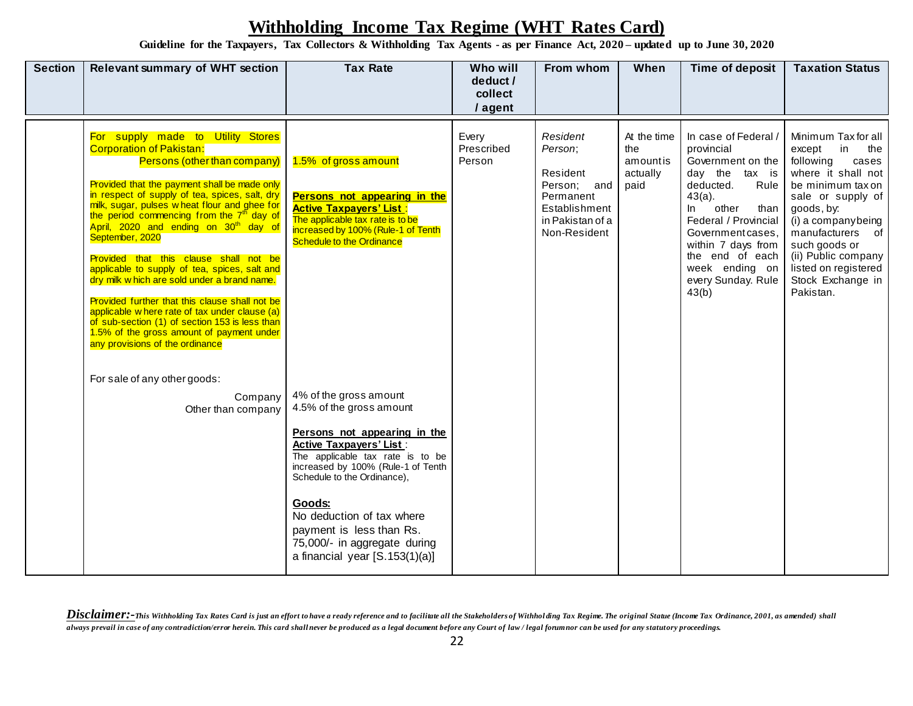**Guideline for the Taxpayers, Tax Collectors & Withholding Tax Agents - as per Finance Act, 2020 – updated up to June 30, 2020**

| <b>Section</b> | <b>Relevant summary of WHT section</b>                                                                                                                                                                                                                                                                                                                                                                                                                                                                                                                                                                                                                                                                                                                                   | <b>Tax Rate</b>                                                                                                                                                                                                                                                                                                                                                    | Who will<br>deduct /<br>collect<br>/ agent | From whom                                                                                                        | When                                               | Time of deposit                                                                                                                                                                                                                                                            | <b>Taxation Status</b>                                                                                                                                                                                                                                                                     |
|----------------|--------------------------------------------------------------------------------------------------------------------------------------------------------------------------------------------------------------------------------------------------------------------------------------------------------------------------------------------------------------------------------------------------------------------------------------------------------------------------------------------------------------------------------------------------------------------------------------------------------------------------------------------------------------------------------------------------------------------------------------------------------------------------|--------------------------------------------------------------------------------------------------------------------------------------------------------------------------------------------------------------------------------------------------------------------------------------------------------------------------------------------------------------------|--------------------------------------------|------------------------------------------------------------------------------------------------------------------|----------------------------------------------------|----------------------------------------------------------------------------------------------------------------------------------------------------------------------------------------------------------------------------------------------------------------------------|--------------------------------------------------------------------------------------------------------------------------------------------------------------------------------------------------------------------------------------------------------------------------------------------|
|                | For supply made to Utility Stores<br><b>Corporation of Pakistan:</b><br>Persons (other than company)<br>Provided that the payment shall be made only<br>in respect of supply of tea, spices, salt, dry<br>milk, sugar, pulses wheat flour and ghee for<br>the period commencing from the 7 <sup>th</sup> day of<br>April, 2020 and ending on 30 <sup>th</sup> day of<br>September, 2020<br>Provided that this clause shall not be<br>applicable to supply of tea, spices, salt and<br>dry milk w hich are sold under a brand name.<br>Provided further that this clause shall not be<br>applicable w here rate of tax under clause (a)<br>of sub-section (1) of section 153 is less than<br>1.5% of the gross amount of payment under<br>any provisions of the ordinance | 1.5% of gross amount<br>Persons not appearing in the<br><b>Active Taxpayers' List:</b><br>The applicable tax rate is to be<br>increased by 100% (Rule-1 of Tenth<br><b>Schedule to the Ordinance</b>                                                                                                                                                               | Every<br>Prescribed<br>Person              | Resident<br>Person;<br>Resident<br>Person; and<br>Permanent<br>Establishment<br>in Pakistan of a<br>Non-Resident | At the time<br>the<br>amountis<br>actually<br>paid | In case of Federal /<br>provincial<br>Government on the<br>day the tax is<br>deducted.<br>Rule<br>$43(a)$ .<br>other<br>In.<br>than<br>Federal / Provincial<br>Government cases,<br>within 7 days from<br>the end of each<br>week ending on<br>every Sunday. Rule<br>43(b) | Minimum Tax for all<br>in<br>the<br>except<br>following<br>cases<br>where it shall not<br>be minimum tax on<br>sale or supply of<br>goods, by:<br>(i) a companybeing<br>manufacturers of<br>such goods or<br>(ii) Public company<br>listed on registered<br>Stock Exchange in<br>Pakistan. |
|                | For sale of any other goods:<br>Company<br>Other than company                                                                                                                                                                                                                                                                                                                                                                                                                                                                                                                                                                                                                                                                                                            | 4% of the gross amount<br>4.5% of the gross amount<br>Persons not appearing in the<br><b>Active Taxpayers' List:</b><br>The applicable tax rate is to be<br>increased by 100% (Rule-1 of Tenth<br>Schedule to the Ordinance),<br>Goods:<br>No deduction of tax where<br>payment is less than Rs.<br>75,000/- in aggregate during<br>a financial year [S.153(1)(a)] |                                            |                                                                                                                  |                                                    |                                                                                                                                                                                                                                                                            |                                                                                                                                                                                                                                                                                            |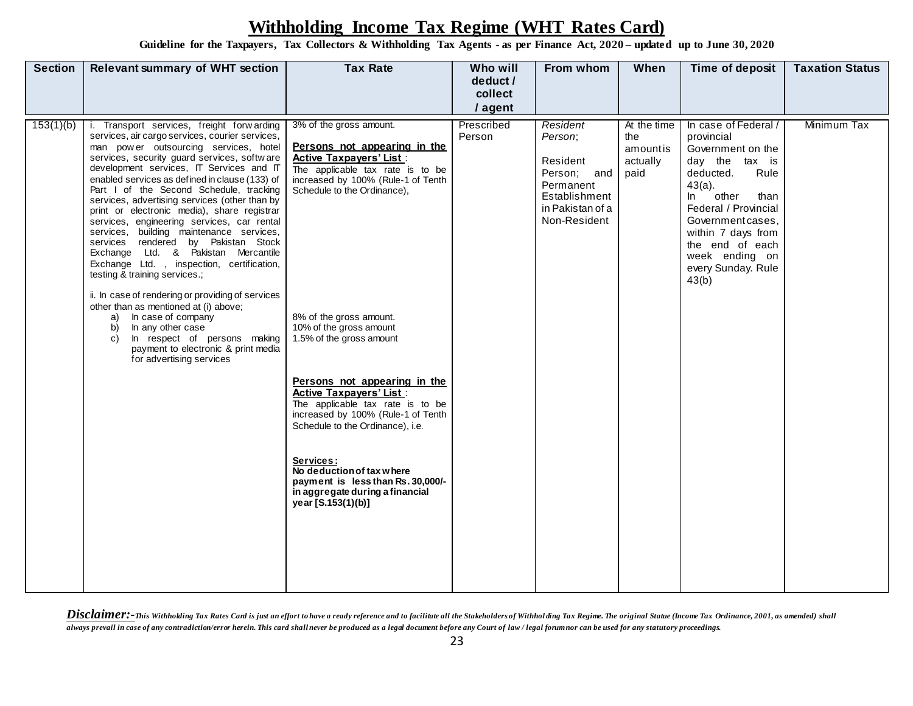**Guideline for the Taxpayers, Tax Collectors & Withholding Tax Agents - as per Finance Act, 2020 – updated up to June 30, 2020**

| <b>Section</b> | <b>Relevant summary of WHT section</b>                                                                                                                                                                                                                                                                                                                                                                                                                                                                                                                                                                                                                                                                                                                                                                                                                                                                                                         | <b>Tax Rate</b>                                                                                                                                                                                                                                                                                                                                                                                                                                                                                                                                                                                              | Who will<br>deduct /<br>collect | From whom                                                                                                        | When                                               | Time of deposit                                                                                                                                                                                                                                                           | <b>Taxation Status</b> |
|----------------|------------------------------------------------------------------------------------------------------------------------------------------------------------------------------------------------------------------------------------------------------------------------------------------------------------------------------------------------------------------------------------------------------------------------------------------------------------------------------------------------------------------------------------------------------------------------------------------------------------------------------------------------------------------------------------------------------------------------------------------------------------------------------------------------------------------------------------------------------------------------------------------------------------------------------------------------|--------------------------------------------------------------------------------------------------------------------------------------------------------------------------------------------------------------------------------------------------------------------------------------------------------------------------------------------------------------------------------------------------------------------------------------------------------------------------------------------------------------------------------------------------------------------------------------------------------------|---------------------------------|------------------------------------------------------------------------------------------------------------------|----------------------------------------------------|---------------------------------------------------------------------------------------------------------------------------------------------------------------------------------------------------------------------------------------------------------------------------|------------------------|
|                |                                                                                                                                                                                                                                                                                                                                                                                                                                                                                                                                                                                                                                                                                                                                                                                                                                                                                                                                                |                                                                                                                                                                                                                                                                                                                                                                                                                                                                                                                                                                                                              | / agent                         |                                                                                                                  |                                                    |                                                                                                                                                                                                                                                                           |                        |
| 153(1)(b)      | Transport services, freight forwarding<br>services, air cargo services, courier services,<br>man power outsourcing services, hotel<br>services, security guard services, software<br>development services, IT Services and IT<br>enabled services as defined in clause (133) of<br>Part I of the Second Schedule, tracking<br>services, advertising services (other than by<br>print or electronic media), share registrar<br>services, engineering services, car rental<br>services, building maintenance services,<br>services rendered by Pakistan Stock<br>Exchange Ltd. & Pakistan Mercantile<br>Exchange Ltd., inspection, certification,<br>testing & training services.;<br>ii. In case of rendering or providing of services<br>other than as mentioned at (i) above;<br>In case of company<br>a)<br>In any other case<br>b)<br>In respect of persons making<br>c)<br>payment to electronic & print media<br>for advertising services | 3% of the gross amount.<br>Persons not appearing in the<br><b>Active Taxpavers' List:</b><br>The applicable tax rate is to be<br>increased by 100% (Rule-1 of Tenth<br>Schedule to the Ordinance),<br>8% of the gross amount.<br>10% of the gross amount<br>1.5% of the gross amount<br>Persons not appearing in the<br><b>Active Taxpayers' List:</b><br>The applicable tax rate is to be<br>increased by 100% (Rule-1 of Tenth<br>Schedule to the Ordinance), i.e.<br>Services:<br>No deduction of tax where<br>payment is less than Rs. 30,000/-<br>in aggregate during a financial<br>year [S.153(1)(b)] | Prescribed<br>Person            | Resident<br>Person;<br>Resident<br>Person; and<br>Permanent<br>Establishment<br>in Pakistan of a<br>Non-Resident | At the time<br>the<br>amountis<br>actually<br>paid | In case of Federal /<br>provincial<br>Government on the<br>day the tax is<br>deducted.<br>Rule<br>$43(a)$ .<br>other<br>ln<br>than<br>Federal / Provincial<br>Government cases,<br>within 7 days from<br>the end of each<br>week ending on<br>every Sunday. Rule<br>43(b) | Minimum Tax            |
|                |                                                                                                                                                                                                                                                                                                                                                                                                                                                                                                                                                                                                                                                                                                                                                                                                                                                                                                                                                |                                                                                                                                                                                                                                                                                                                                                                                                                                                                                                                                                                                                              |                                 |                                                                                                                  |                                                    |                                                                                                                                                                                                                                                                           |                        |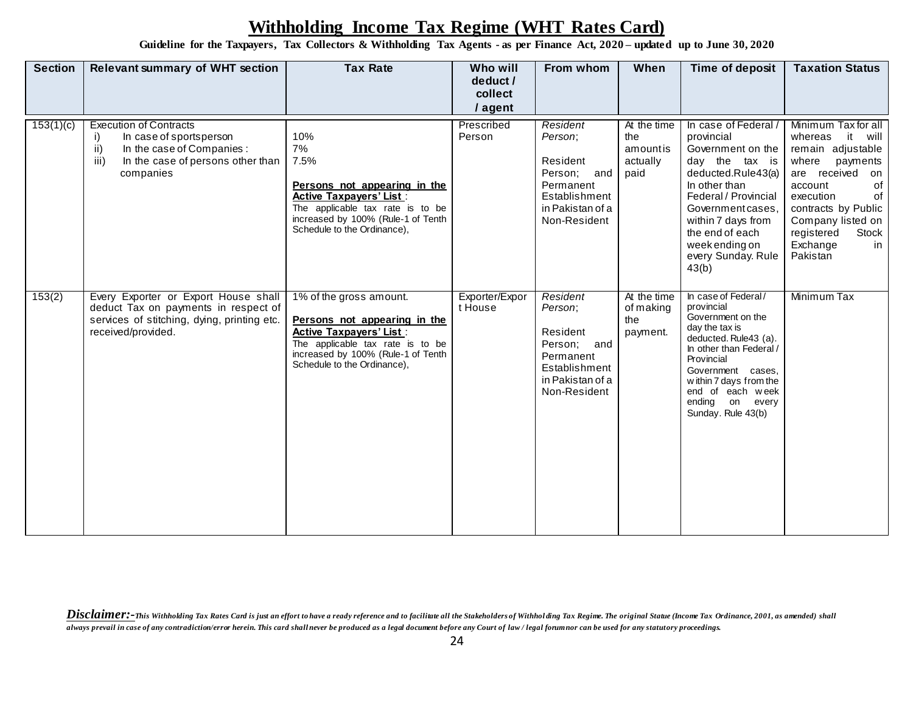**Guideline for the Taxpayers, Tax Collectors & Withholding Tax Agents - as per Finance Act, 2020 – updated up to June 30, 2020**

| <b>Section</b> | <b>Relevant summary of WHT section</b>                                                                                                                        | <b>Tax Rate</b>                                                                                                                                                                                    | Who will<br>deduct /<br>collect<br>/ agent | From whom                                                                                                        | When                                               | Time of deposit                                                                                                                                                                                                                                         | <b>Taxation Status</b>                                                                                                                                                                                                                         |
|----------------|---------------------------------------------------------------------------------------------------------------------------------------------------------------|----------------------------------------------------------------------------------------------------------------------------------------------------------------------------------------------------|--------------------------------------------|------------------------------------------------------------------------------------------------------------------|----------------------------------------------------|---------------------------------------------------------------------------------------------------------------------------------------------------------------------------------------------------------------------------------------------------------|------------------------------------------------------------------------------------------------------------------------------------------------------------------------------------------------------------------------------------------------|
| 153(1)(c)      | <b>Execution of Contracts</b><br>i)<br>In case of sportsperson<br>ii)<br>In the case of Companies :<br>iii)<br>In the case of persons other than<br>companies | 10%<br>7%<br>7.5%<br>Persons not appearing in the<br><b>Active Taxpayers' List:</b><br>The applicable tax rate is to be<br>increased by 100% (Rule-1 of Tenth<br>Schedule to the Ordinance),       | Prescribed<br>Person                       | Resident<br>Person;<br>Resident<br>Person; and<br>Permanent<br>Establishment<br>in Pakistan of a<br>Non-Resident | At the time<br>the<br>amountis<br>actually<br>paid | In case of Federal /<br>provincial<br>Government on the<br>day the tax is<br>deducted.Rule43(a)<br>In other than<br>Federal / Provincial<br>Government cases.<br>within 7 days from<br>the end of each<br>week ending on<br>every Sunday. Rule<br>43(b) | Minimum Tax for all<br>it will<br>whereas<br>remain adjustable<br>where<br>payments<br>are received<br>on<br>0f<br>account<br>of<br>execution<br>contracts by Public<br>Company listed on<br>Stock<br>registered<br>Exchange<br>in<br>Pakistan |
| 153(2)         | Every Exporter or Export House shall<br>deduct Tax on payments in respect of<br>services of stitching, dying, printing etc.<br>received/provided.             | 1% of the gross amount.<br>Persons not appearing in the<br><b>Active Taxpayers' List:</b><br>The applicable tax rate is to be<br>increased by 100% (Rule-1 of Tenth<br>Schedule to the Ordinance), | Exporter/Expor<br>t House                  | Resident<br>Person;<br>Resident<br>Person; and<br>Permanent<br>Establishment<br>in Pakistan of a<br>Non-Resident | At the time<br>of making<br>the<br>payment.        | In case of Federal/<br>provincial<br>Government on the<br>day the tax is<br>deducted. Rule43 (a).<br>In other than Federal /<br>Provincial<br>Government cases,<br>within 7 days from the<br>end of each week<br>ending on every<br>Sunday. Rule 43(b)  | Minimum Tax                                                                                                                                                                                                                                    |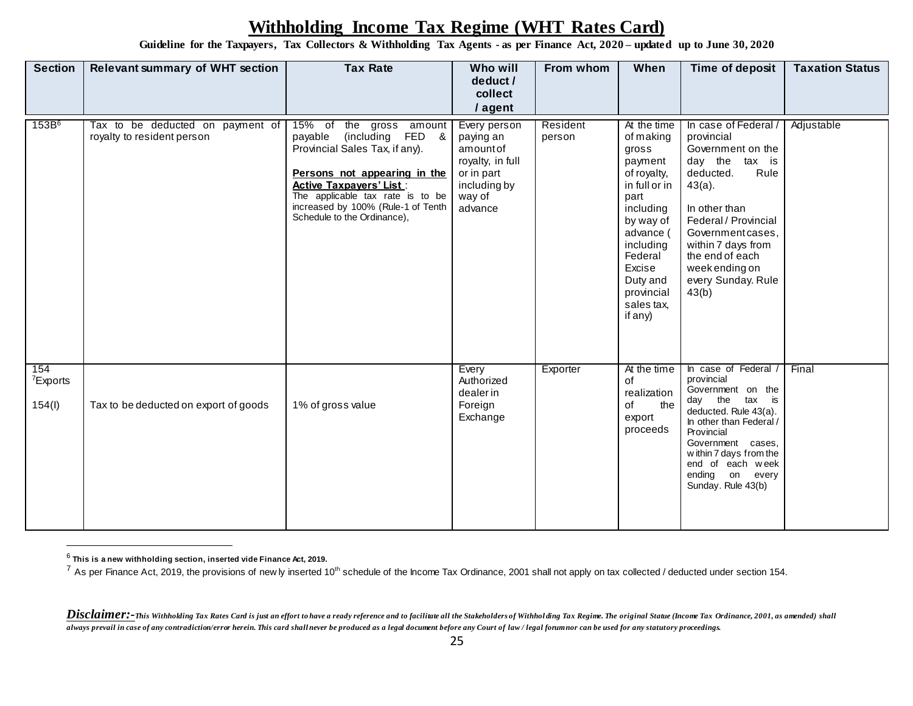**Guideline for the Taxpayers, Tax Collectors & Withholding Tax Agents - as per Finance Act, 2020 – updated up to June 30, 2020**

| <b>Section</b>                        | <b>Relevant summary of WHT section</b>                         | <b>Tax Rate</b>                                                                                                                                                                                                                                                             | Who will<br>deduct /<br>collect<br>/ agent                                                                   | From whom          | When                                                                                                                                                                                                             | Time of deposit                                                                                                                                                                                                                                                        | <b>Taxation Status</b> |
|---------------------------------------|----------------------------------------------------------------|-----------------------------------------------------------------------------------------------------------------------------------------------------------------------------------------------------------------------------------------------------------------------------|--------------------------------------------------------------------------------------------------------------|--------------------|------------------------------------------------------------------------------------------------------------------------------------------------------------------------------------------------------------------|------------------------------------------------------------------------------------------------------------------------------------------------------------------------------------------------------------------------------------------------------------------------|------------------------|
| 153B <sup>6</sup>                     | Tax to be deducted on payment of<br>royalty to resident person | $15%$ of<br>the gross amount<br>FED &<br>payable<br>(including<br>Provincial Sales Tax, if any).<br>Persons not appearing in the<br><b>Active Taxpayers' List:</b><br>The applicable tax rate is to be<br>increased by 100% (Rule-1 of Tenth<br>Schedule to the Ordinance), | Every person<br>paying an<br>amountof<br>royalty, in full<br>or in part<br>including by<br>way of<br>advance | Resident<br>person | At the time<br>of making<br>gross<br>payment<br>of royalty,<br>in full or in<br>part<br>including<br>by way of<br>advance (<br>including<br>Federal<br>Excise<br>Duty and<br>provincial<br>sales tax,<br>if any) | In case of Federal /<br>provincial<br>Government on the<br>day the<br>tax is<br>deducted.<br>Rule<br>$43(a)$ .<br>In other than<br>Federal / Provincial<br>Government cases,<br>within 7 days from<br>the end of each<br>week ending on<br>every Sunday. Rule<br>43(b) | Adjustable             |
| 154<br><sup>7</sup> Exports<br>154(l) | Tax to be deducted on export of goods                          | 1% of gross value                                                                                                                                                                                                                                                           | Every<br>Authorized<br>dealerin<br>Foreign<br>Exchange                                                       | Exporter           | At the time<br>of<br>realization<br>of<br>the<br>export<br>proceeds                                                                                                                                              | In case of Federal /<br>provincial<br>Government on the<br>the<br>tax is<br>day<br>deducted. Rule 43(a).<br>In other than Federal /<br>Provincial<br>Government cases,<br>within 7 days from the<br>end of each week<br>ending on every<br>Sunday. Rule 43(b)          | Final                  |

<sup>6</sup> **This is a new withholding section, inserted vide Finance Act, 2019.**

<sup>&</sup>lt;sup>7</sup> As per Finance Act, 2019, the provisions of new ly inserted 10<sup>th</sup> schedule of the Income Tax Ordinance, 2001 shall not apply on tax collected / deducted under section 154.

Disclaimer:-This Withholding Tax Rates Card is just an effort to have a ready reference and to facilitate all the Stakeholders of Withholding Tax Regime. The original Statue (Income Tax Ordinance, 2001, as amended) shall *always prevail in case of any contradiction/error herein. This card shall never be produced as a legal document before any Court of law / legal forum nor can be used for any statutory proceedings.*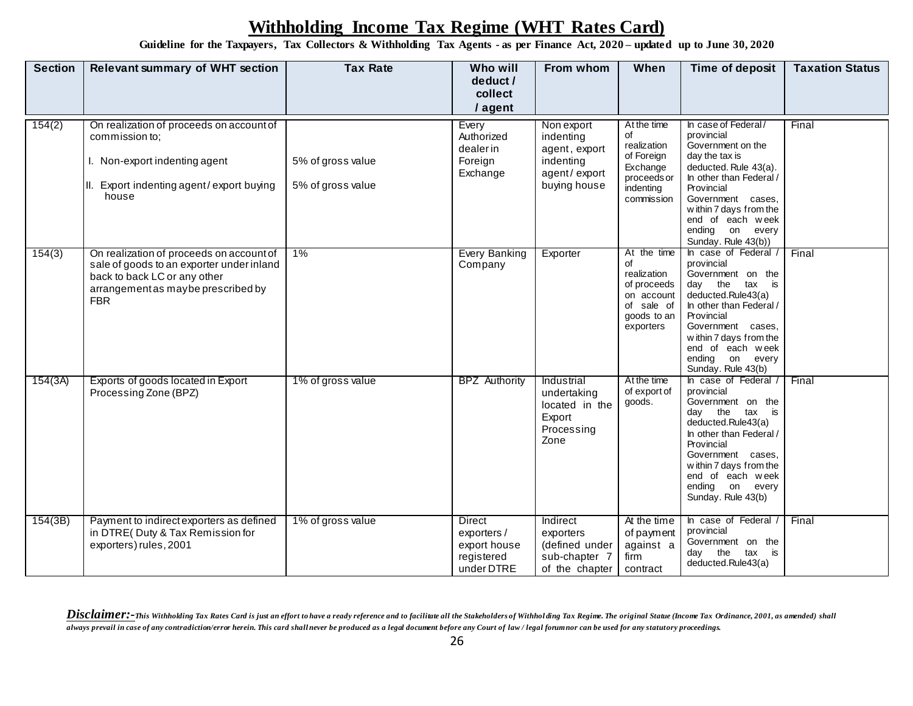**Guideline for the Taxpayers, Tax Collectors & Withholding Tax Agents - as per Finance Act, 2020 – updated up to June 30, 2020**

| <b>Section</b> | <b>Relevant summary of WHT section</b>                                                                                                                                    | <b>Tax Rate</b>                        | Who will<br>deduct /<br>collect<br>/ agent                               | From whom                                                                             | When                                                                                                    | <b>Time of deposit</b>                                                                                                                                                                                                                                  | <b>Taxation Status</b> |
|----------------|---------------------------------------------------------------------------------------------------------------------------------------------------------------------------|----------------------------------------|--------------------------------------------------------------------------|---------------------------------------------------------------------------------------|---------------------------------------------------------------------------------------------------------|---------------------------------------------------------------------------------------------------------------------------------------------------------------------------------------------------------------------------------------------------------|------------------------|
| 154(2)         | On realization of proceeds on account of<br>commission to;<br>I. Non-export indenting agent<br>II. Export indenting agent/export buying<br>house                          | 5% of gross value<br>5% of gross value | Every<br>Authorized<br>dealerin<br>Foreign<br>Exchange                   | Non export<br>indenting<br>agent, export<br>indenting<br>agent/export<br>buying house | At the time<br>of<br>realization<br>of Foreign<br>Exchange<br>proceeds or<br>indenting<br>commission    | In case of Federal/<br>provincial<br>Government on the<br>day the tax is<br>deducted. Rule 43(a).<br>In other than Federal /<br>Provincial<br>Government cases,<br>within 7 days from the<br>end of each week<br>ending on every<br>Sunday. Rule 43(b)) | Final                  |
| 154(3)         | On realization of proceeds on account of<br>sale of goods to an exporter under inland<br>back to back LC or any other<br>arrangement as maybe prescribed by<br><b>FBR</b> | $1\%$                                  | <b>Every Banking</b><br>Company                                          | Exporter                                                                              | At the time<br>of<br>realization<br>of proceeds<br>on account<br>of sale of<br>goods to an<br>exporters | In case of Federal /<br>provincial<br>Government on the<br>day the<br>tax is<br>deducted.Rule43(a)<br>In other than Federal /<br>Provincial<br>Government cases,<br>within 7 days from the<br>end of each week<br>ending on every<br>Sunday. Rule 43(b) | Final                  |
| 154(3A)        | Exports of goods located in Export<br>Processing Zone (BPZ)                                                                                                               | 1% of gross value                      | <b>BPZ</b> Authority                                                     | Industrial<br>undertaking<br>located in the<br>Export<br>Processing<br>Zone           | At the time<br>of export of<br>goods.                                                                   | In case of Federal /<br>provincial<br>Government on the<br>day the<br>tax is<br>deducted.Rule43(a)<br>In other than Federal /<br>Provincial<br>Government cases,<br>within 7 days from the<br>end of each week<br>ending on every<br>Sunday. Rule 43(b) | Final                  |
| 154(3B)        | Payment to indirect exporters as defined<br>in DTRE( Duty & Tax Remission for<br>exporters) rules, 2001                                                                   | 1% of gross value                      | <b>Direct</b><br>exporters /<br>export house<br>registered<br>under DTRE | Indirect<br>exporters<br>(defined under<br>sub-chapter 7<br>of the chapter            | At the time<br>of payment<br>against a<br>firm<br>contract                                              | In case of Federal /<br>provincial<br>Government on the<br>day the<br>tax is<br>deducted.Rule43(a)                                                                                                                                                      | Final                  |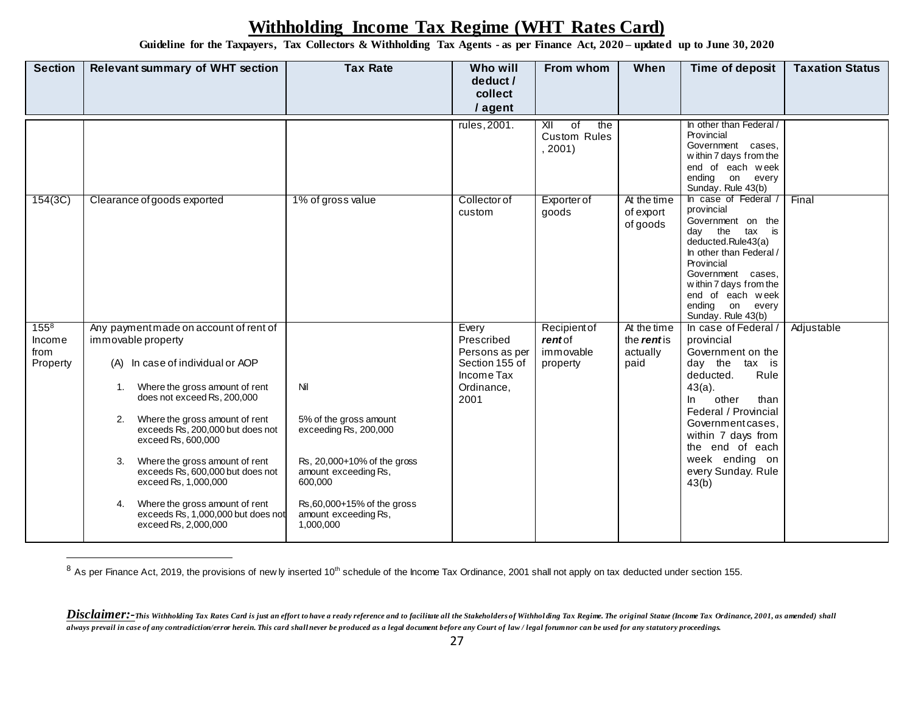**Guideline for the Taxpayers, Tax Collectors & Withholding Tax Agents - as per Finance Act, 2020 – updated up to June 30, 2020**

| <b>Section</b>                          | <b>Relevant summary of WHT section</b>                                                                                                                                                                                                                                                                                                                                                                                                                                        | <b>Tax Rate</b>                                                                                                                                                                               | Who will<br>deduct /                                                                        | From whom                                                                           | When                                                  | Time of deposit                                                                                                                                                                                                                                                              | <b>Taxation Status</b> |
|-----------------------------------------|-------------------------------------------------------------------------------------------------------------------------------------------------------------------------------------------------------------------------------------------------------------------------------------------------------------------------------------------------------------------------------------------------------------------------------------------------------------------------------|-----------------------------------------------------------------------------------------------------------------------------------------------------------------------------------------------|---------------------------------------------------------------------------------------------|-------------------------------------------------------------------------------------|-------------------------------------------------------|------------------------------------------------------------------------------------------------------------------------------------------------------------------------------------------------------------------------------------------------------------------------------|------------------------|
|                                         |                                                                                                                                                                                                                                                                                                                                                                                                                                                                               |                                                                                                                                                                                               | collect<br>/ agent                                                                          |                                                                                     |                                                       |                                                                                                                                                                                                                                                                              |                        |
|                                         |                                                                                                                                                                                                                                                                                                                                                                                                                                                                               |                                                                                                                                                                                               | rules, 2001.                                                                                | $\overline{\mathsf{X}}$<br>$\overline{of}$<br>the<br><b>Custom Rules</b><br>, 2001) |                                                       | In other than Federal /<br>Provincial<br>Government cases,<br>within 7 days from the<br>end of each week<br>ending on every<br>Sunday. Rule 43(b)                                                                                                                            |                        |
| 154(3C)                                 | Clearance of goods exported                                                                                                                                                                                                                                                                                                                                                                                                                                                   | 1% of gross value                                                                                                                                                                             | Collector of<br>custom                                                                      | <b>Exporter of</b><br>goods                                                         | At the time<br>of export<br>of goods                  | In case of Federal /<br>provincial<br>Government on the<br>day the<br>tax is<br>deducted.Rule43(a)<br>In other than Federal /<br>Provincial<br>Government cases.<br>within 7 days from the<br>end of each week<br>ending on every<br>Sunday. Rule 43(b)                      | Final                  |
| $155^{8}$<br>Income<br>from<br>Property | Any payment made on account of rent of<br>immovable property<br>(A) In case of individual or AOP<br>Where the gross amount of rent<br>1.<br>does not exceed Rs, 200,000<br>Where the gross amount of rent<br>exceeds Rs. 200,000 but does not<br>exceed Rs, 600,000<br>Where the gross amount of rent<br>3.<br>exceeds Rs, 600,000 but does not<br>exceed Rs, 1,000,000<br>Where the gross amount of rent<br>4.<br>exceeds Rs, 1,000,000 but does not<br>exceed Rs, 2,000,000 | Nil<br>5% of the gross amount<br>exceeding Rs, 200,000<br>Rs, 20,000+10% of the gross<br>amount exceeding Rs,<br>600,000<br>Rs, 60, 000+15% of the gross<br>amount exceeding Rs,<br>1,000,000 | Every<br>Prescribed<br>Persons as per<br>Section 155 of<br>Income Tax<br>Ordinance,<br>2001 | <b>Recipient of</b><br>rentof<br>immovable<br>property                              | At the time<br>the <i>rent</i> is<br>actually<br>paid | In case of Federal /<br>provincial<br>Government on the<br>day the tax is<br>deducted.<br>Rule<br>$43(a)$ .<br>other<br>$\ln$<br>than<br>Federal / Provincial<br>Government cases,<br>within 7 days from<br>the end of each<br>week ending on<br>every Sunday. Rule<br>43(b) | Adjustable             |

 $8$  As per Finance Act, 2019, the provisions of new ly inserted 10<sup>th</sup> schedule of the Income Tax Ordinance, 2001 shall not apply on tax deducted under section 155.

Disclaimer:-This Withholding Tax Rates Card is just an effort to have a ready reference and to facilitate all the Stakeholders of Withholding Tax Regime. The original Statue (Income Tax Ordinance, 2001, as amended) shall *always prevail in case of any contradiction/error herein. This card shall never be produced as a legal document before any Court of law / legal forum nor can be used for any statutory proceedings.*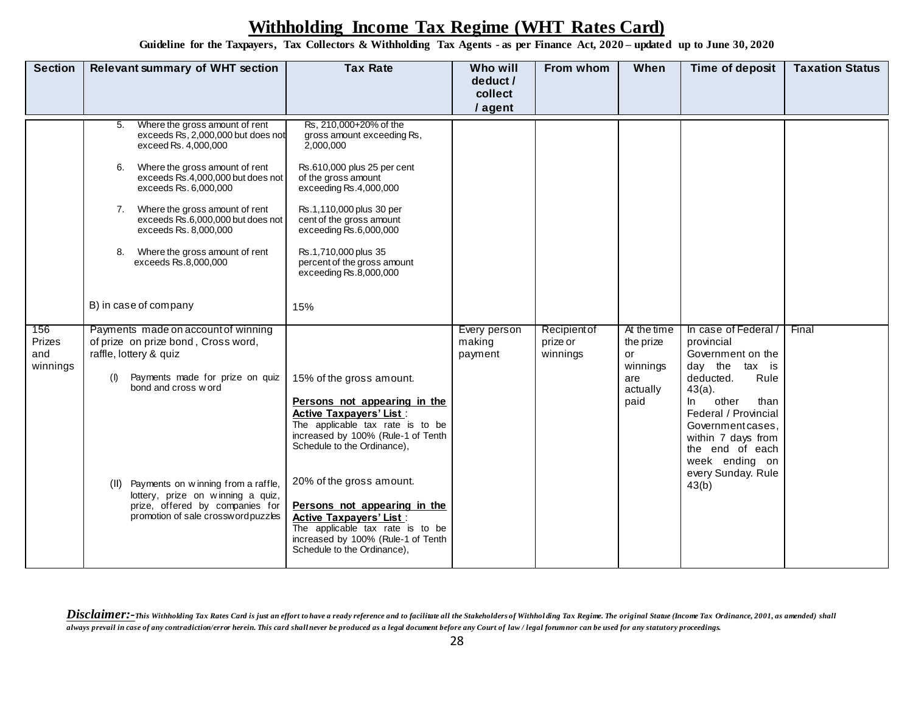**Guideline for the Taxpayers, Tax Collectors & Withholding Tax Agents - as per Finance Act, 2020 – updated up to June 30, 2020**

| <b>Section</b>                   | <b>Relevant summary of WHT section</b>                                                                                                                                                                                                                                                                                                                                                                                                                                                                                                                                      | <b>Tax Rate</b>                                                                                                                                                                                                                                                                                                                                                                | Who will<br>deduct /<br>collect   | From whom                            | When                                                          | Time of deposit                                                                                                                                             | <b>Taxation Status</b> |
|----------------------------------|-----------------------------------------------------------------------------------------------------------------------------------------------------------------------------------------------------------------------------------------------------------------------------------------------------------------------------------------------------------------------------------------------------------------------------------------------------------------------------------------------------------------------------------------------------------------------------|--------------------------------------------------------------------------------------------------------------------------------------------------------------------------------------------------------------------------------------------------------------------------------------------------------------------------------------------------------------------------------|-----------------------------------|--------------------------------------|---------------------------------------------------------------|-------------------------------------------------------------------------------------------------------------------------------------------------------------|------------------------|
|                                  |                                                                                                                                                                                                                                                                                                                                                                                                                                                                                                                                                                             |                                                                                                                                                                                                                                                                                                                                                                                | / agent                           |                                      |                                                               |                                                                                                                                                             |                        |
| 156<br>Prizes<br>and<br>winnings | Where the gross amount of rent<br>5.<br>exceeds Rs, 2,000,000 but does not<br>exceed Rs. 4,000,000<br>Where the gross amount of rent<br>6.<br>exceeds Rs.4,000,000 but does not<br>exceeds Rs. 6,000,000<br>Where the gross amount of rent<br>exceeds Rs.6,000,000 but does not<br>exceeds Rs. 8,000,000<br>Where the gross amount of rent<br>8.<br>exceeds Rs.8,000,000<br>B) in case of company<br>Payments made on account of winning<br>of prize on prize bond, Cross word,<br>raffle, lottery & quiz<br>(1)<br>Payments made for prize on quiz<br>bond and cross w ord | Rs, 210,000+20% of the<br>gross amount exceeding Rs,<br>2,000,000<br>Rs.610,000 plus 25 per cent<br>of the gross amount<br>exceeding Rs.4,000,000<br>Rs.1,110,000 plus 30 per<br>cent of the gross amount<br>exceeding Rs.6,000,000<br>Rs.1,710,000 plus 35<br>percent of the gross amount<br>exceeding Rs.8,000,000<br>15%<br>15% of the gross amount.                        | Every person<br>making<br>payment | Recipient of<br>prize or<br>winnings | At the time<br>the prize<br>or<br>winnings<br>are<br>actually | In case of Federal /<br>provincial<br>Government on the<br>day the tax is<br>deducted.<br>Rule<br>$43(a)$ .                                                 | Final                  |
|                                  | (II) Payments on winning from a raffle,<br>lottery, prize on winning a quiz,<br>prize, offered by companies for<br>promotion of sale crosswordpuzzles                                                                                                                                                                                                                                                                                                                                                                                                                       | Persons not appearing in the<br><b>Active Taxpayers' List:</b><br>The applicable tax rate is to be<br>increased by 100% (Rule-1 of Tenth<br>Schedule to the Ordinance),<br>20% of the gross amount.<br>Persons not appearing in the<br><b>Active Taxpayers' List:</b><br>The applicable tax rate is to be<br>increased by 100% (Rule-1 of Tenth<br>Schedule to the Ordinance), |                                   |                                      | paid                                                          | other<br>In.<br>than<br>Federal / Provincial<br>Government cases,<br>within 7 days from<br>the end of each<br>week ending on<br>every Sunday. Rule<br>43(b) |                        |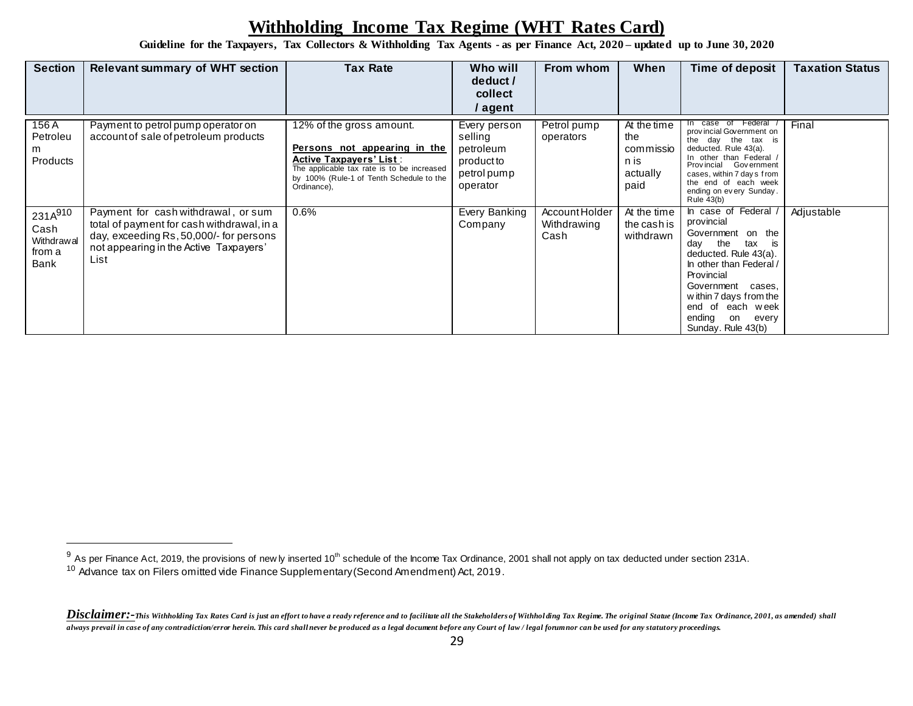**Guideline for the Taxpayers, Tax Collectors & Withholding Tax Agents - as per Finance Act, 2020 – updated up to June 30, 2020**

| <b>Section</b>                                  | <b>Relevant summary of WHT section</b>                                                                                                                                         | <b>Tax Rate</b>                                                                                                                                                                                     | Who will<br>deduct /<br>collect<br>/ agent                                    | From whom                             | When                                                        | Time of deposit                                                                                                                                                                                                                                                      | Taxation Status |
|-------------------------------------------------|--------------------------------------------------------------------------------------------------------------------------------------------------------------------------------|-----------------------------------------------------------------------------------------------------------------------------------------------------------------------------------------------------|-------------------------------------------------------------------------------|---------------------------------------|-------------------------------------------------------------|----------------------------------------------------------------------------------------------------------------------------------------------------------------------------------------------------------------------------------------------------------------------|-----------------|
| 156 A<br>Petroleu<br>m<br>Products              | Payment to petrol pump operator on<br>account of sale of petroleum products                                                                                                    | 12% of the gross amount.<br>Persons not appearing in the<br><b>Active Taxpayers' List:</b><br>The applicable tax rate is to be increased<br>by 100% (Rule-1 of Tenth Schedule to the<br>Ordinance), | Every person<br>selling<br>petroleum<br>product to<br>petrol pump<br>operator | Petrol pump<br>operators              | At the time<br>the<br>commissio<br>n is<br>actually<br>paid | case of Federal<br>provincial Government on<br>the day the tax is<br>deducted. Rule 43(a).<br>In other than Federal /<br>Provincial Government<br>cases, within 7 days from<br>the end of each week<br>ending on every Sunday.<br><b>Rule 43(b)</b>                  | Final           |
| 231A910<br>Cash<br>Withdrawal<br>from a<br>Bank | Payment for cash withdrawal, or sum<br>total of payment for cash withdrawal, in a<br>day, exceeding Rs, 50,000/- for persons<br>not appearing in the Active Taxpayers'<br>List | 0.6%                                                                                                                                                                                                | Every Banking<br>Company                                                      | Account Holder<br>Withdrawing<br>Cash | At the time<br>the cash is<br>withdrawn                     | In case of Federal<br>provincial<br>Government on the<br>day the<br>tax<br>is<br>deducted. Rule 43(a).<br>In other than Federal /<br>Provincial<br>Government<br>cases,<br>within 7 days from the<br>end of each week<br>ending<br>every<br>on<br>Sunday. Rule 43(b) | Adjustable      |

 $^9$  As per Finance Act, 2019, the provisions of new ly inserted 10<sup>th</sup> schedule of the Income Tax Ordinance, 2001 shall not apply on tax deducted under section 231A.  $10$  Advance tax on Filers omitted vide Finance Supplementary (Second Amendment) Act, 2019.

Disclaimer:-This Withholding Tax Rates Card is just an effort to have a ready reference and to facilitate all the Stakeholders of Withholding Tax Regime. The original Statue (Income Tax Ordinance, 2001, as amended) shall *always prevail in case of any contradiction/error herein. This card shall never be produced as a legal document before any Court of law / legal forum nor can be used for any statutory proceedings.*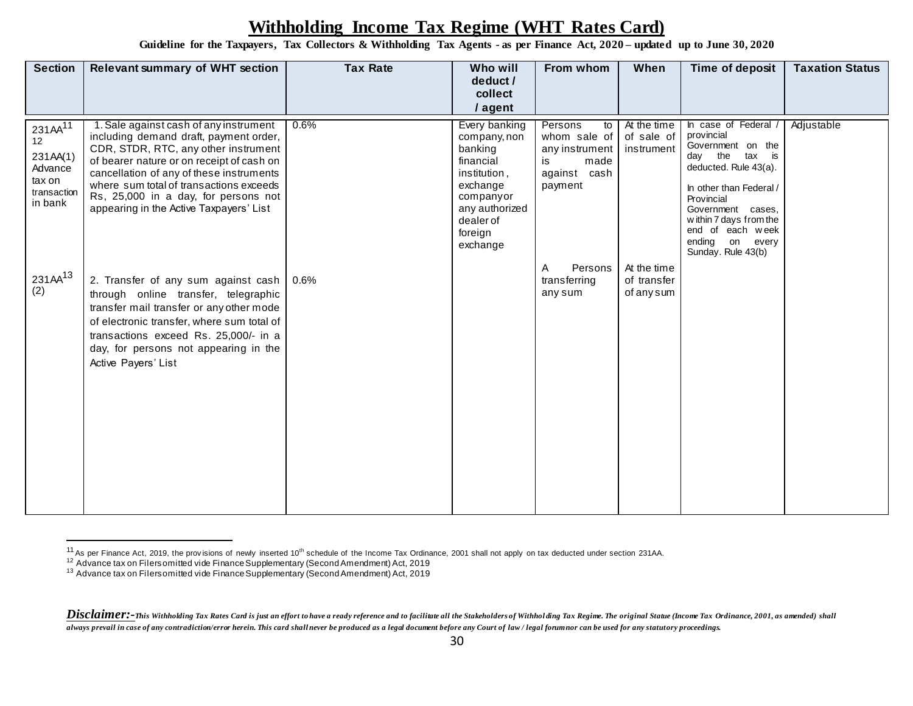**Guideline for the Taxpayers, Tax Collectors & Withholding Tax Agents - as per Finance Act, 2020 – updated up to June 30, 2020**

| <b>Section</b>                                                                       | <b>Relevant summary of WHT section</b>                                                                                                                                                                                                                                                                                                          | <b>Tax Rate</b> | Who will<br>deduct /<br>collect<br>/ agent                                                                                                           | From whom                                                                                | When                                     | Time of deposit                                                                                                                                                                                                                                          | <b>Taxation Status</b> |
|--------------------------------------------------------------------------------------|-------------------------------------------------------------------------------------------------------------------------------------------------------------------------------------------------------------------------------------------------------------------------------------------------------------------------------------------------|-----------------|------------------------------------------------------------------------------------------------------------------------------------------------------|------------------------------------------------------------------------------------------|------------------------------------------|----------------------------------------------------------------------------------------------------------------------------------------------------------------------------------------------------------------------------------------------------------|------------------------|
| 231AA <sup>11</sup><br>12<br>231AA(1)<br>Advance<br>tax on<br>transaction<br>in bank | 1. Sale against cash of any instrument<br>including demand draft, payment order,<br>CDR, STDR, RTC, any other instrument<br>of bearer nature or on receipt of cash on<br>cancellation of any of these instruments<br>where sum total of transactions exceeds<br>Rs, 25,000 in a day, for persons not<br>appearing in the Active Taxpayers' List | 0.6%            | Every banking<br>company, non<br>banking<br>financial<br>institution,<br>exchange<br>companyor<br>any authorized<br>dealer of<br>foreign<br>exchange | Persons<br>to<br>whom sale of<br>any instrument<br>made<br>is<br>against cash<br>payment | At the time<br>of sale of<br>instrument  | In case of Federal<br>provincial<br>Government on the<br>day the<br>tax is<br>deducted. Rule 43(a).<br>In other than Federal /<br>Provincial<br>Government cases,<br>within 7 days from the<br>end of each week<br>ending on every<br>Sunday. Rule 43(b) | Adjustable             |
| 231AA <sup>13</sup><br>(2)                                                           | 2. Transfer of any sum against cash<br>through online transfer, telegraphic<br>transfer mail transfer or any other mode<br>of electronic transfer, where sum total of<br>transactions exceed Rs. 25,000/- in a<br>day, for persons not appearing in the<br>Active Payers' List                                                                  | 0.6%            |                                                                                                                                                      | Persons<br>Α<br>transferring<br>any sum                                                  | At the time<br>of transfer<br>of any sum |                                                                                                                                                                                                                                                          |                        |

<sup>&</sup>lt;sup>11</sup> As per Finance Act, 2019, the provisions of newly inserted 10<sup>th</sup> schedule of the Income Tax Ordinance, 2001 shall not apply on tax deducted under section 231AA.

 $12$  Advance tax on Filers omitted vide Finance Supplementary (Second Amendment) Act, 2019

<sup>&</sup>lt;sup>13</sup> Advance tax on Filers omitted vide Finance Supplementary (Second Amendment) Act, 2019

Disclaimer:-This Withholding Tax Rates Card is just an effort to have a ready reference and to facilitate all the Stakeholders of Withholding Tax Regime. The original Statue (Income Tax Ordinance, 2001, as amended) shall *always prevail in case of any contradiction/error herein. This card shall never be produced as a legal document before any Court of law / legal forum nor can be used for any statutory proceedings.*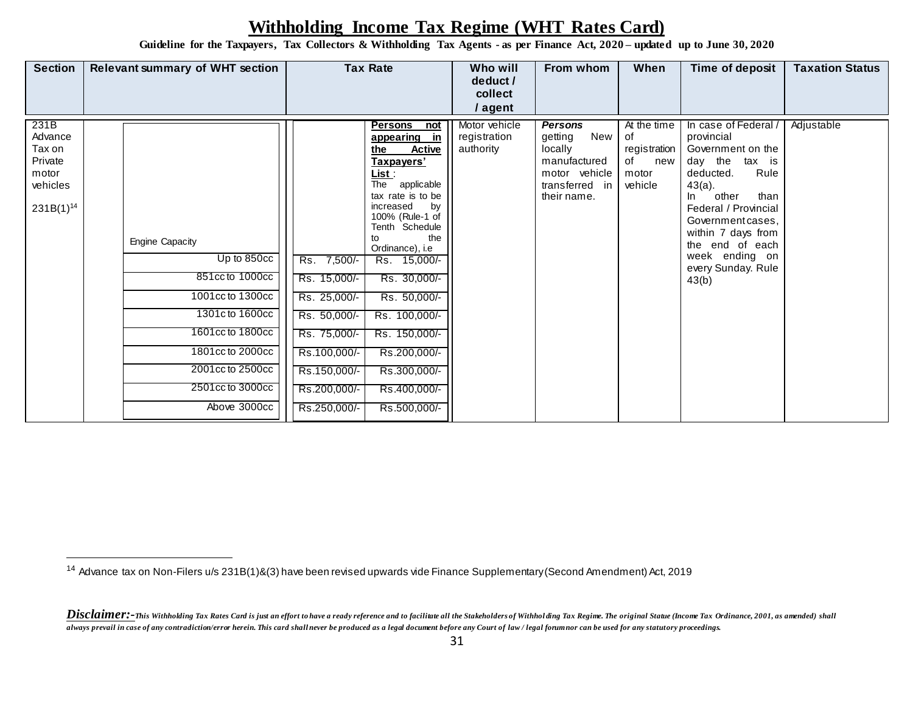**Guideline for the Taxpayers, Tax Collectors & Withholding Tax Agents - as per Finance Act, 2020 – updated up to June 30, 2020**

| <b>Section</b>                                                              | <b>Relevant summary of WHT section</b>                                                                                                                                                          | <b>Tax Rate</b>                                                                                                                                                                                                                                                                                                                                                                                                                                                                                                            | Who will<br>deduct /<br>collect<br>/ agent | From whom                                                                                                     | When                                                               | Time of deposit                                                                                                                                                                                                                                                          | <b>Taxation Status</b> |
|-----------------------------------------------------------------------------|-------------------------------------------------------------------------------------------------------------------------------------------------------------------------------------------------|----------------------------------------------------------------------------------------------------------------------------------------------------------------------------------------------------------------------------------------------------------------------------------------------------------------------------------------------------------------------------------------------------------------------------------------------------------------------------------------------------------------------------|--------------------------------------------|---------------------------------------------------------------------------------------------------------------|--------------------------------------------------------------------|--------------------------------------------------------------------------------------------------------------------------------------------------------------------------------------------------------------------------------------------------------------------------|------------------------|
| 231B<br>Advance<br>Tax on<br>Private<br>motor<br>vehicles<br>$231B(1)^{14}$ | <b>Engine Capacity</b><br>Up to 850cc<br>851cc to 1000cc<br>1001cc to 1300cc<br>1301c to 1600cc<br>1601cc to 1800cc<br>1801cc to 2000cc<br>2001cc to 2500cc<br>2501cc to 3000cc<br>Above 3000cc | <b>Persons</b><br>not<br>appearing in<br>the<br><b>Active</b><br>Taxpayers'<br>List :<br>The applicable<br>tax rate is to be<br>increased<br>by<br>100% (Rule-1 of<br>Tenth Schedule<br>the<br>to<br>Ordinance), i.e<br>$7,500/-$<br>Rs.<br>Rs. 15,000/-<br>Rs. 15,000/-<br>Rs. 30,000/-<br>Rs. 25,000/-<br>Rs. 50,000/-<br>Rs. 100,000/-<br>Rs. 50,000/-<br>Rs. 75,000/-<br>Rs. 150,000/-<br>Rs.100,000/-<br>Rs.200,000/-<br>Rs.150,000/-<br>Rs.300,000/-<br>Rs.200,000/-<br>Rs.400,000/-<br>Rs.250,000/-<br>Rs.500,000/- | Motor vehicle<br>registration<br>authority | <b>Persons</b><br>New<br>getting<br>locally<br>manufactured<br>motor vehicle<br>transferred in<br>their name. | At the time<br>of<br>registration<br>of<br>new<br>motor<br>vehicle | In case of Federal<br>provincial<br>Government on the<br>day the tax is<br>Rule<br>deducted.<br>$43(a)$ .<br>other<br>than<br>In.<br>Federal / Provincial<br>Government cases,<br>within 7 days from<br>the end of each<br>week ending on<br>every Sunday. Rule<br>43(b) | Adjustable             |

<sup>&</sup>lt;sup>14</sup> Advance tax on Non-Filers u/s 231B(1)&(3) have been revised upwards vide Finance Supplementary (Second Amendment) Act, 2019

Disclaimer:-This Withholding Tax Rates Card is just an effort to have a ready reference and to facilitate all the Stakeholders of Withholding Tax Regime. The original Statue (Income Tax Ordinance, 2001, as amended) shall *always prevail in case of any contradiction/error herein. This card shall never be produced as a legal document before any Court of law / legal forum nor can be used for any statutory proceedings.*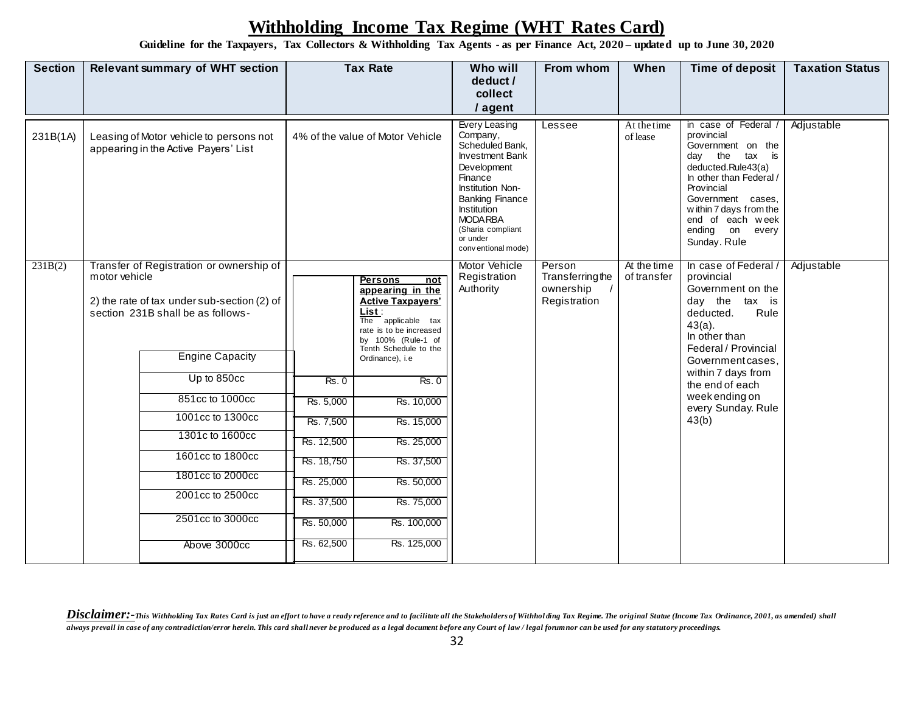**Guideline for the Taxpayers, Tax Collectors & Withholding Tax Agents - as per Finance Act, 2020 – updated up to June 30, 2020**

| <b>Section</b> |                                                                                 | <b>Relevant summary of WHT section</b>                                                                                                                                                                                                                                                                                          |                                                                                                                    | <b>Tax Rate</b>                                                                                                                                                                                                                                                                                                                     |                                                                                                                                                                                                                                                       | From whom                                              | When                       | Time of deposit                                                                                                                                                                                                                                                        | <b>Taxation Status</b> |
|----------------|---------------------------------------------------------------------------------|---------------------------------------------------------------------------------------------------------------------------------------------------------------------------------------------------------------------------------------------------------------------------------------------------------------------------------|--------------------------------------------------------------------------------------------------------------------|-------------------------------------------------------------------------------------------------------------------------------------------------------------------------------------------------------------------------------------------------------------------------------------------------------------------------------------|-------------------------------------------------------------------------------------------------------------------------------------------------------------------------------------------------------------------------------------------------------|--------------------------------------------------------|----------------------------|------------------------------------------------------------------------------------------------------------------------------------------------------------------------------------------------------------------------------------------------------------------------|------------------------|
| 231B(1A)       | Leasing of Motor vehicle to persons not<br>appearing in the Active Payers' List |                                                                                                                                                                                                                                                                                                                                 |                                                                                                                    | 4% of the value of Motor Vehicle                                                                                                                                                                                                                                                                                                    | <b>Every Leasing</b><br>Company,<br>Scheduled Bank,<br><b>Investment Bank</b><br>Development<br>Finance<br>Institution Non-<br><b>Banking Finance</b><br><b>Institution</b><br><b>MODA RBA</b><br>(Sharia compliant<br>or under<br>conventional mode) | Lessee                                                 | At the time<br>of lease    | in case of Federal<br>provincial<br>Government on the<br>day<br>the<br>tax<br>is<br>deducted.Rule43(a)<br>In other than Federal /<br>Provincial<br>Government cases,<br>within 7 days from the<br>end of each week<br>ending on every<br>Sunday. Rule                  | Adjustable             |
| 231B(2)        | motor vehicle                                                                   | Transfer of Registration or ownership of<br>2) the rate of tax under sub-section (2) of<br>section 231B shall be as follows-<br><b>Engine Capacity</b><br>Up to 850cc<br>851cc to 1000cc<br>1001cc to 1300cc<br>1301c to 1600cc<br>1601cc to 1800cc<br>1801cc to 2000cc<br>2001cc to 2500cc<br>2501cc to 3000cc<br>Above 3000cc | Rs.0<br>Rs. 5,000<br>Rs. 7,500<br>Rs. 12,500<br>Rs. 18,750<br>Rs. 25,000<br>Rs. 37,500<br>Rs. 50,000<br>Rs. 62,500 | <b>Persons</b><br>not<br>appearing in the<br><b>Active Taxpayers'</b><br>List:<br>The applicable tax<br>rate is to be increased<br>by 100% (Rule-1 of<br>Tenth Schedule to the<br>Ordinance), i.e<br><b>Rs. 0</b><br>Rs. 10,000<br>Rs. 15,000<br>Rs. 25,000<br>Rs. 37,500<br>Rs. 50,000<br>Rs. 75,000<br>Rs. 100,000<br>Rs. 125,000 | Motor Vehicle<br>Registration<br>Authority                                                                                                                                                                                                            | Person<br>Transferringthe<br>ownership<br>Registration | At the time<br>of transfer | In case of Federal /<br>provincial<br>Government on the<br>day the<br>tax is<br>Rule<br>deducted.<br>$43(a)$ .<br>In other than<br>Federal / Provincial<br>Government cases,<br>within 7 days from<br>the end of each<br>week ending on<br>every Sunday. Rule<br>43(b) | Adjustable             |

Disclaimer:-This Withholding Tax Rates Card is just an effort to have a ready reference and to facilitate all the Stakeholders of Withholding Tax Regime. The original Statue (Income Tax Ordinance, 2001, as amended) shall *always prevail in case of any contradiction/error herein. This card shall never be produced as a legal document before any Court of law / legal forum nor can be used for any statutory proceedings.*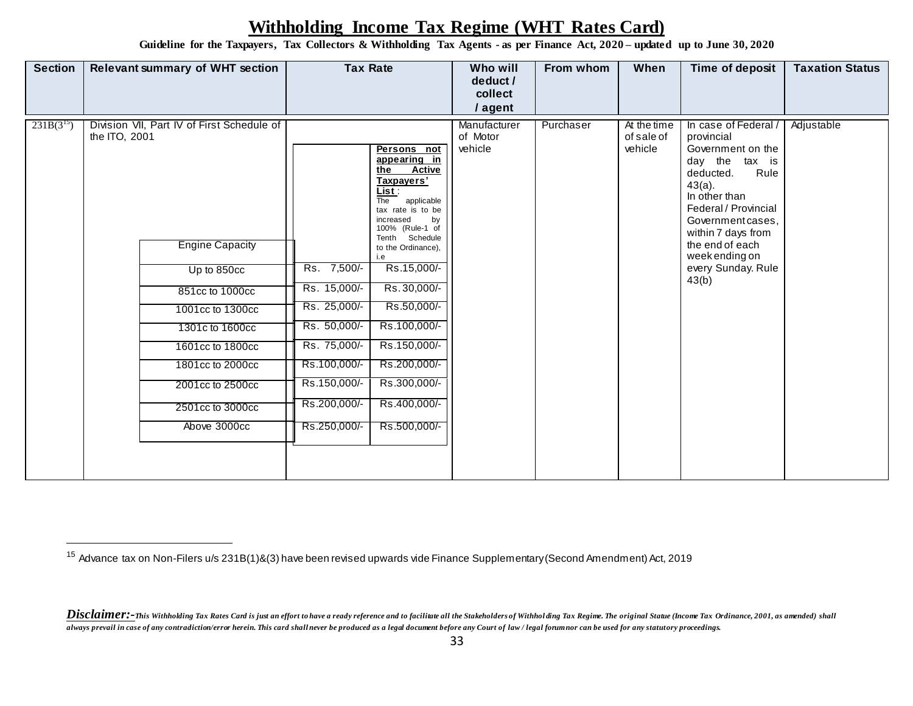**Guideline for the Taxpayers, Tax Collectors & Withholding Tax Agents - as per Finance Act, 2020 – updated up to June 30, 2020**

| <b>Section</b> |               | <b>Relevant summary of WHT section</b>                                                                                                                                                                                                        | <b>Tax Rate</b>                                                                                                                             |                                                                                                                                                                                                                                                                                                                                                  | Who will<br>deduct /<br>collect<br>/ agent | From whom | When                                 | Time of deposit                                                                                                                                                                                                                                                   | <b>Taxation Status</b> |
|----------------|---------------|-----------------------------------------------------------------------------------------------------------------------------------------------------------------------------------------------------------------------------------------------|---------------------------------------------------------------------------------------------------------------------------------------------|--------------------------------------------------------------------------------------------------------------------------------------------------------------------------------------------------------------------------------------------------------------------------------------------------------------------------------------------------|--------------------------------------------|-----------|--------------------------------------|-------------------------------------------------------------------------------------------------------------------------------------------------------------------------------------------------------------------------------------------------------------------|------------------------|
| $231B(3^{15})$ | the ITO, 2001 | Division VII, Part IV of First Schedule of<br><b>Engine Capacity</b><br>Up to 850cc<br>851cc to 1000cc<br>1001cc to 1300cc<br>1301c to 1600cc<br>1601cc to 1800cc<br>1801cc to 2000cc<br>2001cc to 2500cc<br>2501cc to 3000cc<br>Above 3000cc | Rs. 7,500/-<br>Rs. 15,000/-<br>Rs. 25,000/-<br>Rs. 50,000/-<br>Rs. 75,000/-<br>Rs.100,000/-<br>Rs.150,000/-<br>Rs.200,000/-<br>Rs.250,000/- | Persons not<br>appearing in<br>the<br>Active<br>Taxpayers'<br>List :<br>applicable<br>The<br>tax rate is to be<br>increased<br>by<br>100% (Rule-1 of<br>Tenth Schedule<br>to the Ordinance),<br>i.e<br>Rs.15,000/-<br>Rs.30,000/-<br>Rs.50,000/-<br>Rs.100,000/-<br>Rs.150,000/-<br>Rs.200,000/-<br>Rs.300,000/-<br>Rs.400,000/-<br>Rs.500,000/- | Manufacturer<br>of Motor<br>vehicle        | Purchaser | At the time<br>of sale of<br>vehicle | In case of Federal<br>provincial<br>Government on the<br>day the tax is<br>deducted.<br>Rule<br>$43(a)$ .<br>In other than<br>Federal / Provincial<br>Government cases,<br>within 7 days from<br>the end of each<br>week ending on<br>every Sunday. Rule<br>43(b) | Adjustable             |

<sup>15</sup> Advance tax on Non-Filers u/s 231B(1)&(3) have been revised upwards vide Finance Supplementary (Second Amendment) Act, 2019

Disclaimer:-This Withholding Tax Rates Card is just an effort to have a ready reference and to facilitate all the Stakeholders of Withholding Tax Regime. The original Statue (Income Tax Ordinance, 2001, as amended) shall *always prevail in case of any contradiction/error herein. This card shall never be produced as a legal document before any Court of law / legal forum nor can be used for any statutory proceedings.*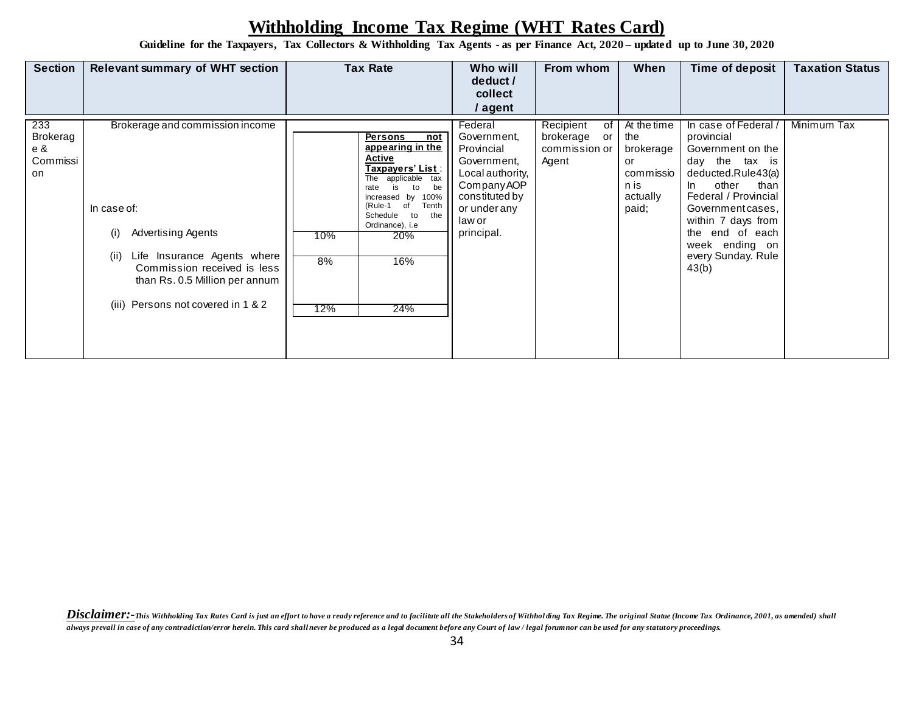**Guideline for the Taxpayers, Tax Collectors & Withholding Tax Agents - as per Finance Act, 2020 – updated up to June 30, 2020**

| <b>Section</b>                           | <b>Relevant summary of WHT section</b>                                                                                                                                                                                           | <b>Tax Rate</b>                                                                                                                                                                                                                                                             | Who will<br>deduct /<br>collect<br>/ agent                                                                                                       | From whom                                                    | When                                                                            | Time of deposit                                                                                                                                                                                                                                             | <b>Taxation Status</b> |
|------------------------------------------|----------------------------------------------------------------------------------------------------------------------------------------------------------------------------------------------------------------------------------|-----------------------------------------------------------------------------------------------------------------------------------------------------------------------------------------------------------------------------------------------------------------------------|--------------------------------------------------------------------------------------------------------------------------------------------------|--------------------------------------------------------------|---------------------------------------------------------------------------------|-------------------------------------------------------------------------------------------------------------------------------------------------------------------------------------------------------------------------------------------------------------|------------------------|
| 233<br>Brokerag<br>e &<br>Commissi<br>on | Brokerage and commission income<br>In case of:<br><b>Advertising Agents</b><br>(i)<br>Life Insurance Agents where<br>(ii)<br>Commission received is less<br>than Rs. 0.5 Million per annum<br>(iii) Persons not covered in 1 & 2 | <b>Persons</b><br>not<br>appearing in the<br><b>Active</b><br><u> Taxpayers' List :</u><br>The applicable tax<br>is<br>to<br>be<br>rate<br>increased by<br>100%<br>(Rule-1 of<br>Tenth<br>to<br>Schedule<br>the<br>Ordinance), i.e<br>10%<br>20%<br>8%<br>16%<br>12%<br>24% | Federal<br>Government,<br>Provincial<br>Government,<br>Local authority,<br>Company AOP<br>constituted by<br>or under any<br>law or<br>principal. | Recipient<br>οf<br>brokerage<br>or<br>commission or<br>Agent | At the time<br>the<br>brokerage<br>or<br>commissio<br>n is<br>actually<br>paid; | In case of Federal<br>provincial<br>Government on the<br>day the tax is<br>deducted.Rule43(a)<br>other<br>In<br>than<br>Federal / Provincial<br>Government cases,<br>within 7 days from<br>the end of each<br>week ending on<br>every Sunday. Rule<br>43(b) | Minimum Tax            |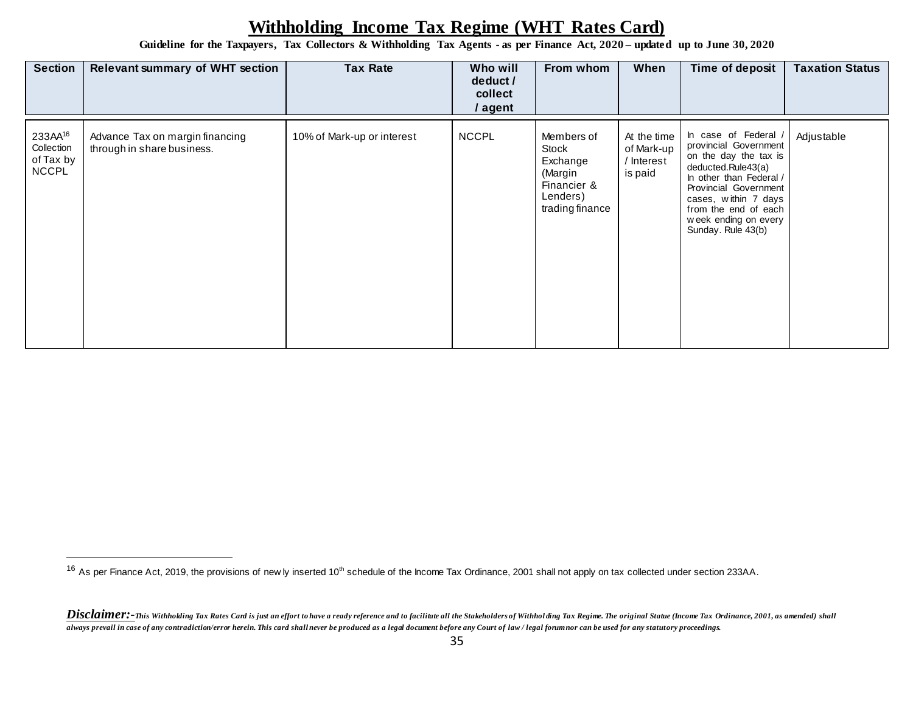**Guideline for the Taxpayers, Tax Collectors & Withholding Tax Agents - as per Finance Act, 2020 – updated up to June 30, 2020**

| <b>Section</b>                                                 | <b>Tax Rate</b><br><b>Relevant summary of WHT section</b>     |                            | Who will<br>deduct /<br>collect<br>/ agent | From whom                                                                                | When                                               | Time of deposit                                                                                                                                                                                                                              | <b>Taxation Status</b> |
|----------------------------------------------------------------|---------------------------------------------------------------|----------------------------|--------------------------------------------|------------------------------------------------------------------------------------------|----------------------------------------------------|----------------------------------------------------------------------------------------------------------------------------------------------------------------------------------------------------------------------------------------------|------------------------|
| 233AA <sup>16</sup><br>Collection<br>of Tax by<br><b>NCCPL</b> | Advance Tax on margin financing<br>through in share business. | 10% of Mark-up or interest | <b>NCCPL</b>                               | Members of<br>Stock<br>Exchange<br>(Margin<br>Financier &<br>Lenders)<br>trading finance | At the time<br>of Mark-up<br>/ Interest<br>is paid | In case of Federal<br>provincial Government<br>on the day the tax is<br>deducted.Rule43(a)<br>In other than Federal /<br>Provincial Government<br>cases, within 7 days<br>from the end of each<br>week ending on every<br>Sunday. Rule 43(b) | Adjustable             |

<sup>&</sup>lt;sup>16</sup> As per Finance Act, 2019, the provisions of new ly inserted 10<sup>th</sup> schedule of the Income Tax Ordinance, 2001 shall not apply on tax collected under section 233AA.

Disclaimer:-This Withholding Tax Rates Card is just an effort to have a ready reference and to facilitate all the Stakeholders of Withholding Tax Regime. The original Statue (Income Tax Ordinance, 2001, as amended) shall *always prevail in case of any contradiction/error herein. This card shall never be produced as a legal document before any Court of law / legal forum nor can be used for any statutory proceedings.*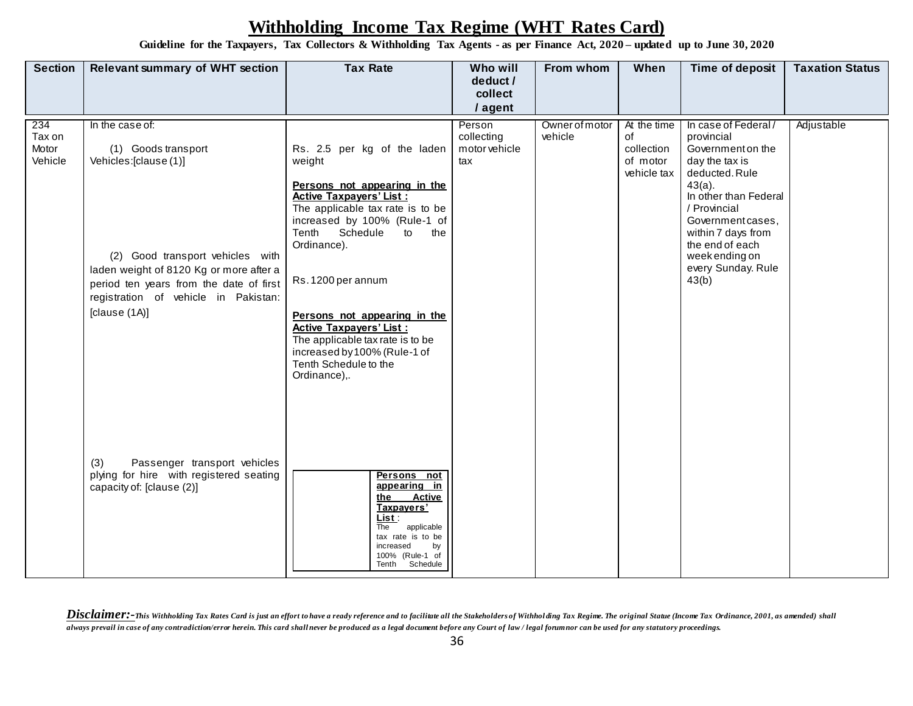**Guideline for the Taxpayers, Tax Collectors & Withholding Tax Agents - as per Finance Act, 2020 – updated up to June 30, 2020**

| <b>Section</b>                    | <b>Relevant summary of WHT section</b>                                                                                                                                                                                           | <b>Tax Rate</b>                                                                                                                                                                                                                                 | Who will                                     | From whom                 | When                                                       | Time of deposit                                                                                                                                                                                                                                                 | <b>Taxation Status</b> |
|-----------------------------------|----------------------------------------------------------------------------------------------------------------------------------------------------------------------------------------------------------------------------------|-------------------------------------------------------------------------------------------------------------------------------------------------------------------------------------------------------------------------------------------------|----------------------------------------------|---------------------------|------------------------------------------------------------|-----------------------------------------------------------------------------------------------------------------------------------------------------------------------------------------------------------------------------------------------------------------|------------------------|
|                                   |                                                                                                                                                                                                                                  |                                                                                                                                                                                                                                                 | deduct /<br>collect                          |                           |                                                            |                                                                                                                                                                                                                                                                 |                        |
|                                   |                                                                                                                                                                                                                                  |                                                                                                                                                                                                                                                 | / agent                                      |                           |                                                            |                                                                                                                                                                                                                                                                 |                        |
| 234<br>Tax on<br>Motor<br>Vehicle | In the case of:<br>(1) Goods transport<br>Vehicles:[clause(1)]<br>(2) Good transport vehicles with<br>laden weight of 8120 Kg or more after a<br>period ten years from the date of first<br>registration of vehicle in Pakistan: | Rs. 2.5 per kg of the laden<br>weight<br>Persons not appearing in the<br><b>Active Taxpayers' List:</b><br>The applicable tax rate is to be<br>increased by 100% (Rule-1 of<br>Tenth Schedule<br>to<br>the<br>Ordinance).<br>Rs. 1200 per annum | Person<br>collecting<br>motor vehicle<br>tax | Owner of motor<br>vehicle | At the time<br>of<br>collection<br>of motor<br>vehicle tax | In case of Federal/<br>provincial<br>Government on the<br>day the tax is<br>deducted. Rule<br>$43(a)$ .<br>In other than Federal<br>/ Provincial<br>Government cases,<br>within 7 days from<br>the end of each<br>week ending on<br>every Sunday. Rule<br>43(b) | Adjustable             |
|                                   | [clause (1A)]                                                                                                                                                                                                                    | Persons not appearing in the<br><b>Active Taxpayers' List:</b><br>The applicable tax rate is to be<br>increased by 100% (Rule-1 of<br>Tenth Schedule to the<br>Ordinance),.                                                                     |                                              |                           |                                                            |                                                                                                                                                                                                                                                                 |                        |
|                                   | Passenger transport vehicles<br>(3)<br>plying for hire with registered seating<br>capacity of: [clause (2)]                                                                                                                      | Persons not<br>appearing in<br>the<br>Active<br>Taxpayers'<br>List :<br>applicable<br>The<br>tax rate is to be<br>increased<br>by<br>100% (Rule-1 of<br>Tenth Schedule                                                                          |                                              |                           |                                                            |                                                                                                                                                                                                                                                                 |                        |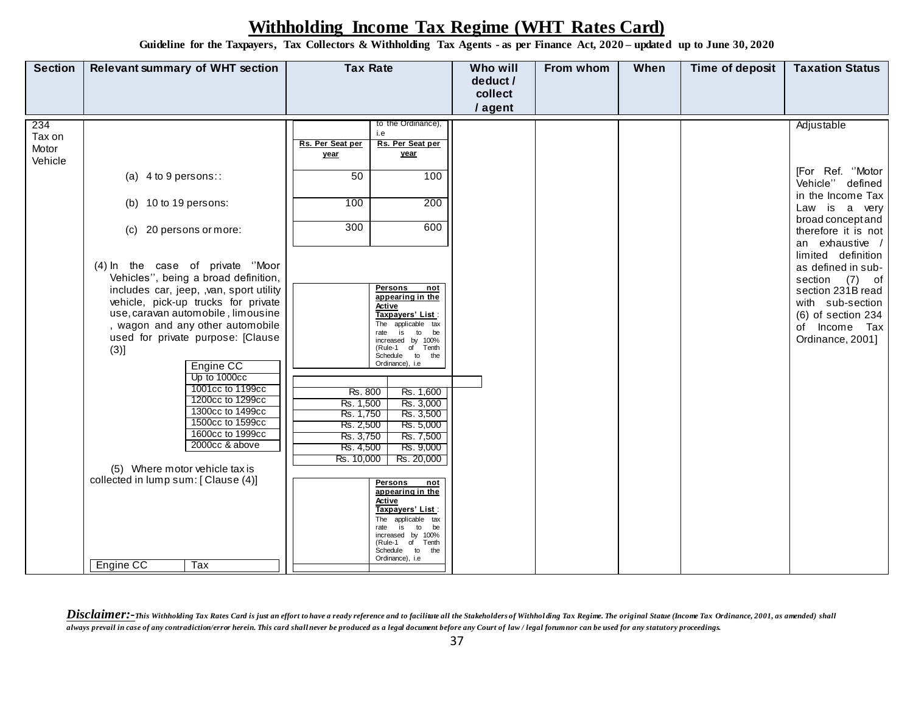**Guideline for the Taxpayers, Tax Collectors & Withholding Tax Agents - as per Finance Act, 2020 – updated up to June 30, 2020**

| <b>Section</b>                    | <b>Relevant summary of WHT section</b>                                                                                                                                                                                                                                                                                                                                                                                                                                                                                                                                                        | <b>Tax Rate</b>                                                                                                                                                                                                                                                                                                                                                                                                                                                                                                                                                                                                                             | Who will<br>deduct /<br>collect | From whom | When | Time of deposit | <b>Taxation Status</b>                                                                                                                                                                                                                                                                                                      |
|-----------------------------------|-----------------------------------------------------------------------------------------------------------------------------------------------------------------------------------------------------------------------------------------------------------------------------------------------------------------------------------------------------------------------------------------------------------------------------------------------------------------------------------------------------------------------------------------------------------------------------------------------|---------------------------------------------------------------------------------------------------------------------------------------------------------------------------------------------------------------------------------------------------------------------------------------------------------------------------------------------------------------------------------------------------------------------------------------------------------------------------------------------------------------------------------------------------------------------------------------------------------------------------------------------|---------------------------------|-----------|------|-----------------|-----------------------------------------------------------------------------------------------------------------------------------------------------------------------------------------------------------------------------------------------------------------------------------------------------------------------------|
|                                   |                                                                                                                                                                                                                                                                                                                                                                                                                                                                                                                                                                                               |                                                                                                                                                                                                                                                                                                                                                                                                                                                                                                                                                                                                                                             | / agent                         |           |      |                 |                                                                                                                                                                                                                                                                                                                             |
| 234<br>Tax on<br>Motor<br>Vehicle | (a) $4$ to $9$ persons::<br>(b) 10 to 19 persons:<br>(c) 20 persons or more:<br>(4) In the case of private "Moor<br>Vehicles", being a broad definition,<br>includes car, jeep, ,van, sport utility<br>vehicle, pick-up trucks for private<br>use, caravan automobile, limousine<br>, wagon and any other automobile<br>used for private purpose: [Clause<br>(3)]<br>Engine CC<br>Up to 1000cc<br>1001cc to 1199cc<br>1200cc to 1299cc<br>1300cc to 1499cc<br>1500cc to 1599cc<br>1600cc to 1999cc<br>2000cc & above<br>(5) Where motor vehicle tax is<br>collected in lump sum: [Clause (4)] | to the Ordinance),<br>i.e<br>Rs. Per Seat per<br>Rs. Per Seat per<br>year<br>year<br>50<br>100<br>100<br>200<br>300<br>600<br>Persons<br>not<br>appearing in the<br>Active<br>Taxpayers' List:<br>The applicable tax<br>is<br>to<br>be<br>rate<br>increased by 100%<br>(Rule-1 of Tenth<br>Schedule to the<br>Ordinance), i.e<br>Rs. 800<br>Rs. 1,600<br>Rs. 3,000<br>Rs. 1,500<br>Rs. 1,750<br>Rs. 3,500<br>Rs. 5,000<br>Rs. 2,500<br>Rs. 7,500<br>Rs. 3,750<br>Rs. 9,000<br>Rs. 4,500<br>Rs. 20,000<br>Rs. 10,000<br>Persons<br>not<br>appearing in the<br>Active<br>Taxpayers' List :<br>applicable tax<br>The<br>is<br>to<br>be<br>rate |                                 |           |      |                 | Adjustable<br>[For Ref. "Motor<br>Vehicle" defined<br>in the Income Tax<br>Law is a very<br>broad concept and<br>therefore it is not<br>an exhaustive /<br>limited definition<br>as defined in sub-<br>section (7) of<br>section 231B read<br>with sub-section<br>$(6)$ of section 234<br>of Income Tax<br>Ordinance, 2001] |
|                                   | Engine CC<br>Tax                                                                                                                                                                                                                                                                                                                                                                                                                                                                                                                                                                              | increased by 100%<br>(Rule-1 of Tenth<br>Schedule to<br>the<br>Ordinance), i.e                                                                                                                                                                                                                                                                                                                                                                                                                                                                                                                                                              |                                 |           |      |                 |                                                                                                                                                                                                                                                                                                                             |

Disclaimer:-This Withholding Tax Rates Card is just an effort to have a ready reference and to facilitate all the Stakeholders of Withholding Tax Regime. The original Statue (Income Tax Ordinance, 2001, as amended) shall *always prevail in case of any contradiction/error herein. This card shall never be produced as a legal document before any Court of law / legal forum nor can be used for any statutory proceedings.*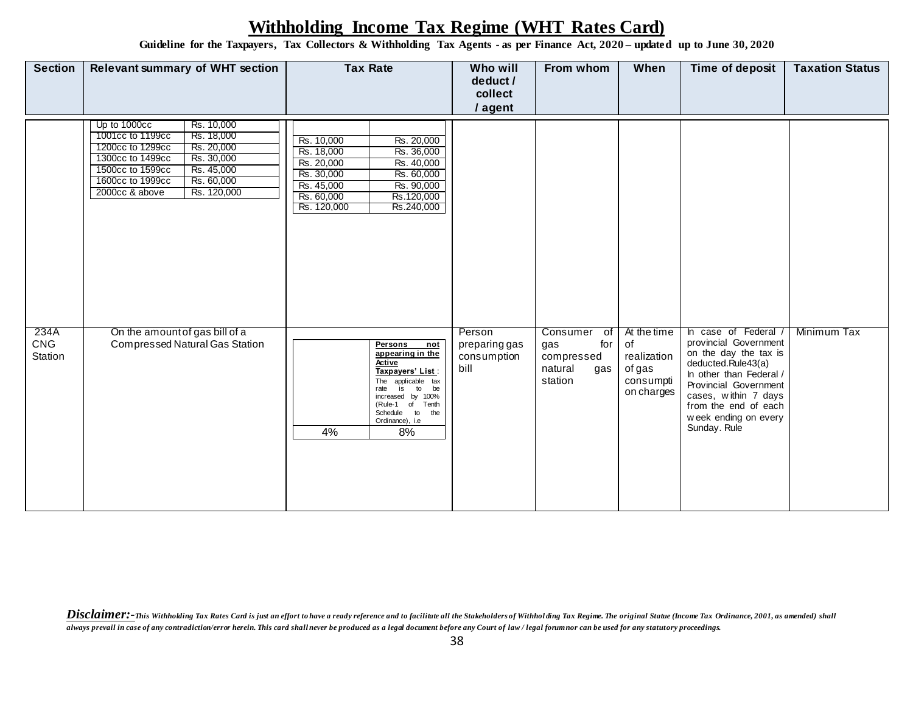**Guideline for the Taxpayers, Tax Collectors & Withholding Tax Agents - as per Finance Act, 2020 – updated up to June 30, 2020**

| <b>Section</b>                | <b>Relevant summary of WHT section</b>                                                                                                                                                                                                | <b>Tax Rate</b>                                                                                                                                                                                                    | Who will<br>deduct /<br>collect<br>/ agent     | From whom                                                                            | When                                                                  | Time of deposit                                                                                                                                                                                                                              | <b>Taxation Status</b> |
|-------------------------------|---------------------------------------------------------------------------------------------------------------------------------------------------------------------------------------------------------------------------------------|--------------------------------------------------------------------------------------------------------------------------------------------------------------------------------------------------------------------|------------------------------------------------|--------------------------------------------------------------------------------------|-----------------------------------------------------------------------|----------------------------------------------------------------------------------------------------------------------------------------------------------------------------------------------------------------------------------------------|------------------------|
|                               | Up to 1000cc<br>Rs. 10,000<br>1001cc to 1199cc<br>Rs. 18,000<br>1200cc to 1299cc<br>Rs. 20,000<br>1300cc to 1499cc<br>Rs. 30,000<br>Rs. 45,000<br>1500cc to 1599cc<br>1600cc to 1999cc<br>Rs. 60,000<br>2000cc & above<br>Rs. 120,000 | Rs. 10,000<br>Rs. 20,000<br>Rs. 18,000<br>Rs. 36,000<br>Rs. 20,000<br>Rs. 40,000<br>Rs. 30,000<br>Rs. 60,000<br>Rs. 45,000<br>Rs. 90,000<br>Rs. 60,000<br>Rs.120,000<br>Rs. 120,000<br>Rs.240,000                  |                                                |                                                                                      |                                                                       |                                                                                                                                                                                                                                              |                        |
| 234A<br><b>CNG</b><br>Station | On the amount of gas bill of a<br>Compressed Natural Gas Station                                                                                                                                                                      | Persons<br>not<br>appearing in the<br>Active<br>Taxpayers' List :<br>The applicable tax<br>is<br>to<br>be<br>rate<br>increased by 100%<br>(Rule-1 of<br>Tenth<br>Schedule to<br>the<br>Ordinance), i.e<br>4%<br>8% | Person<br>preparing gas<br>consumption<br>bill | Consumer<br>$\overline{of}$<br>for<br>gas<br>compressed<br>natural<br>gas<br>station | At the time<br>of<br>realization<br>of gas<br>consumpti<br>on charges | case of Federal /<br>In.<br>provincial Government<br>on the day the tax is<br>deducted.Rule43(a)<br>In other than Federal /<br>Provincial Government<br>cases, within 7 days<br>from the end of each<br>week ending on every<br>Sunday. Rule | Minimum Tax            |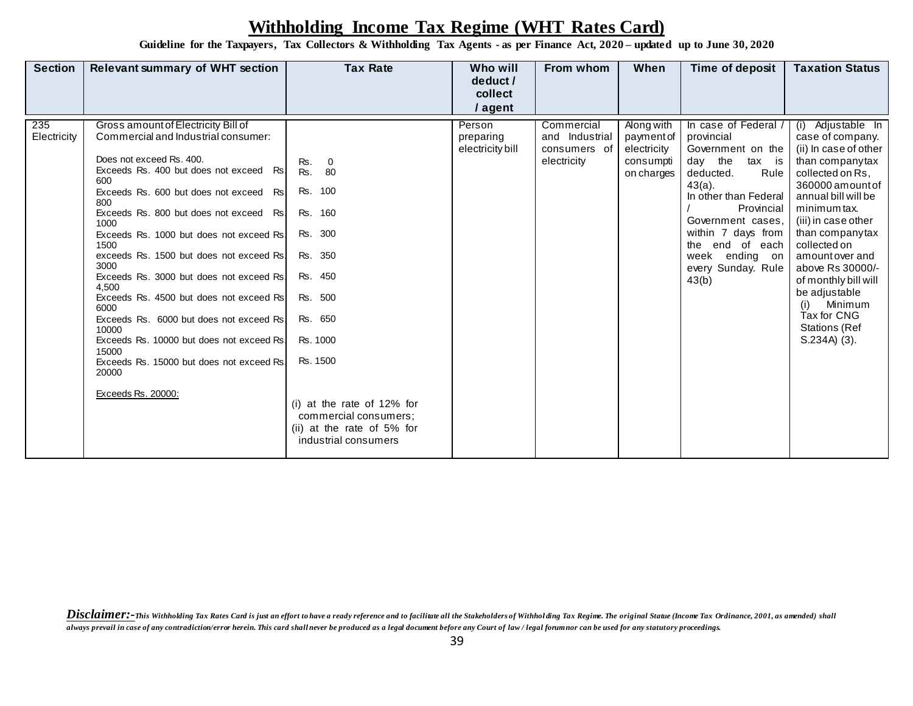**Guideline for the Taxpayers, Tax Collectors & Withholding Tax Agents - as per Finance Act, 2020 – updated up to June 30, 2020**

| <b>Section</b>     | <b>Relevant summary of WHT section</b>                                                                                                                                                                                                                                                                                                                                                                                                                                                                                                                                                                                                                                   | <b>Tax Rate</b>                                                                                                                                                                                                                                     | Who will                                | From whom                                                   | When                                                               | Time of deposit                                                                                                                                                                                                                                                    | <b>Taxation Status</b>                                                                                                                                                                                                                                                                                                                                                                |
|--------------------|--------------------------------------------------------------------------------------------------------------------------------------------------------------------------------------------------------------------------------------------------------------------------------------------------------------------------------------------------------------------------------------------------------------------------------------------------------------------------------------------------------------------------------------------------------------------------------------------------------------------------------------------------------------------------|-----------------------------------------------------------------------------------------------------------------------------------------------------------------------------------------------------------------------------------------------------|-----------------------------------------|-------------------------------------------------------------|--------------------------------------------------------------------|--------------------------------------------------------------------------------------------------------------------------------------------------------------------------------------------------------------------------------------------------------------------|---------------------------------------------------------------------------------------------------------------------------------------------------------------------------------------------------------------------------------------------------------------------------------------------------------------------------------------------------------------------------------------|
|                    |                                                                                                                                                                                                                                                                                                                                                                                                                                                                                                                                                                                                                                                                          |                                                                                                                                                                                                                                                     | deduct /                                |                                                             |                                                                    |                                                                                                                                                                                                                                                                    |                                                                                                                                                                                                                                                                                                                                                                                       |
|                    |                                                                                                                                                                                                                                                                                                                                                                                                                                                                                                                                                                                                                                                                          |                                                                                                                                                                                                                                                     | collect                                 |                                                             |                                                                    |                                                                                                                                                                                                                                                                    |                                                                                                                                                                                                                                                                                                                                                                                       |
|                    |                                                                                                                                                                                                                                                                                                                                                                                                                                                                                                                                                                                                                                                                          |                                                                                                                                                                                                                                                     | / agent                                 |                                                             |                                                                    |                                                                                                                                                                                                                                                                    |                                                                                                                                                                                                                                                                                                                                                                                       |
| 235<br>Electricity | Gross amount of Electricity Bill of<br>Commercial and Industrial consumer:<br>Does not exceed Rs, 400.<br>Exceeds Rs. 400 but does not exceed Rs.<br>600<br>Exceeds Rs. 600 but does not exceed<br>Rs.<br>800<br>Exceeds Rs. 800 but does not exceed Rs.<br>1000<br>Exceeds Rs. 1000 but does not exceed Rs.<br>1500<br>exceeds Rs. 1500 but does not exceed Rs.<br>3000<br>Exceeds Rs. 3000 but does not exceed Rs.<br>4.500<br>Exceeds Rs. 4500 but does not exceed Rs.<br>6000<br>Exceeds Rs. 6000 but does not exceed Rs.<br>10000<br>Exceeds Rs. 10000 but does not exceed Rs.<br>15000<br>Exceeds Rs. 15000 but does not exceed Rs.<br>20000<br>Exceeds Rs. 20000: | Rs.<br>-0<br>Rs.<br>80<br>100<br>Rs.<br>Rs. 160<br>300<br>Rs.<br>350<br>Rs.<br>Rs. 450<br>Rs. 500<br>Rs. 650<br>Rs. 1000<br>Rs. 1500<br>$(i)$ at the rate of 12% for<br>commercial consumers;<br>(ii) at the rate of 5% for<br>industrial consumers | Person<br>preparing<br>electricity bill | Commercial<br>and Industrial<br>consumers of<br>electricity | Along with<br>payment of<br>electricity<br>consumpti<br>on charges | In case of Federal<br>provincial<br>Government on the<br>day the<br>tax is<br>deducted.<br>Rule<br>$43(a)$ .<br>In other than Federal<br>Provincial<br>Government cases,<br>within 7 days from<br>the end of each<br>week ending on<br>every Sunday. Rule<br>43(b) | (i) Adjustable In<br>case of company.<br>(ii) In case of other<br>than companytax<br>collected on Rs,<br>360000 amount of<br>annual bill will be<br>minimum tax.<br>(iii) in case other<br>than companytax<br>collected on<br>amount over and<br>above Rs 30000/-<br>of monthly bill will<br>be adjustable<br>Minimum<br>(i)<br>Tax for CNG<br><b>Stations (Ref</b><br>$S.234A)$ (3). |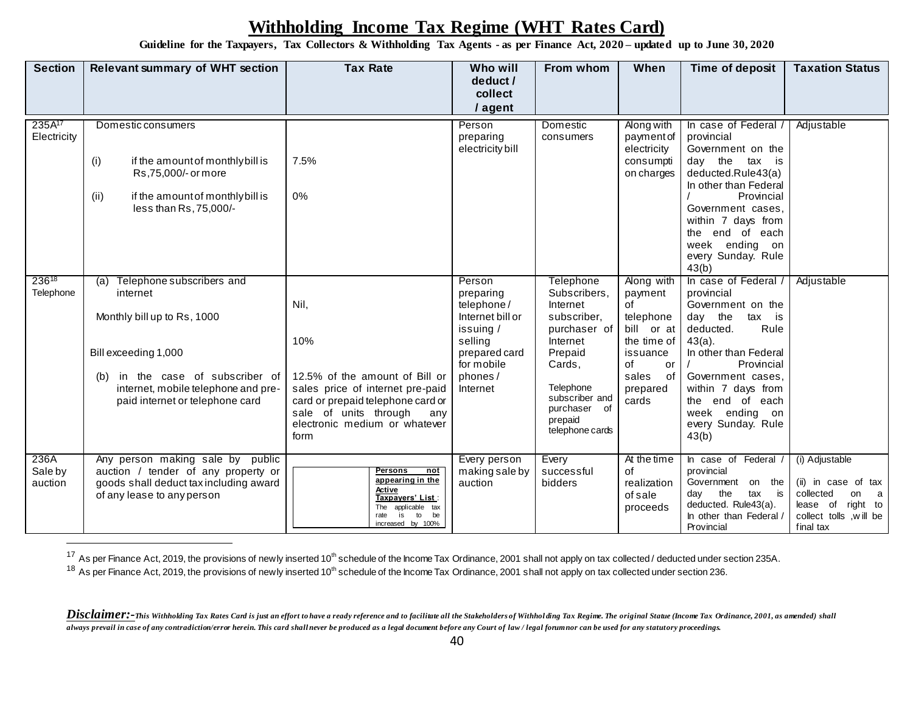**Guideline for the Taxpayers, Tax Collectors & Withholding Tax Agents - as per Finance Act, 2020 – updated up to June 30, 2020**

| <b>Section</b>                    | <b>Relevant summary of WHT section</b>                                                                                                                                                                            | <b>Tax Rate</b>                                                                                                                                                                                 | <b>Who will</b><br>deduct /<br>collect<br>/ agent                                                                                   | From whom                                                                                                                                                                                 | When                                                                                                                              | <b>Time of deposit</b>                                                                                                                                                                                                                                               | <b>Taxation Status</b>                                                                                                        |
|-----------------------------------|-------------------------------------------------------------------------------------------------------------------------------------------------------------------------------------------------------------------|-------------------------------------------------------------------------------------------------------------------------------------------------------------------------------------------------|-------------------------------------------------------------------------------------------------------------------------------------|-------------------------------------------------------------------------------------------------------------------------------------------------------------------------------------------|-----------------------------------------------------------------------------------------------------------------------------------|----------------------------------------------------------------------------------------------------------------------------------------------------------------------------------------------------------------------------------------------------------------------|-------------------------------------------------------------------------------------------------------------------------------|
| 235A <sup>17</sup><br>Electricity | Domestic consumers<br>(i)<br>if the amount of monthly bill is<br>Rs,75,000/- or more<br>if the amount of monthlybill is<br>(ii)<br>less than Rs, 75,000/-                                                         | 7.5%<br>0%                                                                                                                                                                                      | Person<br>preparing<br>electricity bill                                                                                             | Domestic<br>consumers                                                                                                                                                                     | Along with<br>payment of<br>electricity<br>consumpti<br>on charges                                                                | In case of Federal /<br>provincial<br>Government on the<br>day the tax is<br>deducted.Rule43(a)<br>In other than Federal<br>Provincial<br>Government cases,<br>within 7 days from<br>end of each<br>the<br>week ending on<br>every Sunday. Rule<br>43(b)             | Adjustable                                                                                                                    |
| 23618<br>Telephone                | (a) Telephone subscribers and<br>internet<br>Monthly bill up to Rs, 1000<br>Bill exceeding 1,000<br>in the case of subscriber of<br>(b)<br>internet, mobile telephone and pre-<br>paid internet or telephone card | Nil,<br>10%<br>12.5% of the amount of Bill or<br>sales price of internet pre-paid<br>card or prepaid telephone card or<br>sale of units through<br>any<br>electronic medium or whatever<br>form | Person<br>preparing<br>telephone/<br>Internet bill or<br>issuing /<br>selling<br>prepared card<br>for mobile<br>phones/<br>Internet | <b>Telephone</b><br>Subscribers,<br>Internet<br>subscriber,<br>purchaser of<br>Internet<br>Prepaid<br>Cards,<br>Telephone<br>subscriber and<br>purchaser of<br>prepaid<br>telephone cards | Along with<br>payment<br>of<br>telephone<br>bill or at<br>the time of<br>issuance<br>of<br>or<br>sales<br>of<br>prepared<br>cards | In case of Federal /<br>provincial<br>Government on the<br>day the<br>tax is<br>Rule<br>deducted.<br>$43(a)$ .<br>In other than Federal<br>Provincial<br>Government cases,<br>within 7 days from<br>the end of each<br>week ending on<br>every Sunday. Rule<br>43(b) | Adjustable                                                                                                                    |
| 236A<br>Sale by<br>auction        | Any person making sale by public<br>auction / tender of any property or<br>goods shall deduct tax including award<br>of any lease to any person                                                                   | <b>Persons</b><br>not<br>appearing in the<br>Active<br>Taxpayers' List :<br>applicable tax<br>The<br>is<br>to<br>rate<br>be<br>increased by 100%                                                | Every person<br>making sale by<br>auction                                                                                           | Every<br>successful<br>bidders                                                                                                                                                            | At the time<br>of<br>realization<br>of sale<br>proceeds                                                                           | In case of Federal /<br>provincial<br>Government on the<br>tax is<br>the<br>day<br>deducted. Rule43(a).<br>In other than Federal /<br>Provincial                                                                                                                     | (i) Adjustable<br>(ii) in case of tax<br>collected<br>on<br>a<br>right to<br>lease of<br>collect tolls , will be<br>final tax |

<sup>17</sup> As per Finance Act, 2019, the provisions of newly inserted 10<sup>th</sup> schedule of the Income Tax Ordinance, 2001 shall not apply on tax collected / deducted under section 235A.

 $18$  As per Finance Act, 2019, the provisions of newly inserted 10<sup>th</sup> schedule of the Income Tax Ordinance, 2001 shall not apply on tax collected under section 236.

Disclaimer:-This Withholding Tax Rates Card is just an effort to have a ready reference and to facilitate all the Stakeholders of Withholding Tax Regime. The original Statue (Income Tax Ordinance, 2001, as amended) shall *always prevail in case of any contradiction/error herein. This card shall never be produced as a legal document before any Court of law / legal forum nor can be used for any statutory proceedings.*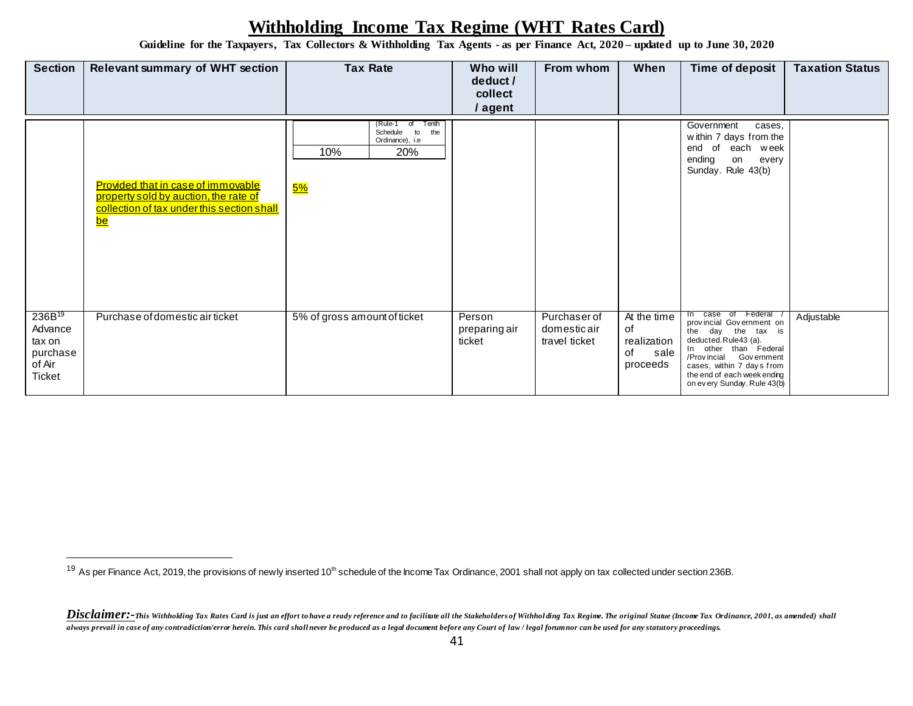**Guideline for the Taxpayers, Tax Collectors & Withholding Tax Agents - as per Finance Act, 2020 – updated up to June 30, 2020**

| <b>Section</b>                                                                 | <b>Relevant summary of WHT section</b>                                                                                                 | <b>Tax Rate</b>                                                                  | Who will<br>deduct /<br>collect<br>/ agent | From whom                                    | When                                                       | Time of deposit                                                                                                                                                                                                                               | <b>Taxation Status</b> |
|--------------------------------------------------------------------------------|----------------------------------------------------------------------------------------------------------------------------------------|----------------------------------------------------------------------------------|--------------------------------------------|----------------------------------------------|------------------------------------------------------------|-----------------------------------------------------------------------------------------------------------------------------------------------------------------------------------------------------------------------------------------------|------------------------|
|                                                                                | Provided that in case of immovable<br>property sold by auction, the rate of<br>collection of tax under this section shall<br><u>be</u> | Tenth<br>(Rule-1 of<br>Schedule to<br>the<br>Ordinance), i.e<br>20%<br>10%<br>5% |                                            |                                              |                                                            | Government<br>cases.<br>within 7 days from the<br>end of each week<br>ending<br>on<br>every<br>Sunday. Rule 43(b)                                                                                                                             |                        |
| 236B <sup>19</sup><br>Advance<br>tax on<br>purchase<br>of Air<br><b>Ticket</b> | Purchase of domestic air ticket                                                                                                        | 5% of gross amount of ticket                                                     | Person<br>preparing air<br>ticket          | Purchaser of<br>domesticair<br>travel ticket | At the time<br>of<br>realization<br>of<br>sale<br>proceeds | case of Federal<br>In<br>provincial Government on<br>the day the tax is<br>deducted.Rule43 (a).<br>In other than Federal<br>/Provincial Government<br>cases, within 7 days from<br>the end of each week ending<br>on every Sunday. Rule 43(b) | Adjustable             |

<sup>&</sup>lt;sup>19</sup> As per Finance Act, 2019, the provisions of newly inserted 10<sup>th</sup> schedule of the Income Tax Ordinance, 2001 shall not apply on tax collected under section 236B.

Disclaimer:-This Withholding Tax Rates Card is just an effort to have a ready reference and to facilitate all the Stakeholders of Withholding Tax Regime. The original Statue (Income Tax Ordinance, 2001, as amended) shall *always prevail in case of any contradiction/error herein. This card shall never be produced as a legal document before any Court of law / legal forum nor can be used for any statutory proceedings.*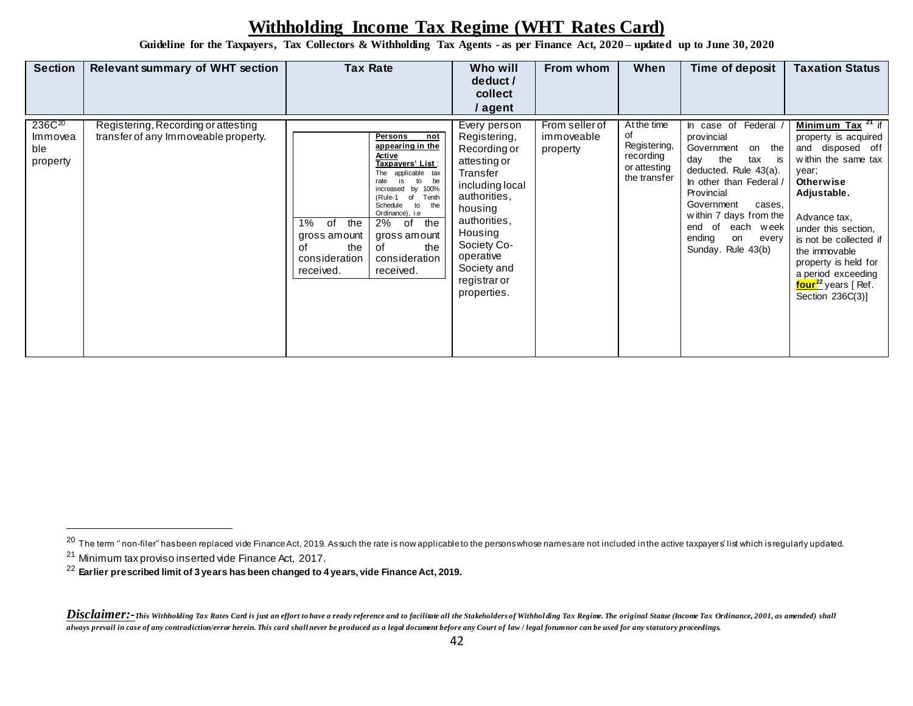**Guideline for the Taxpayers, Tax Collectors & Withholding Tax Agents - as per Finance Act, 2020 – updated up to June 30, 2020**

| <b>Section</b>                                   | <b>Relevant summary of WHT section</b>                                      | <b>Tax Rate</b>                                                                                                                                                                                                                                                                                                                                                          | Who will<br>deduct /<br>collect<br>/ agent                                                                                                                                                                                  | From whom                                | When                                                                           | Time of deposit                                                                                                                                                                                                                                                                  | <b>Taxation Status</b>                                                                                                                                                                                                                                                                                                       |
|--------------------------------------------------|-----------------------------------------------------------------------------|--------------------------------------------------------------------------------------------------------------------------------------------------------------------------------------------------------------------------------------------------------------------------------------------------------------------------------------------------------------------------|-----------------------------------------------------------------------------------------------------------------------------------------------------------------------------------------------------------------------------|------------------------------------------|--------------------------------------------------------------------------------|----------------------------------------------------------------------------------------------------------------------------------------------------------------------------------------------------------------------------------------------------------------------------------|------------------------------------------------------------------------------------------------------------------------------------------------------------------------------------------------------------------------------------------------------------------------------------------------------------------------------|
| 236C <sup>20</sup><br>Immovea<br>ble<br>property | Registering, Recording or attesting<br>transfer of any Immoveable property. | not<br>Persons<br>appearing in the<br>Active<br>Taxpayers' List :<br>The applicable tax<br>is<br>be<br>to<br>rate<br>increased by 100%<br>Tenth<br>(Rule-1<br>of<br>Schedule<br>the<br>to<br>Ordinance), i.e<br>1%<br>the<br>the<br>2%<br>of<br>0f<br>gross amount<br>gross amount<br>the<br>the<br>0f<br>of<br>consideration<br>consideration<br>received.<br>received. | Every person<br>Registering,<br>Recording or<br>attesting or<br>Transfer<br>including local<br>authorities,<br>housing<br>authorities,<br>Housing<br>Society Co-<br>operative<br>Society and<br>registrar or<br>properties. | From seller of<br>immoveable<br>property | At the time<br>of<br>Registering,<br>recording<br>or attesting<br>the transfer | Federal<br>In case of<br>provincial<br>Government<br>the<br>on<br>day the<br>tax<br>is<br>deducted. Rule 43(a).<br>In other than Federal /<br>Provincial<br>Government<br>cases,<br>within 7 days from the<br>end of<br>each week<br>ending<br>on<br>every<br>Sunday. Rule 43(b) | <b>Minimum Tax</b> $^{21}$ if<br>property is acquired<br>and disposed off<br>within the same tax<br>year;<br>Otherwise<br>Adjustable.<br>Advance tax,<br>under this section,<br>is not be collected if<br>the immovable<br>property is held for<br>a period exceeding<br>four <sup>22</sup> years [ Ref.<br>Section 236C(3)] |

<sup>22</sup> **Earlier prescribed limit of 3 years has been changed to 4 years, vide Finance Act, 2019.**

 $\overline{a}$ 

<sup>&</sup>lt;sup>20</sup> The term " non-filer" has been replaced vide Finance Act, 2019. As such the rate is now applicable to the persons whose names are not included in the active taxpayers' list which is regularly updated. <sup>21</sup> Minimum tax proviso inserted vide Finance Act, 2017.

Disclaimer:-This Withholding Tax Rates Card is just an effort to have a ready reference and to facilitate all the Stakeholders of Withholding Tax Regime. The original Statue (Income Tax Ordinance, 2001, as amended) shall *always prevail in case of any contradiction/error herein. This card shall never be produced as a legal document before any Court of law / legal forum nor can be used for any statutory proceedings.*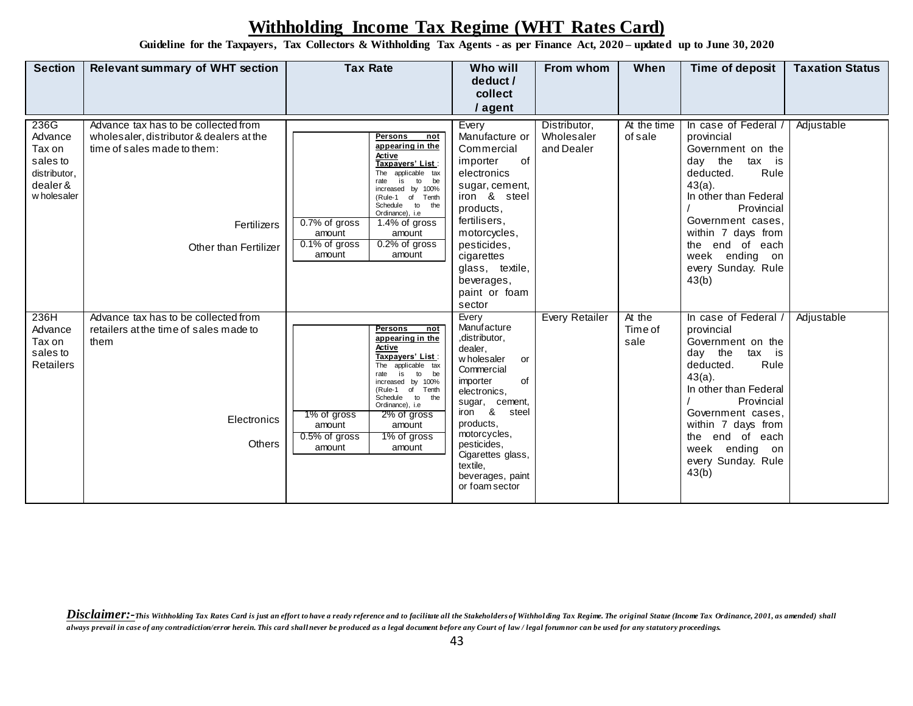**Guideline for the Taxpayers, Tax Collectors & Withholding Tax Agents - as per Finance Act, 2020 – updated up to June 30, 2020**

| <b>Section</b>                                                                   | <b>Relevant summary of WHT section</b>                                                                                                                  | <b>Tax Rate</b>                                                                                                                                                                                                                                                                                                                        | Who will<br>deduct /<br>collect<br>/ agent                                                                                                                                                                                                                                       | From whom                                | When                      | Time of deposit                                                                                                                                                                                                                                                         | <b>Taxation Status</b> |
|----------------------------------------------------------------------------------|---------------------------------------------------------------------------------------------------------------------------------------------------------|----------------------------------------------------------------------------------------------------------------------------------------------------------------------------------------------------------------------------------------------------------------------------------------------------------------------------------------|----------------------------------------------------------------------------------------------------------------------------------------------------------------------------------------------------------------------------------------------------------------------------------|------------------------------------------|---------------------------|-------------------------------------------------------------------------------------------------------------------------------------------------------------------------------------------------------------------------------------------------------------------------|------------------------|
| 236G<br>Advance<br>Tax on<br>sales to<br>distributor,<br>dealer &<br>w holesaler | Advance tax has to be collected from<br>wholesaler, distributor & dealers at the<br>time of sales made to them:<br>Fertilizers<br>Other than Fertilizer | Persons<br>not<br>appearing in the<br>Active<br>Taxpayers' List :<br>The applicable tax<br>is<br>to<br>be<br>rate<br>increased by 100%<br>Tenth<br>Rule-1<br>of<br>Schedule<br>to<br>the<br>Ordinance), i.e<br>0.7% of gross<br>1.4% of gross<br>amount<br>amount<br>0.2% of gross<br>0.1% of gross<br>amount<br>amount                | Every<br>Manufacture or<br>Commercial<br>of<br>importer<br>electronics<br>sugar, cement,<br>iron & steel<br>products,<br>fertilisers,<br>motorcycles,<br>pesticides,<br>cigarettes<br>glass, textile,<br>beverages,<br>paint or foam<br>sector                                   | Distributor,<br>Wholesaler<br>and Dealer | At the time<br>of sale    | In case of Federal /<br>provincial<br>Government on the<br>day the<br>tax is<br>Rule<br>deducted.<br>$43(a)$ .<br>In other than Federal<br>Provincial<br>Government cases,<br>within 7 days from<br>the end of each<br>week ending on<br>every Sunday. Rule<br>43(b)    | Adjustable             |
| 236H<br>Advance<br>Tax on<br>sales to<br><b>Retailers</b>                        | Advance tax has to be collected from<br>retailers at the time of sales made to<br>them<br>Electronics<br><b>Others</b>                                  | <b>Persons</b><br>not<br>appearing in the<br>Active<br>Taxpayers' List:<br>applicable tax<br>The<br>is<br>$\mathsf{to}$<br>be<br>rate<br>increased by 100%<br>(Rule-1<br>of<br>Tenth<br>Schedule to<br>the<br>Ordinance), i.e<br>1% of gross<br>2% of gross<br>amount<br>amount<br>1% of gross<br>$0.5\%$ of gross<br>amount<br>amount | Every<br>Manufacture<br>,distributor,<br>dealer,<br>w holesaler<br>or<br>Commercial<br>of<br>importer<br>electronics,<br>sugar, cement,<br>&<br>steel<br>iron<br>products,<br>motorcycles,<br>pesticides,<br>Cigarettes glass,<br>textile.<br>beverages, paint<br>or foam sector | <b>Every Retailer</b>                    | At the<br>Time of<br>sale | In case of Federal /<br>provincial<br>Government on the<br>day the<br>tax is<br>Rule<br>deducted.<br>$43(a)$ .<br>In other than Federal<br>Provincial<br>Government cases,<br>within 7 days from<br>the end of each<br>week<br>ending on<br>every Sunday. Rule<br>43(b) | Adjustable             |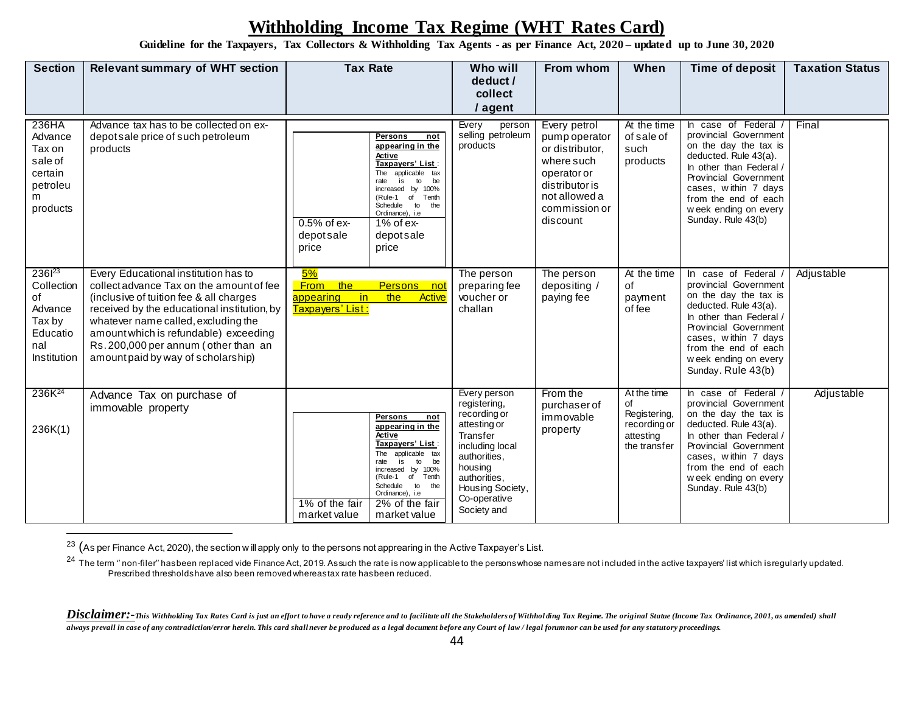**Guideline for the Taxpayers, Tax Collectors & Withholding Tax Agents - as per Finance Act, 2020 – updated up to June 30, 2020**

| <b>Section</b>                                                                               | <b>Relevant summary of WHT section</b>                                                                                                                                                                                                                                                                                                   | <b>Tax Rate</b>                                                                                                                                                                                                                                                                          | Who will<br>deduct /<br>collect<br>/ agent                                                                                                                                                | From whom                                                                                                                                     | When                                                                           | Time of deposit                                                                                                                                                                                                                                   | <b>Taxation Status</b> |
|----------------------------------------------------------------------------------------------|------------------------------------------------------------------------------------------------------------------------------------------------------------------------------------------------------------------------------------------------------------------------------------------------------------------------------------------|------------------------------------------------------------------------------------------------------------------------------------------------------------------------------------------------------------------------------------------------------------------------------------------|-------------------------------------------------------------------------------------------------------------------------------------------------------------------------------------------|-----------------------------------------------------------------------------------------------------------------------------------------------|--------------------------------------------------------------------------------|---------------------------------------------------------------------------------------------------------------------------------------------------------------------------------------------------------------------------------------------------|------------------------|
| 236HA<br>Advance<br>Tax on<br>sale of<br>certain<br>petroleu<br>m<br>products                | Advance tax has to be collected on ex-<br>depot sale price of such petroleum<br>products                                                                                                                                                                                                                                                 | Persons<br>not<br>appearing in the<br>Active<br>Taxpayers' List:<br>The applicable tax<br>is<br>be<br>to<br>increased by 100%<br>of<br>Tenth<br>(Rule-1<br>Schedule to<br>the<br>Ordinance), i.e<br>$0.5%$ of ex-<br>$1\%$ of ex-<br>depotsale<br>depotsale<br>price<br>price            | Every<br>person<br>selling petroleum<br>products                                                                                                                                          | Every petrol<br>pump operator<br>or distributor.<br>where such<br>operator or<br>distributor is<br>not allowed a<br>commission or<br>discount | At the time<br>of sale of<br>such<br>products                                  | In case of Federal /<br>provincial Government<br>on the day the tax is<br>deducted. Rule 43(a).<br>In other than Federal /<br>Provincial Government<br>cases, within 7 days<br>from the end of each<br>week ending on every<br>Sunday. Rule 43(b) | Final                  |
| 236 <sup>23</sup><br>Collection<br>of<br>Advance<br>Tax by<br>Educatio<br>nal<br>Institution | Every Educational institution has to<br>collect advance Tax on the amount of fee<br>(inclusive of tuition fee & all charges<br>received by the educational institution, by<br>whatever name called, excluding the<br>amount which is refundable) exceeding<br>Rs. 200,000 per annum (other than an<br>amount paid by way of scholarship) | 5%<br>the<br><b>From</b><br>Persons not<br>in<br>the<br>appearing<br>Active<br><mark>Taxpayers' List :</mark>                                                                                                                                                                            | The person<br>preparing fee<br>voucher or<br>challan                                                                                                                                      | The person<br>depositing /<br>paying fee                                                                                                      | At the time<br>of<br>payment<br>of fee                                         | In case of Federal /<br>provincial Government<br>on the day the tax is<br>deducted. Rule 43(a).<br>In other than Federal /<br>Provincial Government<br>cases, within 7 days<br>from the end of each<br>week ending on every<br>Sunday. Rule 43(b) | Adjustable             |
| 236K <sup>24</sup><br>236K(1)                                                                | Advance Tax on purchase of<br>immovable property                                                                                                                                                                                                                                                                                         | Persons<br>not<br>appearing in the<br>Active<br>Taxpayers' List:<br>applicable tax<br>The<br>is<br>to<br>be<br>rate<br>increased by 100%<br>(Rule-1 of<br>Tenth<br>Schedule<br>$t^{\circ}$<br>the<br>Ordinance), i.e<br>1% of the fair<br>2% of the fair<br>market value<br>market value | Every person<br>registering,<br>recording or<br>attesting or<br>Transfer<br>including local<br>authorities,<br>housing<br>authorities,<br>Housing Society,<br>Co-operative<br>Society and | From the<br>purchaser of<br>immovable<br>property                                                                                             | At the time<br>of<br>Registering,<br>recording or<br>attesting<br>the transfer | In case of Federal /<br>provincial Government<br>on the day the tax is<br>deducted. Rule 43(a).<br>In other than Federal /<br>Provincial Government<br>cases, within 7 days<br>from the end of each<br>week ending on every<br>Sunday. Rule 43(b) | Adjustable             |

<sup>23</sup> (As per Finance Act, 2020), the section w ill apply only to the persons not apprearing in the Active Taxpayer's List.

 $\overline{a}$ 

 $^{24}$  The term " non-filer" has been replaced vide Finance Act, 2019. As such the rate is now applicable to the persons whose names are not included in the active taxpayers' list which is regularly updated. Prescribed thresholds have also been removed whereas tax rate has been reduced.

Disclaimer:-This Withholding Tax Rates Card is just an effort to have a ready reference and to facilitate all the Stakeholders of Withholding Tax Regime. The original Statue (Income Tax Ordinance, 2001, as amended) shall *always prevail in case of any contradiction/error herein. This card shall never be produced as a legal document before any Court of law / legal forum nor can be used for any statutory proceedings.*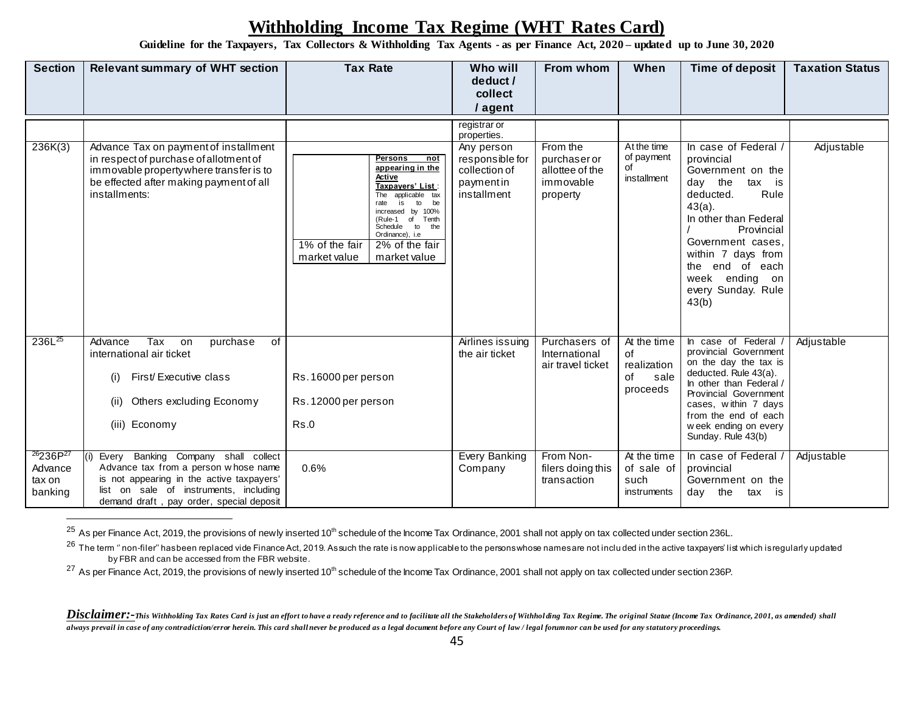**Guideline for the Taxpayers, Tax Collectors & Withholding Tax Agents - as per Finance Act, 2020 – updated up to June 30, 2020**

| <b>Section</b>                                                   | <b>Relevant summary of WHT section</b>                                                                                                                                                                                | <b>Tax Rate</b>                                                                                                                                                                                                                                                                    | Who will<br>deduct /<br>collect<br>/ agent                                                                | From whom                                                            | When                                                       | Time of deposit                                                                                                                                                                                                                                                         | <b>Taxation Status</b> |
|------------------------------------------------------------------|-----------------------------------------------------------------------------------------------------------------------------------------------------------------------------------------------------------------------|------------------------------------------------------------------------------------------------------------------------------------------------------------------------------------------------------------------------------------------------------------------------------------|-----------------------------------------------------------------------------------------------------------|----------------------------------------------------------------------|------------------------------------------------------------|-------------------------------------------------------------------------------------------------------------------------------------------------------------------------------------------------------------------------------------------------------------------------|------------------------|
| 236K(3)                                                          | Advance Tax on payment of installment<br>in respect of purchase of allotment of<br>immovable property where transfer is to<br>be effected after making payment of all<br>installments:                                | <b>Persons</b><br>not<br>appearing in the<br>Active<br>Taxpayers' List:<br>applicable tax<br>The<br>is<br>to<br>be<br>rate<br>increased by 100%<br>Rule-1 of<br>Tenth<br>Schedule to<br>the<br>Ordinance), i.e<br>1% of the fair<br>2% of the fair<br>market value<br>market value | registrar or<br>properties.<br>Any person<br>responsible for<br>collection of<br>paymentin<br>installment | From the<br>purchaser or<br>allottee of the<br>immovable<br>property | At the time<br>of payment<br>of<br>installment             | In case of Federal /<br>provincial<br>Government on the<br>the<br>tax is<br>day<br>Rule<br>deducted.<br>$43(a)$ .<br>In other than Federal<br>Provincial<br>Government cases.<br>within 7 days from<br>the end of each<br>week ending on<br>every Sunday. Rule<br>43(b) | Adjustable             |
| 236L <sup>25</sup>                                               | Tax<br>purchase<br>of<br>Advance<br>on<br>international air ticket<br>First/Executive class<br>(i)<br>Others excluding Economy<br>(ii)<br>(iii) Economy                                                               | Rs. 16000 per person<br>Rs. 12000 per person<br>Rs.0                                                                                                                                                                                                                               | Airlines issuing<br>the air ticket                                                                        | Purchasers of<br>International<br>air travel ticket                  | At the time<br>of<br>realization<br>of<br>sale<br>proceeds | In case of Federal<br>provincial Government<br>on the day the tax is<br>deducted. Rule 43(a).<br>In other than Federal /<br>Provincial Government<br>cases, within 7 days<br>from the end of each<br>week ending on every<br>Sunday. Rule 43(b)                         | Adjustable             |
| <sup>26</sup> 236P <sup>27</sup><br>Advance<br>tax on<br>banking | Every Banking Company shall collect<br>(i)<br>Advance tax from a person whose name<br>is not appearing in the active taxpayers'<br>list on sale of instruments, including<br>demand draft, pay order, special deposit | 0.6%                                                                                                                                                                                                                                                                               | Every Banking<br>Company                                                                                  | From Non-<br>filers doing this<br>transaction                        | At the time<br>of sale of<br>such<br>instruments           | In case of Federal /<br>provincial<br>Government on the<br>the<br>dav<br>tax is                                                                                                                                                                                         | Adjustable             |

<sup>25</sup> As per Finance Act, 2019, the provisions of newly inserted 10<sup>th</sup> schedule of the Income Tax Ordinance, 2001 shall not apply on tax collected under section 236L.

 $\overline{a}$ 

 $^{26}$  The term " non-filer" has been replaced vide Finance Act, 2019. As such the rate is now applicable to the persons whose names are not included in the active taxpayers' list which is regularly updated by FBR and can be accessed from the FBR website.

 $^{27}$  As per Finance Act, 2019, the provisions of newly inserted 10<sup>th</sup> schedule of the Income Tax Ordinance, 2001 shall not apply on tax collected under section 236P.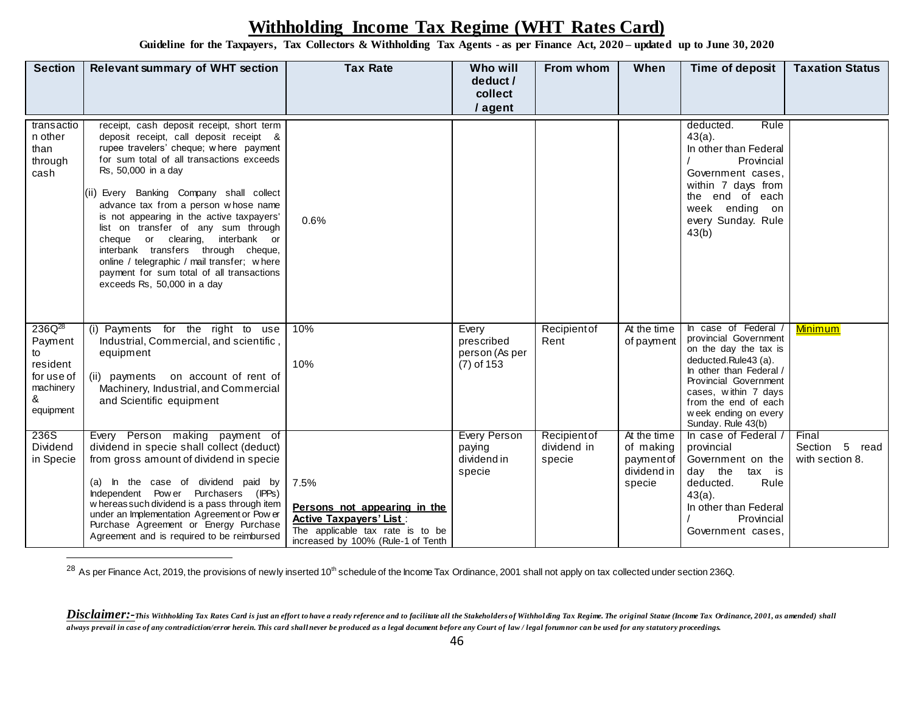**Guideline for the Taxpayers, Tax Collectors & Withholding Tax Agents - as per Finance Act, 2020 – updated up to June 30, 2020**

| <b>Section</b>                                                                        | <b>Relevant summary of WHT section</b>                                                                                                                                                                                                                                                                                                                                                                                                                                                                                                                                           | <b>Tax Rate</b>                                                                                                                                  | Who will<br>deduct /<br>collect<br>/ agent             | From whom                             | When                                                            | Time of deposit                                                                                                                                                                                                                                  | <b>Taxation Status</b>                     |
|---------------------------------------------------------------------------------------|----------------------------------------------------------------------------------------------------------------------------------------------------------------------------------------------------------------------------------------------------------------------------------------------------------------------------------------------------------------------------------------------------------------------------------------------------------------------------------------------------------------------------------------------------------------------------------|--------------------------------------------------------------------------------------------------------------------------------------------------|--------------------------------------------------------|---------------------------------------|-----------------------------------------------------------------|--------------------------------------------------------------------------------------------------------------------------------------------------------------------------------------------------------------------------------------------------|--------------------------------------------|
| transactio<br>n other<br>than<br>through<br>cash                                      | receipt, cash deposit receipt, short term<br>deposit receipt, call deposit receipt &<br>rupee travelers' cheque; where payment<br>for sum total of all transactions exceeds<br>Rs, 50,000 in a day<br>(ii) Every Banking Company shall collect<br>advance tax from a person whose name<br>is not appearing in the active taxpayers'<br>list on transfer of any sum through<br>cheque or clearing, interbank or<br>interbank transfers through cheque,<br>online / telegraphic / mail transfer; where<br>payment for sum total of all transactions<br>exceeds Rs, 50,000 in a day | 0.6%                                                                                                                                             |                                                        |                                       |                                                                 | Rule<br>deducted.<br>$43(a)$ .<br>In other than Federal<br>Provincial<br>Government cases,<br>within 7 days from<br>the end of each<br>week ending on<br>every Sunday. Rule<br>43(b)                                                             |                                            |
| $236Q^{28}$<br>Payment<br>to<br>resident<br>for use of<br>machinery<br>&<br>equipment | (i) Payments for the right to use<br>Industrial, Commercial, and scientific,<br>equipment<br>(ii) payments on account of rent of<br>Machinery, Industrial, and Commercial<br>and Scientific equipment                                                                                                                                                                                                                                                                                                                                                                            | 10%<br>10%                                                                                                                                       | Every<br>prescribed<br>person (As per<br>$(7)$ of 153  | Recipient of<br>Rent                  | At the time<br>of payment                                       | In case of Federal /<br>provincial Government<br>on the day the tax is<br>deducted.Rule43 (a).<br>In other than Federal /<br>Provincial Government<br>cases, within 7 days<br>from the end of each<br>week ending on every<br>Sunday. Rule 43(b) | <b>Minimum</b>                             |
| 236S<br>Dividend<br>in Specie                                                         | Every Person making payment of<br>dividend in specie shall collect (deduct)<br>from gross amount of dividend in specie<br>(a) In the case of dividend paid by<br>Independent Power Purchasers (IPPs)<br>w hereas such dividend is a pass through item<br>under an Implementation Agreement or Pow er<br>Purchase Agreement or Energy Purchase<br>Agreement and is required to be reimbursed                                                                                                                                                                                      | 7.5%<br>Persons not appearing in the<br><b>Active Taxpayers' List:</b><br>The applicable tax rate is to be<br>increased by 100% (Rule-1 of Tenth | <b>Every Person</b><br>paying<br>dividend in<br>specie | Recipient of<br>dividend in<br>specie | At the time<br>of making<br>payment of<br>dividend in<br>specie | In case of Federal /<br>provincial<br>Government on the<br>day the<br>tax is<br>Rule<br>deducted.<br>$43(a)$ .<br>In other than Federal<br>Provincial<br>Government cases,                                                                       | Final<br>Section 5 read<br>with section 8. |

<sup>28</sup> As per Finance Act, 2019, the provisions of newly inserted 10<sup>th</sup> schedule of the Income Tax Ordinance, 2001 shall not apply on tax collected under section 236Q.

Disclaimer:-This Withholding Tax Rates Card is just an effort to have a ready reference and to facilitate all the Stakeholders of Withholding Tax Regime. The original Statue (Income Tax Ordinance, 2001, as amended) shall *always prevail in case of any contradiction/error herein. This card shall never be produced as a legal document before any Court of law / legal forum nor can be used for any statutory proceedings.*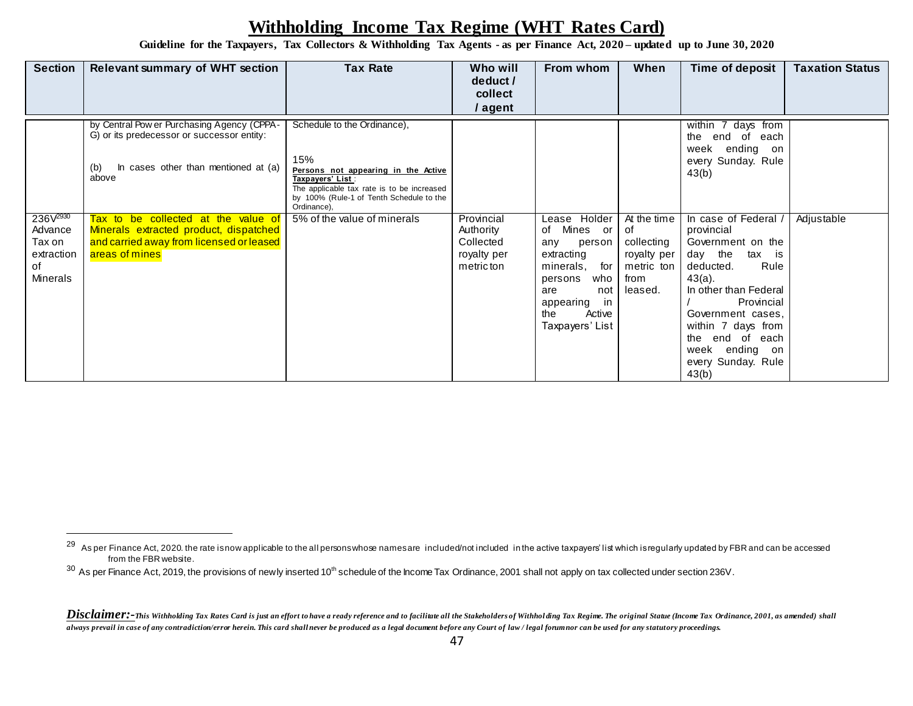**Guideline for the Taxpayers, Tax Collectors & Withholding Tax Agents - as per Finance Act, 2020 – updated up to June 30, 2020**

| <b>Section</b>                                    | <b>Relevant summary of WHT section</b>                                                                                                                                                  | <b>Tax Rate</b>                                                                                                                                                                                                                       | Who will<br>deduct /<br>collect<br>/ agent          | From whom                                                                                                                                             | When                                                             | Time of deposit                                                                                                                                                                                                                                 | <b>Taxation Status</b> |
|---------------------------------------------------|-----------------------------------------------------------------------------------------------------------------------------------------------------------------------------------------|---------------------------------------------------------------------------------------------------------------------------------------------------------------------------------------------------------------------------------------|-----------------------------------------------------|-------------------------------------------------------------------------------------------------------------------------------------------------------|------------------------------------------------------------------|-------------------------------------------------------------------------------------------------------------------------------------------------------------------------------------------------------------------------------------------------|------------------------|
| 236 $V^{2930}$                                    | by Central Pow er Purchasing Agency (CPPA-<br>G) or its predecessor or successor entity:<br>In cases other than mentioned at (a)<br>(b)<br>above<br>Tax to be collected at the value of | Schedule to the Ordinance),<br>15%<br>Persons not appearing in the Active<br>Taxpayers' List:<br>The applicable tax rate is to be increased<br>by 100% (Rule-1 of Tenth Schedule to the<br>Ordinance),<br>5% of the value of minerals | Provincial                                          | Lease Holder                                                                                                                                          | At the time                                                      | 7 days from<br>within<br>end<br>of<br>the<br>each<br>ending on<br>week<br>every Sunday. Rule<br>43(b)<br>In case of Federal                                                                                                                     | Adjustable             |
| Advance<br>Tax on<br>extraction<br>of<br>Minerals | Minerals extracted product, dispatched<br>and carried away from licensed or leased<br>areas of mines                                                                                    |                                                                                                                                                                                                                                       | Authority<br>Collected<br>royalty per<br>metric ton | of Mines or<br>person<br>any<br>extracting<br>minerals,<br>for<br>persons<br>who<br>not<br>are<br>in<br>appearing<br>the<br>Active<br>Taxpayers' List | of<br>collecting<br>royalty per<br>metric ton<br>from<br>leased. | provincial<br>Government on the<br>day the<br>tax is<br>Rule<br>deducted.<br>$43(a)$ .<br>In other than Federal<br>Provincial<br>Government cases,<br>within 7 days from<br>end of each<br>the<br>week ending on<br>every Sunday. Rule<br>43(b) |                        |

 $\overline{a}$ 

<sup>&</sup>lt;sup>29</sup> As per Finance Act, 2020. the rate is now applicable to the all persons whose names are included/not included in the active taxpayers' list which is regularly updated by FBR and can be accessed from the FBR website.

<sup>&</sup>lt;sup>30</sup> As per Finance Act, 2019, the provisions of newly inserted 10<sup>th</sup> schedule of the Income Tax Ordinance, 2001 shall not apply on tax collected under section 236V.

Disclaimer:-This Withholding Tax Rates Card is just an effort to have a ready reference and to facilitate all the Stakeholders of Withholding Tax Regime. The original Statue (Income Tax Ordinance, 2001, as amended) shall *always prevail in case of any contradiction/error herein. This card shall never be produced as a legal document before any Court of law / legal forum nor can be used for any statutory proceedings.*